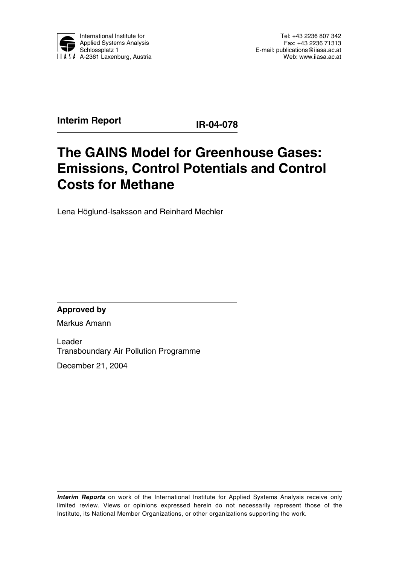

**Interim Report IR-04-078** 

# **The GAINS Model for Greenhouse Gases: Emissions, Control Potentials and Control Costs for Methane**

Lena Höglund-Isaksson and Reinhard Mechler

**Approved by** 

Markus Amann

Leader Transboundary Air Pollution Programme

December 21, 2004

**Interim Reports** on work of the International Institute for Applied Systems Analysis receive only limited review. Views or opinions expressed herein do not necessarily represent those of the Institute, its National Member Organizations, or other organizations supporting the work.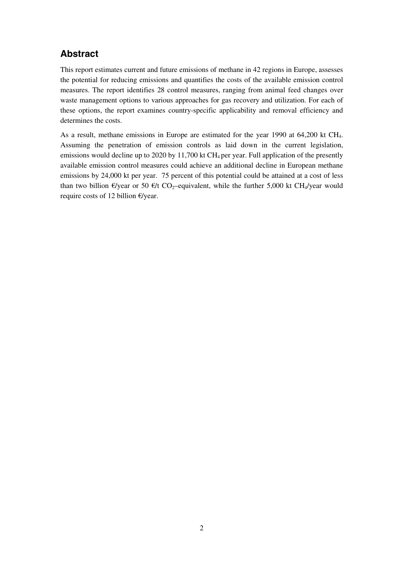## **Abstract**

This report estimates current and future emissions of methane in 42 regions in Europe, assesses the potential for reducing emissions and quantifies the costs of the available emission control measures. The report identifies 28 control measures, ranging from animal feed changes over waste management options to various approaches for gas recovery and utilization. For each of these options, the report examines country-specific applicability and removal efficiency and determines the costs.

As a result, methane emissions in Europe are estimated for the year 1990 at 64,200 kt CH4. Assuming the penetration of emission controls as laid down in the current legislation, emissions would decline up to 2020 by 11,700 kt  $CH_4$  per year. Full application of the presently available emission control measures could achieve an additional decline in European methane emissions by 24,000 kt per year. 75 percent of this potential could be attained at a cost of less than two billion  $\epsilon$ /year or 50  $\epsilon$ /t CO<sub>2</sub>–equivalent, while the further 5,000 kt CH<sub>4</sub>/year would require costs of 12 billion €/year.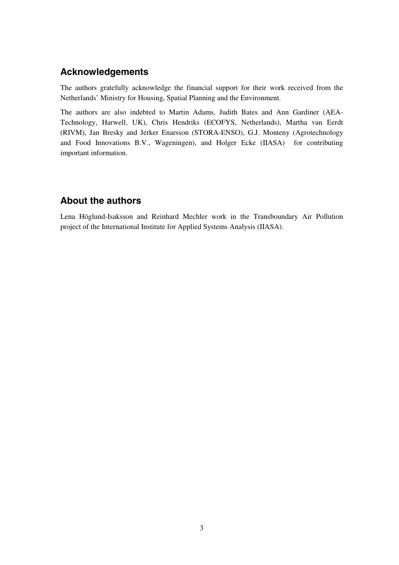### **Acknowledgements**

The authors gratefully acknowledge the financial support for their work received from the Netherlands' Ministry for Housing, Spatial Planning and the Environment.

The authors are also indebted to Martin Adams, Judith Bates and Ann Gardiner (AEA-Technology, Harwell, UK), Chris Hendriks (ECOFYS, Netherlands), Martha van Eerdt (RIVM), Jan Bresky and Jerker Enarsson (STORA-ENSO), G.J. Monteny (Agrotechnology and Food Innovations B.V., Wageningen), and Holger Ecke (IIASA) for contributing important information.

### **About the authors**

Lena Höglund-Isaksson and Reinhard Mechler work in the Transboundary Air Pollution project of the International Institute for Applied Systems Analysis (IIASA).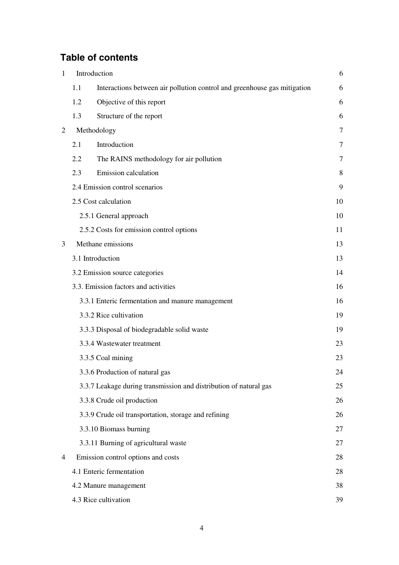## **Table of contents**

| $\mathbf{1}$   |     | Introduction                                                             | 6  |
|----------------|-----|--------------------------------------------------------------------------|----|
|                | 1.1 | Interactions between air pollution control and greenhouse gas mitigation | 6  |
|                | 1.2 | Objective of this report                                                 | 6  |
|                | 1.3 | Structure of the report                                                  | 6  |
| $\overline{2}$ |     | Methodology                                                              | 7  |
|                | 2.1 | Introduction                                                             | 7  |
|                | 2.2 | The RAINS methodology for air pollution                                  | 7  |
|                | 2.3 | <b>Emission</b> calculation                                              | 8  |
|                |     | 2.4 Emission control scenarios                                           | 9  |
|                |     | 2.5 Cost calculation                                                     | 10 |
|                |     | 2.5.1 General approach                                                   | 10 |
|                |     | 2.5.2 Costs for emission control options                                 | 11 |
| 3              |     | Methane emissions                                                        | 13 |
|                |     | 3.1 Introduction                                                         | 13 |
|                |     | 3.2 Emission source categories                                           | 14 |
|                |     | 3.3. Emission factors and activities                                     | 16 |
|                |     | 3.3.1 Enteric fermentation and manure management                         | 16 |
|                |     | 3.3.2 Rice cultivation                                                   | 19 |
|                |     | 3.3.3 Disposal of biodegradable solid waste                              | 19 |
|                |     | 3.3.4 Wastewater treatment                                               | 23 |
|                |     | 3.3.5 Coal mining                                                        | 23 |
|                |     | 3.3.6 Production of natural gas                                          | 24 |
|                |     | 3.3.7 Leakage during transmission and distribution of natural gas        | 25 |
|                |     | 3.3.8 Crude oil production                                               | 26 |
|                |     | 3.3.9 Crude oil transportation, storage and refining                     | 26 |
|                |     | 3.3.10 Biomass burning                                                   | 27 |
|                |     | 3.3.11 Burning of agricultural waste                                     | 27 |
| 4              |     | Emission control options and costs                                       | 28 |
|                |     | 4.1 Enteric fermentation                                                 | 28 |
|                |     | 4.2 Manure management                                                    | 38 |
|                |     | 4.3 Rice cultivation                                                     | 39 |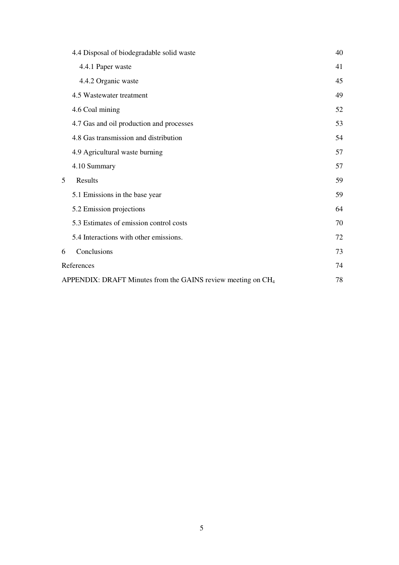|   | 4.4 Disposal of biodegradable solid waste                                | 40 |
|---|--------------------------------------------------------------------------|----|
|   | 4.4.1 Paper waste                                                        | 41 |
|   | 4.4.2 Organic waste                                                      | 45 |
|   | 4.5 Wastewater treatment                                                 | 49 |
|   | 4.6 Coal mining                                                          | 52 |
|   | 4.7 Gas and oil production and processes                                 | 53 |
|   | 4.8 Gas transmission and distribution                                    | 54 |
|   | 4.9 Agricultural waste burning                                           | 57 |
|   | 4.10 Summary                                                             | 57 |
| 5 | Results                                                                  | 59 |
|   | 5.1 Emissions in the base year                                           | 59 |
|   | 5.2 Emission projections                                                 | 64 |
|   | 5.3 Estimates of emission control costs                                  | 70 |
|   | 5.4 Interactions with other emissions.                                   | 72 |
| 6 | Conclusions                                                              | 73 |
|   | References                                                               | 74 |
|   | APPENDIX: DRAFT Minutes from the GAINS review meeting on CH <sub>4</sub> | 78 |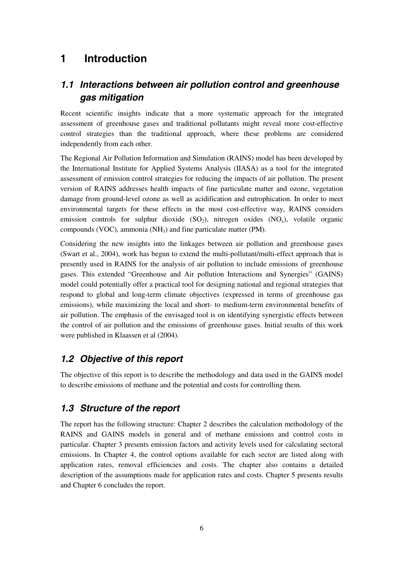## **1 Introduction**

## **1.1 Interactions between air pollution control and greenhouse gas mitigation**

Recent scientific insights indicate that a more systematic approach for the integrated assessment of greenhouse gases and traditional pollutants might reveal more cost-effective control strategies than the traditional approach, where these problems are considered independently from each other.

The Regional Air Pollution Information and Simulation (RAINS) model has been developed by the International Institute for Applied Systems Analysis (IIASA) as a tool for the integrated assessment of emission control strategies for reducing the impacts of air pollution. The present version of RAINS addresses health impacts of fine particulate matter and ozone, vegetation damage from ground-level ozone as well as acidification and eutrophication. In order to meet environmental targets for these effects in the most cost-effective way, RAINS considers emission controls for sulphur dioxide  $(SO_2)$ , nitrogen oxides  $(NO_x)$ , volatile organic compounds (VOC), ammonia (NH3) and fine particulate matter (PM).

Considering the new insights into the linkages between air pollution and greenhouse gases (Swart et al., 2004), work has begun to extend the multi-pollutant/multi-effect approach that is presently used in RAINS for the analysis of air pollution to include emissions of greenhouse gases. This extended "Greenhouse and Air pollution Interactions and Synergies" (GAINS) model could potentially offer a practical tool for designing national and regional strategies that respond to global and long-term climate objectives (expressed in terms of greenhouse gas emissions), while maximizing the local and short- to medium-term environmental benefits of air pollution. The emphasis of the envisaged tool is on identifying synergistic effects between the control of air pollution and the emissions of greenhouse gases. Initial results of this work were published in Klaassen et al (2004).

### **1.2 Objective of this report**

The objective of this report is to describe the methodology and data used in the GAINS model to describe emissions of methane and the potential and costs for controlling them.

### **1.3 Structure of the report**

The report has the following structure: Chapter 2 describes the calculation methodology of the RAINS and GAINS models in general and of methane emissions and control costs in particular. Chapter 3 presents emission factors and activity levels used for calculating sectoral emissions. In Chapter 4, the control options available for each sector are listed along with application rates, removal efficiencies and costs. The chapter also contains a detailed description of the assumptions made for application rates and costs. Chapter 5 presents results and Chapter 6 concludes the report.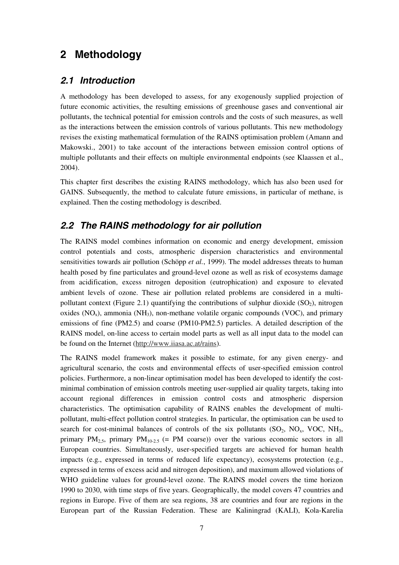## **2 Methodology**

### **2.1 Introduction**

A methodology has been developed to assess, for any exogenously supplied projection of future economic activities, the resulting emissions of greenhouse gases and conventional air pollutants, the technical potential for emission controls and the costs of such measures, as well as the interactions between the emission controls of various pollutants. This new methodology revises the existing mathematical formulation of the RAINS optimisation problem (Amann and Makowski., 2001) to take account of the interactions between emission control options of multiple pollutants and their effects on multiple environmental endpoints (see Klaassen et al., 2004).

This chapter first describes the existing RAINS methodology, which has also been used for GAINS. Subsequently, the method to calculate future emissions, in particular of methane, is explained. Then the costing methodology is described.

### **2.2 The RAINS methodology for air pollution**

The RAINS model combines information on economic and energy development, emission control potentials and costs, atmospheric dispersion characteristics and environmental sensitivities towards air pollution (Schöpp *et al.*, 1999). The model addresses threats to human health posed by fine particulates and ground-level ozone as well as risk of ecosystems damage from acidification, excess nitrogen deposition (eutrophication) and exposure to elevated ambient levels of ozone. These air pollution related problems are considered in a multipollutant context (Figure 2.1) quantifying the contributions of sulphur dioxide  $(SO<sub>2</sub>)$ , nitrogen oxides  $(NO_x)$ , ammonia  $(NH_3)$ , non-methane volatile organic compounds  $(VOC)$ , and primary emissions of fine (PM2.5) and coarse (PM10-PM2.5) particles. A detailed description of the RAINS model, on-line access to certain model parts as well as all input data to the model can be found on the Internet (http://www.iiasa.ac.at/rains).

The RAINS model framework makes it possible to estimate, for any given energy- and agricultural scenario, the costs and environmental effects of user-specified emission control policies. Furthermore, a non-linear optimisation model has been developed to identify the costminimal combination of emission controls meeting user-supplied air quality targets, taking into account regional differences in emission control costs and atmospheric dispersion characteristics. The optimisation capability of RAINS enables the development of multipollutant, multi-effect pollution control strategies. In particular, the optimisation can be used to search for cost-minimal balances of controls of the six pollutants  $(SO_2, NO_x, VOC, NH_3,$ primary  $PM_{2,5}$ , primary  $PM_{10-2,5}$  (= PM coarse)) over the various economic sectors in all European countries. Simultaneously, user-specified targets are achieved for human health impacts (e.g., expressed in terms of reduced life expectancy), ecosystems protection (e.g., expressed in terms of excess acid and nitrogen deposition), and maximum allowed violations of WHO guideline values for ground-level ozone. The RAINS model covers the time horizon 1990 to 2030, with time steps of five years. Geographically, the model covers 47 countries and regions in Europe. Five of them are sea regions, 38 are countries and four are regions in the European part of the Russian Federation. These are Kaliningrad (KALI), Kola-Karelia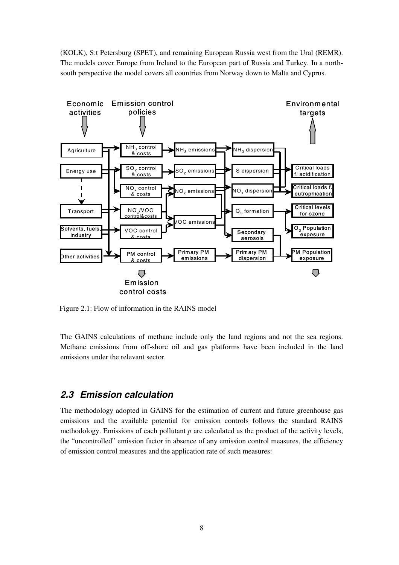(KOLK), S:t Petersburg (SPET), and remaining European Russia west from the Ural (REMR). The models cover Europe from Ireland to the European part of Russia and Turkey. In a northsouth perspective the model covers all countries from Norway down to Malta and Cyprus.



Figure 2.1: Flow of information in the RAINS model

The GAINS calculations of methane include only the land regions and not the sea regions. Methane emissions from off-shore oil and gas platforms have been included in the land emissions under the relevant sector.

### **2.3 Emission calculation**

The methodology adopted in GAINS for the estimation of current and future greenhouse gas emissions and the available potential for emission controls follows the standard RAINS methodology. Emissions of each pollutant *p* are calculated as the product of the activity levels, the "uncontrolled" emission factor in absence of any emission control measures, the efficiency of emission control measures and the application rate of such measures: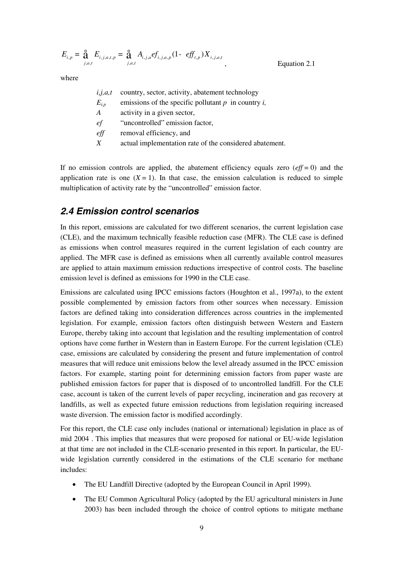$$
E_{i,p} = \mathop{\mathbf{a}}_{j,a,t} E_{i,j,a,t,p} = \mathop{\mathbf{a}}_{j,a,t} A_{i,j,a} e f_{i,j,a,p} (1 - e f f_{t,p}) X_{i,j,a,t}
$$
Equation 2.1

where

| i, j, a, t | country, sector, activity, abatement technology          |
|------------|----------------------------------------------------------|
| $E_{i,p}$  | emissions of the specific pollutant $p$ in country $i$ , |
| A          | activity in a given sector,                              |
| ef         | "uncontrolled" emission factor,                          |
| eff        | removal efficiency, and                                  |
| X          | actual implementation rate of the considered abatement.  |
|            |                                                          |

If no emission controls are applied, the abatement efficiency equals zero  $(eff = 0)$  and the application rate is one  $(X = 1)$ . In that case, the emission calculation is reduced to simple multiplication of activity rate by the "uncontrolled" emission factor.

### **2.4 Emission control scenarios**

In this report, emissions are calculated for two different scenarios, the current legislation case (CLE), and the maximum technically feasible reduction case (MFR). The CLE case is defined as emissions when control measures required in the current legislation of each country are applied. The MFR case is defined as emissions when all currently available control measures are applied to attain maximum emission reductions irrespective of control costs. The baseline emission level is defined as emissions for 1990 in the CLE case.

Emissions are calculated using IPCC emissions factors (Houghton et al., 1997a), to the extent possible complemented by emission factors from other sources when necessary. Emission factors are defined taking into consideration differences across countries in the implemented legislation. For example, emission factors often distinguish between Western and Eastern Europe, thereby taking into account that legislation and the resulting implementation of control options have come further in Western than in Eastern Europe. For the current legislation (CLE) case, emissions are calculated by considering the present and future implementation of control measures that will reduce unit emissions below the level already assumed in the IPCC emission factors. For example, starting point for determining emission factors from paper waste are published emission factors for paper that is disposed of to uncontrolled landfill. For the CLE case, account is taken of the current levels of paper recycling, incineration and gas recovery at landfills, as well as expected future emission reductions from legislation requiring increased waste diversion. The emission factor is modified accordingly.

For this report, the CLE case only includes (national or international) legislation in place as of mid 2004 . This implies that measures that were proposed for national or EU-wide legislation at that time are not included in the CLE-scenario presented in this report. In particular, the EUwide legislation currently considered in the estimations of the CLE scenario for methane includes:

- The EU Landfill Directive (adopted by the European Council in April 1999).
- The EU Common Agricultural Policy (adopted by the EU agricultural ministers in June 2003) has been included through the choice of control options to mitigate methane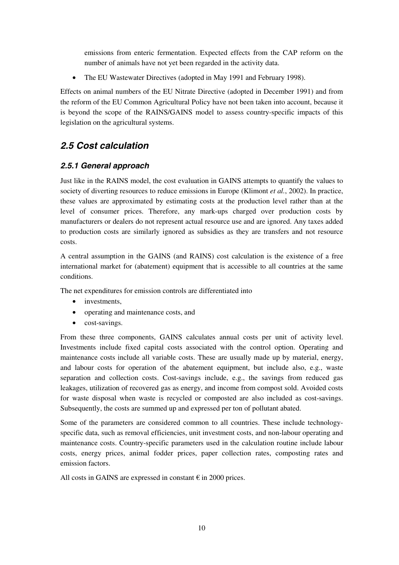emissions from enteric fermentation. Expected effects from the CAP reform on the number of animals have not yet been regarded in the activity data.

• The EU Wastewater Directives (adopted in May 1991 and February 1998).

Effects on animal numbers of the EU Nitrate Directive (adopted in December 1991) and from the reform of the EU Common Agricultural Policy have not been taken into account, because it is beyond the scope of the RAINS/GAINS model to assess country-specific impacts of this legislation on the agricultural systems.

## **2.5 Cost calculation**

### **2.5.1 General approach**

Just like in the RAINS model, the cost evaluation in GAINS attempts to quantify the values to society of diverting resources to reduce emissions in Europe (Klimont *et al.*, 2002). In practice, these values are approximated by estimating costs at the production level rather than at the level of consumer prices. Therefore, any mark-ups charged over production costs by manufacturers or dealers do not represent actual resource use and are ignored. Any taxes added to production costs are similarly ignored as subsidies as they are transfers and not resource costs.

A central assumption in the GAINS (and RAINS) cost calculation is the existence of a free international market for (abatement) equipment that is accessible to all countries at the same conditions.

The net expenditures for emission controls are differentiated into

- investments.
- operating and maintenance costs, and
- cost-savings.

From these three components, GAINS calculates annual costs per unit of activity level. Investments include fixed capital costs associated with the control option. Operating and maintenance costs include all variable costs. These are usually made up by material, energy, and labour costs for operation of the abatement equipment, but include also, e.g., waste separation and collection costs. Cost-savings include, e.g., the savings from reduced gas leakages, utilization of recovered gas as energy, and income from compost sold. Avoided costs for waste disposal when waste is recycled or composted are also included as cost-savings. Subsequently, the costs are summed up and expressed per ton of pollutant abated.

Some of the parameters are considered common to all countries. These include technologyspecific data, such as removal efficiencies, unit investment costs, and non-labour operating and maintenance costs. Country-specific parameters used in the calculation routine include labour costs, energy prices, animal fodder prices, paper collection rates, composting rates and emission factors.

All costs in GAINS are expressed in constant  $\epsilon$  in 2000 prices.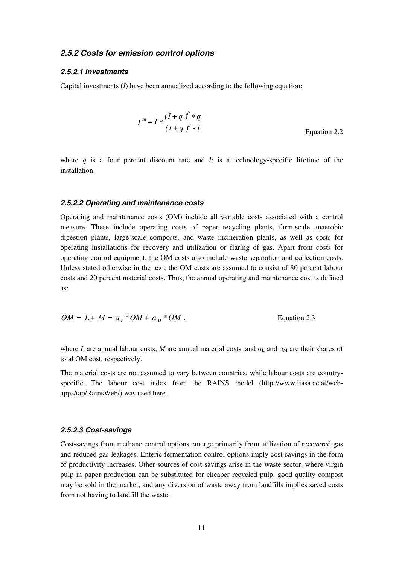#### **2.5.2 Costs for emission control options**

#### **2.5.2.1 Investments**

Capital investments (*I*) have been annualized according to the following equation:

$$
I^{an} = I * \frac{(1+q)^{lt} * q}{(1+q)^{lt} - 1}
$$
 Equation 2.2

where *q* is a four percent discount rate and *lt* is a technology-specific lifetime of the installation.

#### **2.5.2.2 Operating and maintenance costs**

Operating and maintenance costs (OM) include all variable costs associated with a control measure. These include operating costs of paper recycling plants, farm-scale anaerobic digestion plants, large-scale composts, and waste incineration plants, as well as costs for operating installations for recovery and utilization or flaring of gas. Apart from costs for operating control equipment, the OM costs also include waste separation and collection costs. Unless stated otherwise in the text, the OM costs are assumed to consist of 80 percent labour costs and 20 percent material costs. Thus, the annual operating and maintenance cost is defined as:

$$
OM = L + M = aL * OM + aM * OM ,
$$
 Equation 2.3

where *L* are annual labour costs, *M* are annual material costs, and  $\alpha_L$  and  $\alpha_M$  are their shares of total OM cost, respectively.

The material costs are not assumed to vary between countries, while labour costs are countryspecific. The labour cost index from the RAINS model (http://www.iiasa.ac.at/webapps/tap/RainsWeb/) was used here.

#### **2.5.2.3 Cost-savings**

Cost-savings from methane control options emerge primarily from utilization of recovered gas and reduced gas leakages. Enteric fermentation control options imply cost-savings in the form of productivity increases. Other sources of cost-savings arise in the waste sector, where virgin pulp in paper production can be substituted for cheaper recycled pulp, good quality compost may be sold in the market, and any diversion of waste away from landfills implies saved costs from not having to landfill the waste.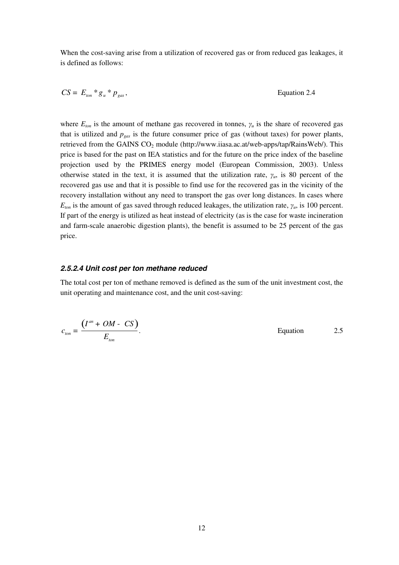When the cost-saving arise from a utilization of recovered gas or from reduced gas leakages, it is defined as follows:

$$
CS = E_{\text{ton}} * g_u * p_{\text{gas}},
$$
 Equation 2.4

where  $E_{\text{ton}}$  is the amount of methane gas recovered in tonnes,  $\gamma_u$  is the share of recovered gas that is utilized and  $p_{gas}$  is the future consumer price of gas (without taxes) for power plants, retrieved from the GAINS  $CO<sub>2</sub>$  module (http://www.iiasa.ac.at/web-apps/tap/RainsWeb/). This price is based for the past on IEA statistics and for the future on the price index of the baseline projection used by the PRIMES energy model (European Commission, 2003). Unless otherwise stated in the text, it is assumed that the utilization rate,  $\gamma_u$ , is 80 percent of the recovered gas use and that it is possible to find use for the recovered gas in the vicinity of the recovery installation without any need to transport the gas over long distances. In cases where  $E_{\text{ton}}$  is the amount of gas saved through reduced leakages, the utilization rate,  $\gamma_u$ , is 100 percent. If part of the energy is utilized as heat instead of electricity (as is the case for waste incineration and farm-scale anaerobic digestion plants), the benefit is assumed to be 25 percent of the gas price.

#### **2.5.2.4 Unit cost per ton methane reduced**

The total cost per ton of methane removed is defined as the sum of the unit investment cost, the unit operating and maintenance cost, and the unit cost-saving:

$$
c_{\text{ton}} = \frac{(I^{an} + OM - CS)}{E_{\text{ton}}}.
$$
Equation 2.5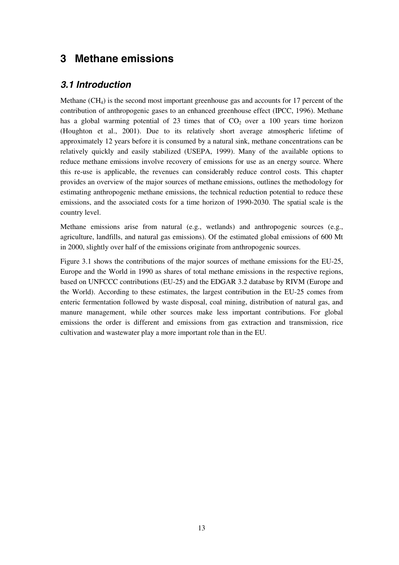## **3 Methane emissions**

### **3.1 Introduction**

Methane  $(CH_4)$  is the second most important greenhouse gas and accounts for 17 percent of the contribution of anthropogenic gases to an enhanced greenhouse effect (IPCC, 1996). Methane has a global warming potential of 23 times that of  $CO<sub>2</sub>$  over a 100 years time horizon (Houghton et al., 2001). Due to its relatively short average atmospheric lifetime of approximately 12 years before it is consumed by a natural sink, methane concentrations can be relatively quickly and easily stabilized (USEPA, 1999). Many of the available options to reduce methane emissions involve recovery of emissions for use as an energy source. Where this re-use is applicable, the revenues can considerably reduce control costs. This chapter provides an overview of the major sources of methane emissions, outlines the methodology for estimating anthropogenic methane emissions, the technical reduction potential to reduce these emissions, and the associated costs for a time horizon of 1990-2030. The spatial scale is the country level.

Methane emissions arise from natural (e.g., wetlands) and anthropogenic sources (e.g., agriculture, landfills, and natural gas emissions). Of the estimated global emissions of 600 Mt in 2000, slightly over half of the emissions originate from anthropogenic sources.

Figure 3.1 shows the contributions of the major sources of methane emissions for the EU-25, Europe and the World in 1990 as shares of total methane emissions in the respective regions, based on UNFCCC contributions (EU-25) and the EDGAR 3.2 database by RIVM (Europe and the World). According to these estimates, the largest contribution in the EU-25 comes from enteric fermentation followed by waste disposal, coal mining, distribution of natural gas, and manure management, while other sources make less important contributions. For global emissions the order is different and emissions from gas extraction and transmission, rice cultivation and wastewater play a more important role than in the EU.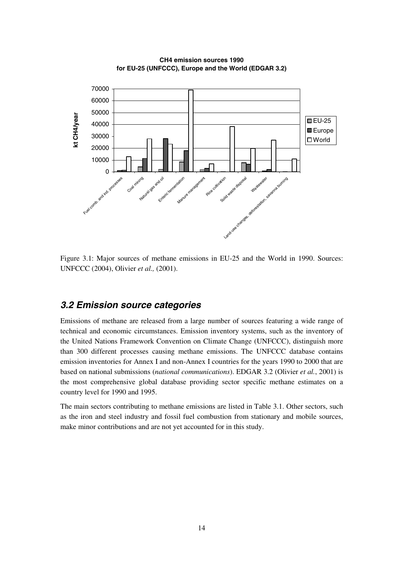

**CH4 emission sources 1990 for EU-25 (UNFCCC), Europe and the World (EDGAR 3.2)**

Figure 3.1: Major sources of methane emissions in EU-25 and the World in 1990. Sources: UNFCCC (2004), Olivier *et al.,* (2001).

### **3.2 Emission source categories**

Emissions of methane are released from a large number of sources featuring a wide range of technical and economic circumstances. Emission inventory systems, such as the inventory of the United Nations Framework Convention on Climate Change (UNFCCC), distinguish more than 300 different processes causing methane emissions. The UNFCCC database contains emission inventories for Annex I and non-Annex I countries for the years 1990 to 2000 that are based on national submissions (*national communications*). EDGAR 3.2 (Olivier *et al.*, 2001) is the most comprehensive global database providing sector specific methane estimates on a country level for 1990 and 1995.

The main sectors contributing to methane emissions are listed in Table 3.1. Other sectors, such as the iron and steel industry and fossil fuel combustion from stationary and mobile sources, make minor contributions and are not yet accounted for in this study.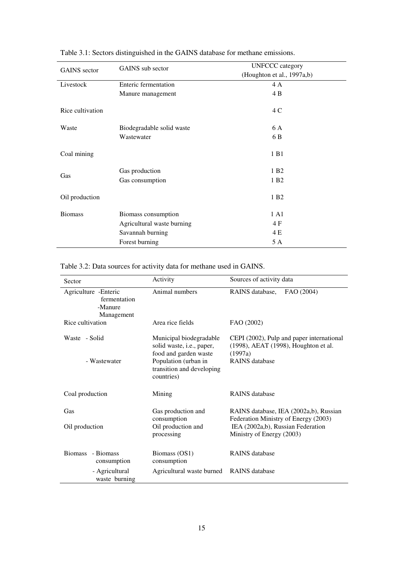| <b>GAINS</b> sector | <b>GAINS</b> sub sector     | <b>UNFCCC</b> category     |  |  |  |
|---------------------|-----------------------------|----------------------------|--|--|--|
|                     |                             | (Houghton et al., 1997a,b) |  |  |  |
| Livestock           | <b>Enteric fermentation</b> | 4 A                        |  |  |  |
|                     | Manure management           | 4 B                        |  |  |  |
| Rice cultivation    |                             | 4 C                        |  |  |  |
| Waste               | Biodegradable solid waste   | 6 A                        |  |  |  |
|                     | Wastewater                  | 6 B                        |  |  |  |
| Coal mining         |                             | 1 B1                       |  |  |  |
|                     | Gas production              | 1 B <sub>2</sub>           |  |  |  |
| Gas                 | Gas consumption             | 1 B <sub>2</sub>           |  |  |  |
| Oil production      |                             | 1 B <sub>2</sub>           |  |  |  |
| <b>Biomass</b>      | Biomass consumption         | 1 A1                       |  |  |  |
|                     | Agricultural waste burning  | 4 F                        |  |  |  |
|                     | Savannah burning            | 4 E                        |  |  |  |
|                     | Forest burning              | 5 A                        |  |  |  |

Table 3.1: Sectors distinguished in the GAINS database for methane emissions.

| Table 3.2: Data sources for activity data for methane used in GAINS. |  |  |
|----------------------------------------------------------------------|--|--|
|                                                                      |  |  |

|                                                                | Activity                                                                                                                                         | Sources of activity data                                                                                              |  |  |
|----------------------------------------------------------------|--------------------------------------------------------------------------------------------------------------------------------------------------|-----------------------------------------------------------------------------------------------------------------------|--|--|
| Sector                                                         |                                                                                                                                                  |                                                                                                                       |  |  |
| Agriculture - Enteric<br>fermentation<br>-Manure<br>Management | Animal numbers                                                                                                                                   | FAO (2004)<br>RAINS database,                                                                                         |  |  |
| Rice cultivation                                               | Area rice fields                                                                                                                                 | FAO (2002)                                                                                                            |  |  |
| Waste - Solid<br>- Wastewater                                  | Municipal biodegradable<br>solid waste, i.e., paper,<br>food and garden waste<br>Population (urban in<br>transition and developing<br>countries) | CEPI (2002), Pulp and paper international<br>(1998), AEAT (1998), Houghton et al.<br>(1997a)<br><b>RAINS</b> database |  |  |
| Coal production                                                | Mining                                                                                                                                           | <b>RAINS</b> database                                                                                                 |  |  |
| Gas<br>Oil production                                          | Gas production and<br>consumption<br>Oil production and                                                                                          | RAINS database, IEA (2002a,b), Russian<br>Federation Ministry of Energy (2003)<br>IEA (2002a,b), Russian Federation   |  |  |
|                                                                | processing                                                                                                                                       | Ministry of Energy (2003)                                                                                             |  |  |
| Biomass - Biomass<br>consumption                               | Biomass (OS1)<br>consumption                                                                                                                     | <b>RAINS</b> database                                                                                                 |  |  |
| - Agricultural<br>waste burning                                | Agricultural waste burned                                                                                                                        | <b>RAINS</b> database                                                                                                 |  |  |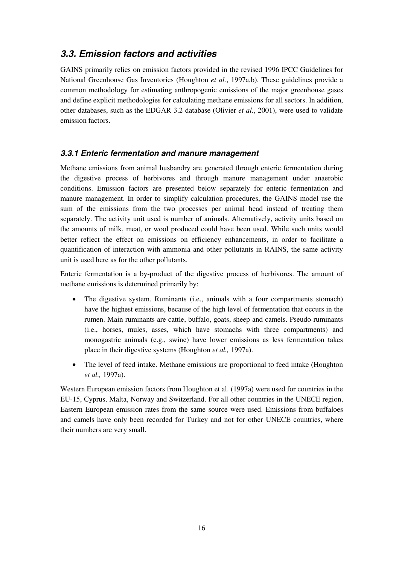### **3.3. Emission factors and activities**

GAINS primarily relies on emission factors provided in the revised 1996 IPCC Guidelines for National Greenhouse Gas Inventories (Houghton *et al.*, 1997a,b). These guidelines provide a common methodology for estimating anthropogenic emissions of the major greenhouse gases and define explicit methodologies for calculating methane emissions for all sectors. In addition, other databases, such as the EDGAR 3.2 database (Olivier *et al.*, 2001), were used to validate emission factors.

### **3.3.1 Enteric fermentation and manure management**

Methane emissions from animal husbandry are generated through enteric fermentation during the digestive process of herbivores and through manure management under anaerobic conditions. Emission factors are presented below separately for enteric fermentation and manure management. In order to simplify calculation procedures, the GAINS model use the sum of the emissions from the two processes per animal head instead of treating them separately. The activity unit used is number of animals. Alternatively, activity units based on the amounts of milk, meat, or wool produced could have been used. While such units would better reflect the effect on emissions on efficiency enhancements, in order to facilitate a quantification of interaction with ammonia and other pollutants in RAINS, the same activity unit is used here as for the other pollutants.

Enteric fermentation is a by-product of the digestive process of herbivores. The amount of methane emissions is determined primarily by:

- The digestive system. Ruminants (i.e., animals with a four compartments stomach) have the highest emissions, because of the high level of fermentation that occurs in the rumen. Main ruminants are cattle, buffalo, goats, sheep and camels. Pseudo-ruminants (i.e., horses, mules, asses, which have stomachs with three compartments) and monogastric animals (e.g., swine) have lower emissions as less fermentation takes place in their digestive systems (Houghton *et al.,* 1997a).
- The level of feed intake. Methane emissions are proportional to feed intake (Houghton *et al.,* 1997a).

Western European emission factors from Houghton et al. (1997a) were used for countries in the EU-15, Cyprus, Malta, Norway and Switzerland. For all other countries in the UNECE region, Eastern European emission rates from the same source were used. Emissions from buffaloes and camels have only been recorded for Turkey and not for other UNECE countries, where their numbers are very small.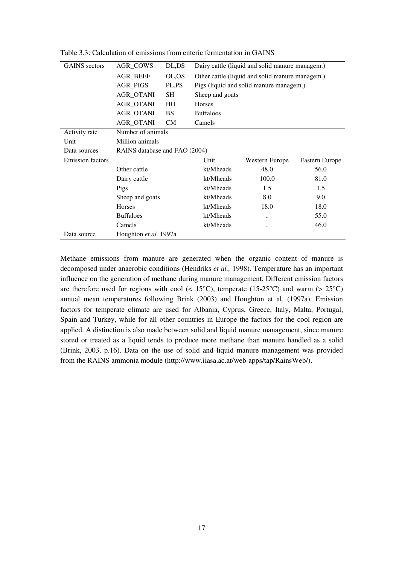| <b>GAINS</b> sectors                 | <b>AGR COWS</b><br>DL,DS      |           | Dairy cattle (liquid and solid manure managem.) |                |                |  |  |  |
|--------------------------------------|-------------------------------|-----------|-------------------------------------------------|----------------|----------------|--|--|--|
|                                      | AGR_BEEF                      | OL,OS     | Other cattle (liquid and solid manure managem.) |                |                |  |  |  |
|                                      | <b>AGR_PIGS</b>               | PL,PS     | Pigs (liquid and solid manure managem.)         |                |                |  |  |  |
|                                      | <b>AGR_OTANI</b>              | SH        | Sheep and goats                                 |                |                |  |  |  |
|                                      | <b>AGR_OTANI</b>              | HO        | Horses                                          |                |                |  |  |  |
|                                      | <b>AGR_OTANI</b>              | <b>BS</b> | <b>Buffaloes</b>                                |                |                |  |  |  |
|                                      | <b>AGR_OTANI</b>              | CM        | Camels                                          |                |                |  |  |  |
| Activity rate                        | Number of animals             |           |                                                 |                |                |  |  |  |
| Unit                                 | Million animals               |           |                                                 |                |                |  |  |  |
| Data sources                         | RAINS database and FAO (2004) |           |                                                 |                |                |  |  |  |
| <b>Emission factors</b>              |                               |           | Unit                                            | Western Europe | Eastern Europe |  |  |  |
|                                      | Other cattle                  |           | kt/Mheads                                       | 48.0           | 56.0           |  |  |  |
|                                      | Dairy cattle                  |           | kt/Mheads                                       | 100.0          | 81.0           |  |  |  |
|                                      | Pigs                          |           | kt/Mheads                                       | 1.5            | 1.5            |  |  |  |
|                                      | Sheep and goats               |           | kt/Mheads                                       | 8.0            | 9.0            |  |  |  |
|                                      | Horses                        |           | kt/Mheads                                       | 18.0           | 18.0           |  |  |  |
| <b>Buffaloes</b>                     |                               | kt/Mheads |                                                 | 55.0           |                |  |  |  |
|                                      | Camels                        |           | kt/Mheads                                       |                | 46.0           |  |  |  |
| Houghton et al. 1997a<br>Data source |                               |           |                                                 |                |                |  |  |  |

Table 3.3: Calculation of emissions from enteric fermentation in GAINS

Methane emissions from manure are generated when the organic content of manure is decomposed under anaerobic conditions (Hendriks *et al.,* 1998). Temperature has an important influence on the generation of methane during manure management. Different emission factors are therefore used for regions with cool ( $\lt 15^{\circ}$ C), temperate (15-25<sup>o</sup>C) and warm ( $> 25^{\circ}$ C) annual mean temperatures following Brink (2003) and Houghton et al. (1997a). Emission factors for temperate climate are used for Albania, Cyprus, Greece, Italy, Malta, Portugal, Spain and Turkey, while for all other countries in Europe the factors for the cool region are applied. A distinction is also made between solid and liquid manure management, since manure stored or treated as a liquid tends to produce more methane than manure handled as a solid (Brink, 2003, p.16). Data on the use of solid and liquid manure management was provided from the RAINS ammonia module (http://www.iiasa.ac.at/web-apps/tap/RainsWeb/).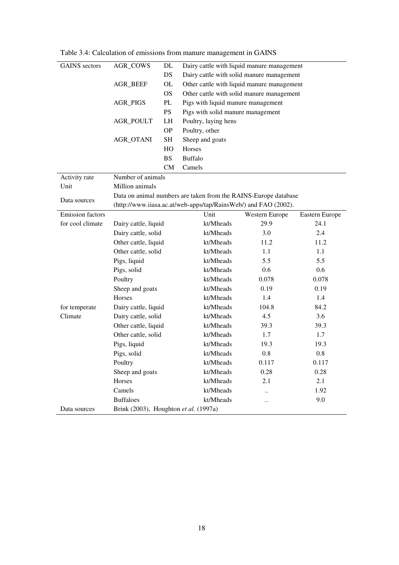| <b>GAINS</b> sectors                                  | <b>AGR_COWS</b><br>DL        |           | Dairy cattle with liquid manure management                      |                                            |                |  |  |  |
|-------------------------------------------------------|------------------------------|-----------|-----------------------------------------------------------------|--------------------------------------------|----------------|--|--|--|
|                                                       | DS                           |           | Dairy cattle with solid manure management                       |                                            |                |  |  |  |
|                                                       | OL<br><b>AGR BEEF</b><br>OS. |           |                                                                 | Other cattle with liquid manure management |                |  |  |  |
|                                                       |                              |           | Other cattle with solid manure management                       |                                            |                |  |  |  |
|                                                       | <b>AGR_PIGS</b>              |           | Pigs with liquid manure management                              |                                            |                |  |  |  |
|                                                       | <b>PS</b>                    |           | Pigs with solid manure management                               |                                            |                |  |  |  |
|                                                       | LH<br>AGR_POULT              |           | Poultry, laying hens                                            |                                            |                |  |  |  |
|                                                       | <b>OP</b>                    |           | Poultry, other                                                  |                                            |                |  |  |  |
|                                                       | AGR_OTANI                    | SН        | Sheep and goats                                                 |                                            |                |  |  |  |
|                                                       |                              | HO        | Horses                                                          |                                            |                |  |  |  |
|                                                       |                              | <b>BS</b> | <b>Buffalo</b>                                                  |                                            |                |  |  |  |
|                                                       |                              | <b>CM</b> | Camels                                                          |                                            |                |  |  |  |
| Activity rate                                         | Number of animals            |           |                                                                 |                                            |                |  |  |  |
| Unit                                                  | Million animals              |           |                                                                 |                                            |                |  |  |  |
| Data sources                                          |                              |           | Data on animal numbers are taken from the RAINS-Europe database |                                            |                |  |  |  |
|                                                       |                              |           | (http://www.iiasa.ac.at/web-apps/tap/RainsWeb/) and FAO (2002). |                                            |                |  |  |  |
| <b>Emission factors</b>                               |                              |           | Unit                                                            | Western Europe                             | Eastern Europe |  |  |  |
| for cool climate                                      | Dairy cattle, liquid         |           | kt/Mheads                                                       | 29.9                                       | 24.1           |  |  |  |
|                                                       | Dairy cattle, solid          |           | kt/Mheads                                                       | 3.0                                        | 2.4            |  |  |  |
|                                                       | Other cattle, liquid         |           | kt/Mheads                                                       | 11.2                                       | 11.2           |  |  |  |
|                                                       | Other cattle, solid          |           | kt/Mheads                                                       | 1.1                                        | 1.1            |  |  |  |
|                                                       | Pigs, liquid                 |           | kt/Mheads                                                       | 5.5                                        | 5.5            |  |  |  |
|                                                       | Pigs, solid                  |           | kt/Mheads                                                       | 0.6                                        | 0.6            |  |  |  |
|                                                       | Poultry                      |           | kt/Mheads                                                       | 0.078                                      | 0.078          |  |  |  |
|                                                       | Sheep and goats              |           | kt/Mheads                                                       | 0.19                                       | 0.19           |  |  |  |
|                                                       | Horses                       |           | kt/Mheads                                                       | 1.4                                        | 1.4            |  |  |  |
| for temperate                                         | Dairy cattle, liquid         |           | kt/Mheads                                                       | 104.8                                      | 84.2           |  |  |  |
| Climate                                               | Dairy cattle, solid          |           | kt/Mheads                                                       | 4.5                                        | 3.6            |  |  |  |
|                                                       | Other cattle, liquid         |           | kt/Mheads                                                       | 39.3                                       | 39.3           |  |  |  |
|                                                       | Other cattle, solid          |           | kt/Mheads                                                       | 1.7                                        | 1.7            |  |  |  |
|                                                       | Pigs, liquid                 |           | kt/Mheads                                                       | 19.3                                       | 19.3           |  |  |  |
|                                                       | Pigs, solid                  |           | kt/Mheads                                                       | 0.8                                        | 0.8            |  |  |  |
|                                                       | Poultry                      |           | kt/Mheads                                                       | 0.117                                      | 0.117          |  |  |  |
|                                                       | Sheep and goats              |           | kt/Mheads                                                       | 0.28                                       | 0.28           |  |  |  |
|                                                       | Horses                       |           | kt/Mheads                                                       | 2.1                                        | 2.1            |  |  |  |
|                                                       | Camels                       |           | kt/Mheads                                                       | $\ddot{\phantom{0}}$                       | 1.92           |  |  |  |
|                                                       | <b>Buffaloes</b>             |           | kt/Mheads                                                       |                                            | 9.0            |  |  |  |
| Brink (2003), Houghton et al. (1997a)<br>Data sources |                              |           |                                                                 |                                            |                |  |  |  |

Table 3.4: Calculation of emissions from manure management in GAINS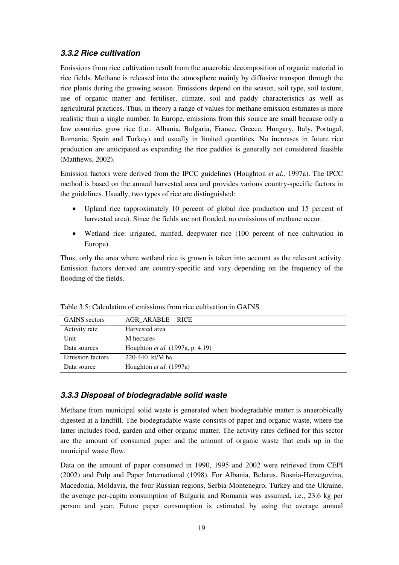### **3.3.2 Rice cultivation**

Emissions from rice cultivation result from the anaerobic decomposition of organic material in rice fields. Methane is released into the atmosphere mainly by diffusive transport through the rice plants during the growing season. Emissions depend on the season, soil type, soil texture, use of organic matter and fertiliser, climate, soil and paddy characteristics as well as agricultural practices. Thus, in theory a range of values for methane emission estimates is more realistic than a single number. In Europe, emissions from this source are small because only a few countries grow rice (i.e., Albania, Bulgaria, France, Greece, Hungary, Italy, Portugal, Romania, Spain and Turkey) and usually in limited quantities. No increases in future rice production are anticipated as expanding the rice paddies is generally not considered feasible (Matthews, 2002).

Emission factors were derived from the IPCC guidelines (Houghton *et al.,* 1997a). The IPCC method is based on the annual harvested area and provides various country-specific factors in the guidelines. Usually, two types of rice are distinguished:

- Upland rice (approximately 10 percent of global rice production and 15 percent of harvested area). Since the fields are not flooded, no emissions of methane occur.
- Wetland rice: irrigated, rainfed, deepwater rice (100 percent of rice cultivation in Europe).

Thus, only the area where wetland rice is grown is taken into account as the relevant activity. Emission factors derived are country-specific and vary depending on the frequency of the flooding of the fields.

| <b>GAINS</b> sectors    | AGR ARABLE RICE                  |
|-------------------------|----------------------------------|
| Activity rate           | Harvested area                   |
| Unit                    | M hectares                       |
| Data sources            | Houghton et al. (1997a, p. 4.19) |
| <b>Emission factors</b> | 220-440 kt/M ha                  |
| Data source             | Houghton <i>et al.</i> (1997a)   |
|                         |                                  |

Table 3.5: Calculation of emissions from rice cultivation in GAINS

#### **3.3.3 Disposal of biodegradable solid waste**

Methane from municipal solid waste is generated when biodegradable matter is anaerobically digested at a landfill. The biodegradable waste consists of paper and organic waste, where the latter includes food, garden and other organic matter. The activity rates defined for this sector are the amount of consumed paper and the amount of organic waste that ends up in the municipal waste flow.

Data on the amount of paper consumed in 1990, 1995 and 2002 were retrieved from CEPI (2002) and Pulp and Paper International (1998). For Albania, Belarus, Bosnia-Herzegovina, Macedonia, Moldavia, the four Russian regions, Serbia-Montenegro, Turkey and the Ukraine, the average per-capita consumption of Bulgaria and Romania was assumed, i.e., 23.6 kg per person and year. Future paper consumption is estimated by using the average annual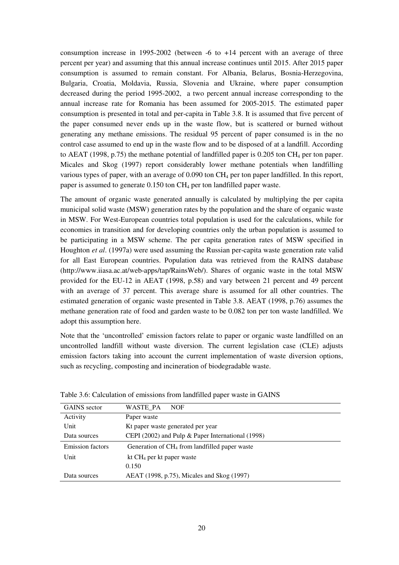consumption increase in 1995-2002 (between -6 to +14 percent with an average of three percent per year) and assuming that this annual increase continues until 2015. After 2015 paper consumption is assumed to remain constant. For Albania, Belarus, Bosnia-Herzegovina, Bulgaria, Croatia, Moldavia, Russia, Slovenia and Ukraine, where paper consumption decreased during the period 1995-2002, a two percent annual increase corresponding to the annual increase rate for Romania has been assumed for 2005-2015. The estimated paper consumption is presented in total and per-capita in Table 3.8. It is assumed that five percent of the paper consumed never ends up in the waste flow, but is scattered or burned without generating any methane emissions. The residual 95 percent of paper consumed is in the no control case assumed to end up in the waste flow and to be disposed of at a landfill. According to AEAT (1998, p.75) the methane potential of landfilled paper is  $0.205$  ton CH<sub>4</sub> per ton paper. Micales and Skog (1997) report considerably lower methane potentials when landfilling various types of paper, with an average of  $0.090$  ton  $CH_4$  per ton paper landfilled. In this report, paper is assumed to generate 0.150 ton CH4 per ton landfilled paper waste.

The amount of organic waste generated annually is calculated by multiplying the per capita municipal solid waste (MSW) generation rates by the population and the share of organic waste in MSW. For West-European countries total population is used for the calculations, while for economies in transition and for developing countries only the urban population is assumed to be participating in a MSW scheme. The per capita generation rates of MSW specified in Houghton *et al*. (1997a) were used assuming the Russian per-capita waste generation rate valid for all East European countries. Population data was retrieved from the RAINS database (http://www.iiasa.ac.at/web-apps/tap/RainsWeb/). Shares of organic waste in the total MSW provided for the EU-12 in AEAT (1998, p.58) and vary between 21 percent and 49 percent with an average of 37 percent. This average share is assumed for all other countries. The estimated generation of organic waste presented in Table 3.8. AEAT (1998, p.76) assumes the methane generation rate of food and garden waste to be 0.082 ton per ton waste landfilled. We adopt this assumption here.

Note that the 'uncontrolled' emission factors relate to paper or organic waste landfilled on an uncontrolled landfill without waste diversion. The current legislation case (CLE) adjusts emission factors taking into account the current implementation of waste diversion options, such as recycling, composting and incineration of biodegradable waste.

| <b>GAINS</b> sector     | WASTE PA<br><b>NOF</b>                            |
|-------------------------|---------------------------------------------------|
| Activity                | Paper waste                                       |
| Unit                    | Kt paper waste generated per year                 |
| Data sources            | CEPI (2002) and Pulp & Paper International (1998) |
| <b>Emission factors</b> | Generation of $CH4$ from landfilled paper waste   |
| Unit                    | kt $CH_4$ per kt paper waste                      |
|                         | 0.150                                             |
| Data sources            | AEAT (1998, p.75), Micales and Skog (1997)        |

Table 3.6: Calculation of emissions from landfilled paper waste in GAINS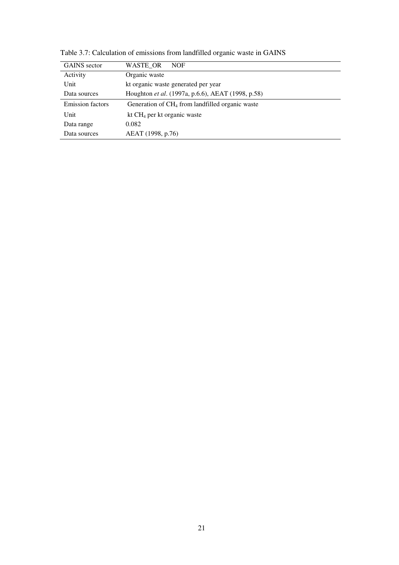| <b>GAINS</b> sector     | WASTE OR<br><b>NOF</b>                                      |
|-------------------------|-------------------------------------------------------------|
| Activity                | Organic waste                                               |
| Unit                    | kt organic waste generated per year                         |
| Data sources            | Houghton et al. (1997a, p.6.6), AEAT (1998, p.58)           |
| <b>Emission factors</b> | Generation of CH <sub>4</sub> from landfilled organic waste |
|                         |                                                             |
| Unit                    | kt $CH_4$ per kt organic waste                              |
| Data range              | 0.082                                                       |

Table 3.7: Calculation of emissions from landfilled organic waste in GAINS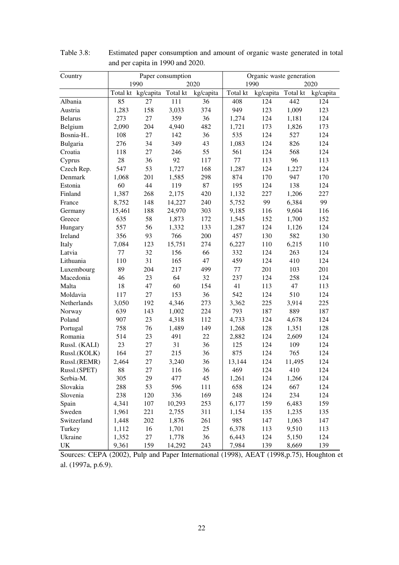| Country        |        |                             | Paper consumption |           | Organic waste generation |                    |        |           |
|----------------|--------|-----------------------------|-------------------|-----------|--------------------------|--------------------|--------|-----------|
|                | 1990   |                             | 2020              |           |                          | 1990               |        | 2020      |
|                |        | Total kt kg/capita Total kt |                   | kg/capita | Total kt                 | kg/capita Total kt |        | kg/capita |
| Albania        | 85     | 27                          | 111               | 36        | 408                      | 124                | 442    | 124       |
| Austria        | 1,283  | 158                         | 3,033             | 374       | 949                      | 123                | 1,009  | 123       |
| <b>Belarus</b> | 273    | 27                          | 359               | 36        | 1,274                    | 124                | 1,181  | 124       |
| Belgium        | 2,090  | 204                         | 4,940             | 482       | 1,721                    | 173                | 1,826  | 173       |
| Bosnia-H       | 108    | 27                          | 142               | 36        | 535                      | 124                | 527    | 124       |
| Bulgaria       | 276    | 34                          | 349               | 43        | 1,083                    | 124                | 826    | 124       |
| Croatia        | 118    | $27\,$                      | 246               | 55        | 561                      | 124                | 568    | 124       |
| Cyprus         | 28     | 36                          | 92                | 117       | 77                       | 113                | 96     | 113       |
| Czech Rep.     | 547    | 53                          | 1,727             | 168       | 1,287                    | 124                | 1,227  | 124       |
| Denmark        | 1,068  | 201                         | 1,585             | 298       | 874                      | 170                | 947    | 170       |
| Estonia        | 60     | 44                          | 119               | 87        | 195                      | 124                | 138    | 124       |
| Finland        | 1,387  | 268                         | 2,175             | 420       | 1,132                    | 227                | 1,206  | 227       |
| France         | 8,752  | 148                         | 14,227            | 240       | 5,752                    | 99                 | 6,384  | 99        |
| Germany        | 15,461 | 188                         | 24,970            | 303       | 9,185                    | 116                | 9,604  | 116       |
| Greece         | 635    | 58                          | 1,873             | 172       | 1,545                    | 152                | 1,700  | 152       |
| Hungary        | 557    | 56                          | 1,332             | 133       | 1,287                    | 124                | 1,126  | 124       |
| Ireland        | 356    | 93                          | 766               | 200       | 457                      | 130                | 582    | 130       |
| Italy          | 7,084  | 123                         | 15,751            | 274       | 6,227                    | 110                | 6,215  | 110       |
| Latvia         | 77     | 32                          | 156               | 66        | 332                      | 124                | 263    | 124       |
| Lithuania      | 110    | 31                          | 165               | 47        | 459                      | 124                | 410    | 124       |
| Luxembourg     | 89     | 204                         | 217               | 499       | 77                       | 201                | 103    | 201       |
| Macedonia      | 46     | 23                          | 64                | 32        | 237                      | 124                | 258    | 124       |
| Malta          | 18     | 47                          | 60                | 154       | 41                       | 113                | 47     | 113       |
| Moldavia       | 117    | 27                          | 153               | 36        | 542                      | 124                | 510    | 124       |
| Netherlands    | 3,050  | 192                         | 4,346             | 273       | 3,362                    | 225                | 3,914  | 225       |
| Norway         | 639    | 143                         | 1,002             | 224       | 793                      | 187                | 889    | 187       |
| Poland         | 907    | 23                          | 4,318             | 112       | 4,733                    | 124                | 4,678  | 124       |
| Portugal       | 758    | 76                          | 1,489             | 149       | 1,268                    | 128                | 1,351  | 128       |
| Romania        | 514    | 23                          | 491               | $22\,$    | 2,882                    | 124                | 2,609  | 124       |
| Russl. (KALI)  | 23     | $27\,$                      | 31                | 36        | 125                      | 124                | 109    | 124       |
| Russl.(KOLK)   | 164    | $27\,$                      | 215               | 36        | 875                      | 124                | 765    | 124       |
| Russl.(REMR)   | 2,464  | $27\,$                      | 3,240             | 36        | 13,144                   | 124                | 11,495 | 124       |
| Russl.(SPET)   | 88     | $27\,$                      | 116               | 36        | 469                      | 124                | 410    | 124       |
| Serbia-M.      | 305    | 29                          | 477               | 45        | 1,261                    | 124                | 1,266  | 124       |
| Slovakia       | 288    | 53                          | 596               | 111       | 658                      | 124                | 667    | 124       |
| Slovenia       | 238    | 120                         | 336               | 169       | 248                      | 124                | 234    | 124       |
| Spain          | 4,341  | 107                         | 10,293            | 253       | 6,177                    | 159                | 6,483  | 159       |
| Sweden         | 1,961  | 221                         | 2,755             | 311       | 1,154                    | 135                | 1,235  | 135       |
| Switzerland    | 1,448  | 202                         | 1,876             | 261       | 985                      | 147                | 1,063  | 147       |
| Turkey         | 1,112  | 16                          | 1,701             | 25        | 6,378                    | 113                | 9,510  | 113       |
| Ukraine        | 1,352  | 27                          | 1,778             | 36        | 6,443                    | 124                | 5,150  | 124       |
| UK             | 9,361  | 159                         | 14,292            | 243       | 7,984                    | 139                | 8,669  | 139       |

Table 3.8: Estimated paper consumption and amount of organic waste generated in total and per capita in 1990 and 2020.

Sources: CEPA (2002), Pulp and Paper International (1998), AEAT (1998,p.75), Houghton et al. (1997a, p.6.9).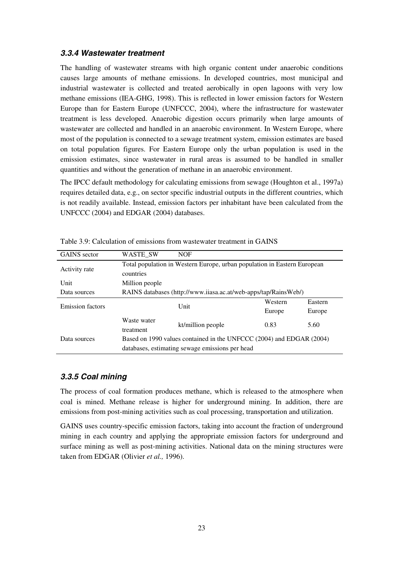### **3.3.4 Wastewater treatment**

The handling of wastewater streams with high organic content under anaerobic conditions causes large amounts of methane emissions. In developed countries, most municipal and industrial wastewater is collected and treated aerobically in open lagoons with very low methane emissions (IEA-GHG, 1998). This is reflected in lower emission factors for Western Europe than for Eastern Europe (UNFCCC, 2004), where the infrastructure for wastewater treatment is less developed. Anaerobic digestion occurs primarily when large amounts of wastewater are collected and handled in an anaerobic environment. In Western Europe, where most of the population is connected to a sewage treatment system, emission estimates are based on total population figures. For Eastern Europe only the urban population is used in the emission estimates, since wastewater in rural areas is assumed to be handled in smaller quantities and without the generation of methane in an anaerobic environment.

The IPCC default methodology for calculating emissions from sewage (Houghton et al., 1997a) requires detailed data, e.g., on sector specific industrial outputs in the different countries, which is not readily available. Instead, emission factors per inhabitant have been calculated from the UNFCCC (2004) and EDGAR (2004) databases.

| <b>GAINS</b> sector     | WASTE SW                                                                 | <b>NOF</b>                                                           |         |         |  |  |  |
|-------------------------|--------------------------------------------------------------------------|----------------------------------------------------------------------|---------|---------|--|--|--|
| Activity rate           | Total population in Western Europe, urban population in Eastern European |                                                                      |         |         |  |  |  |
|                         |                                                                          | countries                                                            |         |         |  |  |  |
| Unit                    | Million people                                                           |                                                                      |         |         |  |  |  |
| Data sources            |                                                                          | RAINS databases (http://www.iiasa.ac.at/web-apps/tap/RainsWeb/)      |         |         |  |  |  |
| <b>Emission factors</b> |                                                                          | Unit                                                                 | Western | Eastern |  |  |  |
|                         |                                                                          |                                                                      | Europe  | Europe  |  |  |  |
|                         | Waste water                                                              | kt/million people                                                    | 0.83    | 5.60    |  |  |  |
|                         | treatment                                                                |                                                                      |         |         |  |  |  |
| Data sources            |                                                                          | Based on 1990 values contained in the UNFCCC (2004) and EDGAR (2004) |         |         |  |  |  |
|                         | databases, estimating sewage emissions per head                          |                                                                      |         |         |  |  |  |

Table 3.9: Calculation of emissions from wastewater treatment in GAINS

### **3.3.5 Coal mining**

The process of coal formation produces methane, which is released to the atmosphere when coal is mined. Methane release is higher for underground mining. In addition, there are emissions from post-mining activities such as coal processing, transportation and utilization.

GAINS uses country-specific emission factors, taking into account the fraction of underground mining in each country and applying the appropriate emission factors for underground and surface mining as well as post-mining activities. National data on the mining structures were taken from EDGAR (Olivier *et al.,* 1996).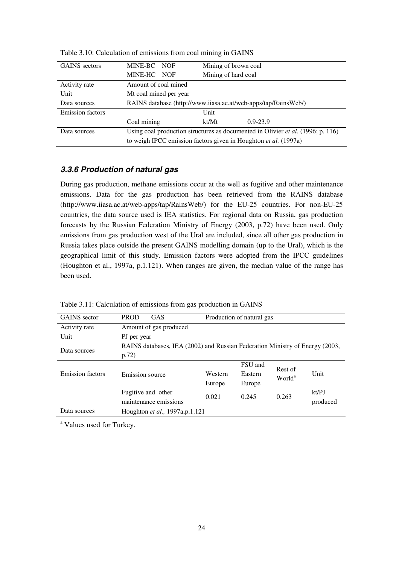| <b>GAINS</b> sectors    | MINE-BC NOF                                                     |  | Mining of brown coal |                                                                                        |
|-------------------------|-----------------------------------------------------------------|--|----------------------|----------------------------------------------------------------------------------------|
|                         | MINE-HC NOF                                                     |  | Mining of hard coal  |                                                                                        |
| Activity rate           | Amount of coal mined                                            |  |                      |                                                                                        |
| Unit                    | Mt coal mined per year                                          |  |                      |                                                                                        |
| Data sources            |                                                                 |  |                      | RAINS database (http://www.iiasa.ac.at/web-apps/tap/RainsWeb/)                         |
| <b>Emission factors</b> |                                                                 |  | Unit                 |                                                                                        |
|                         | Coal mining                                                     |  | kt/Mt                | $0.9 - 23.9$                                                                           |
| Data sources            |                                                                 |  |                      | Using coal production structures as documented in Olivier <i>et al.</i> (1996; p. 116) |
|                         | to weigh IPCC emission factors given in Houghton et al. (1997a) |  |                      |                                                                                        |

Table 3.10: Calculation of emissions from coal mining in GAINS

### **3.3.6 Production of natural gas**

During gas production, methane emissions occur at the well as fugitive and other maintenance emissions. Data for the gas production has been retrieved from the RAINS database (http://www.iiasa.ac.at/web-apps/tap/RainsWeb/) for the EU-25 countries. For non-EU-25 countries, the data source used is IEA statistics. For regional data on Russia, gas production forecasts by the Russian Federation Ministry of Energy (2003, p.72) have been used. Only emissions from gas production west of the Ural are included, since all other gas production in Russia takes place outside the present GAINS modelling domain (up to the Ural), which is the geographical limit of this study. Emission factors were adopted from the IPCC guidelines (Houghton et al., 1997a, p.1.121). When ranges are given, the median value of the range has been used.

| <b>GAINS</b> sector     | <b>PROD</b><br><b>GAS</b><br>Production of natural gas                                |                   |                              |                               |                   |
|-------------------------|---------------------------------------------------------------------------------------|-------------------|------------------------------|-------------------------------|-------------------|
| Activity rate           | Amount of gas produced                                                                |                   |                              |                               |                   |
| Unit                    | PJ per year                                                                           |                   |                              |                               |                   |
| Data sources            | RAINS databases, IEA (2002) and Russian Federation Ministry of Energy (2003,<br>p.72) |                   |                              |                               |                   |
| <b>Emission factors</b> | Emission source                                                                       | Western<br>Europe | FSU and<br>Eastern<br>Europe | Rest of<br>World <sup>a</sup> | Unit              |
|                         | Fugitive and other<br>maintenance emissions                                           | 0.021             | 0.245                        | 0.263                         | kt/PJ<br>produced |
| Data sources            | Houghton et al., 1997a,p.1.121                                                        |                   |                              |                               |                   |

Table 3.11: Calculation of emissions from gas production in GAINS

<sup>a</sup> Values used for Turkey.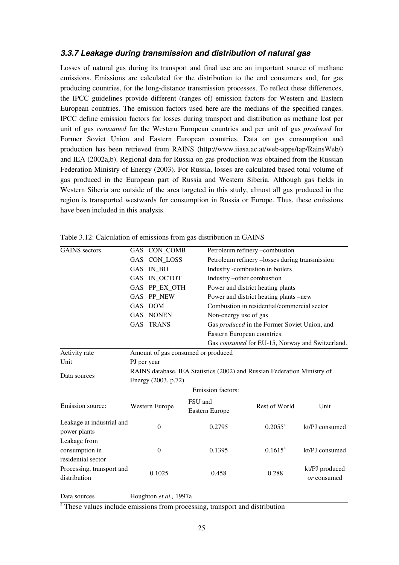#### **3.3.7 Leakage during transmission and distribution of natural gas**

Losses of natural gas during its transport and final use are an important source of methane emissions. Emissions are calculated for the distribution to the end consumers and, for gas producing countries, for the long-distance transmission processes. To reflect these differences, the IPCC guidelines provide different (ranges of) emission factors for Western and Eastern European countries. The emission factors used here are the medians of the specified ranges. IPCC define emission factors for losses during transport and distribution as methane lost per unit of gas *consumed* for the Western European countries and per unit of gas *produced* for Former Soviet Union and Eastern European countries. Data on gas consumption and production has been retrieved from RAINS (http://www.iiasa.ac.at/web-apps/tap/RainsWeb/) and IEA (2002a,b). Regional data for Russia on gas production was obtained from the Russian Federation Ministry of Energy (2003). For Russia, losses are calculated based total volume of gas produced in the European part of Russia and Western Siberia. Although gas fields in Western Siberia are outside of the area targeted in this study, almost all gas produced in the region is transported westwards for consumption in Russia or Europe. Thus, these emissions have been included in this analysis.

| <b>GAINS</b> sectors      | GAS CON_COMB                                                             |         |                       | Petroleum refinery -combustion                  |                |  |  |
|---------------------------|--------------------------------------------------------------------------|---------|-----------------------|-------------------------------------------------|----------------|--|--|
|                           | GAS CON_LOSS                                                             |         |                       | Petroleum refinery -losses during transmission  |                |  |  |
|                           | GAS IN_BO                                                                |         |                       | Industry -combustion in boilers                 |                |  |  |
|                           | IN_OCTOT<br><b>GAS</b>                                                   |         |                       | Industry -other combustion                      |                |  |  |
|                           | GAS PP_EX_OTH                                                            |         |                       | Power and district heating plants               |                |  |  |
|                           | GAS PP NEW                                                               |         |                       | Power and district heating plants -new          |                |  |  |
|                           | <b>DOM</b><br><b>GAS</b>                                                 |         |                       | Combustion in residential/commercial sector     |                |  |  |
|                           | <b>GAS NONEN</b>                                                         |         | Non-energy use of gas |                                                 |                |  |  |
|                           | <b>GAS TRANS</b>                                                         |         |                       | Gas produced in the Former Soviet Union, and    |                |  |  |
|                           |                                                                          |         |                       | Eastern European countries.                     |                |  |  |
|                           |                                                                          |         |                       | Gas consumed for EU-15, Norway and Switzerland. |                |  |  |
| Activity rate             | Amount of gas consumed or produced                                       |         |                       |                                                 |                |  |  |
| Unit                      | PJ per year                                                              |         |                       |                                                 |                |  |  |
| Data sources              | RAINS database, IEA Statistics (2002) and Russian Federation Ministry of |         |                       |                                                 |                |  |  |
|                           | Energy (2003, p.72)                                                      |         |                       |                                                 |                |  |  |
|                           |                                                                          |         | Emission factors:     |                                                 |                |  |  |
|                           |                                                                          | FSU and |                       |                                                 |                |  |  |
| Emission source:          | Western Europe                                                           |         | Eastern Europe        | Rest of World                                   | Unit           |  |  |
| Leakage at industrial and |                                                                          |         |                       |                                                 |                |  |  |
| power plants              | $\theta$                                                                 |         | 0.2795                | $0.2055^{\text{a}}$                             | kt/PJ consumed |  |  |
| Leakage from              |                                                                          |         |                       |                                                 |                |  |  |
| consumption in            | $\theta$                                                                 |         | 0.1395                | $0.1615^a$                                      | kt/PJ consumed |  |  |
| residential sector        |                                                                          |         |                       |                                                 |                |  |  |
| Processing, transport and | 0.1025                                                                   |         | 0.458                 | 0.288                                           | kt/PJ produced |  |  |
| distribution              |                                                                          |         |                       |                                                 | or consumed    |  |  |
| Data sources              | Houghton et al., 1997a                                                   |         |                       |                                                 |                |  |  |

Table 3.12: Calculation of emissions from gas distribution in GAINS

<sup>a</sup> These values include emissions from processing, transport and distribution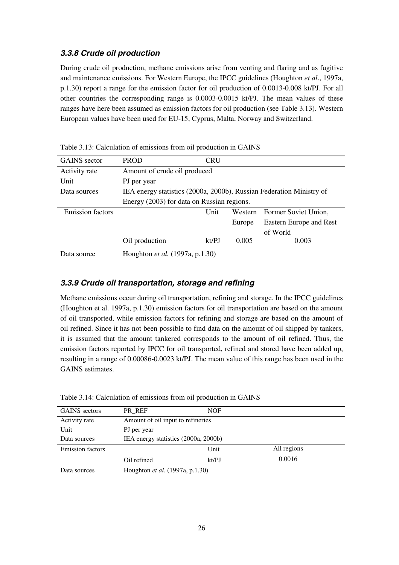### **3.3.8 Crude oil production**

During crude oil production, methane emissions arise from venting and flaring and as fugitive and maintenance emissions. For Western Europe, the IPCC guidelines (Houghton *et al*., 1997a, p.1.30) report a range for the emission factor for oil production of 0.0013-0.008 kt/PJ. For all other countries the corresponding range is 0.0003-0.0015 kt/PJ. The mean values of these ranges have here been assumed as emission factors for oil production (see Table 3.13). Western European values have been used for EU-15, Cyprus, Malta, Norway and Switzerland.

| <b>GAINS</b> sector     | <b>PROD</b>                                                          | <b>CRU</b>                   |         |                         |  |  |  |
|-------------------------|----------------------------------------------------------------------|------------------------------|---------|-------------------------|--|--|--|
| Activity rate           |                                                                      | Amount of crude oil produced |         |                         |  |  |  |
| Unit                    | PJ per year                                                          |                              |         |                         |  |  |  |
| Data sources            | IEA energy statistics (2000a, 2000b), Russian Federation Ministry of |                              |         |                         |  |  |  |
|                         | Energy (2003) for data on Russian regions.                           |                              |         |                         |  |  |  |
| <b>Emission</b> factors |                                                                      | Unit                         | Western | Former Soviet Union,    |  |  |  |
|                         |                                                                      |                              | Europe  | Eastern Europe and Rest |  |  |  |
|                         |                                                                      |                              |         | of World                |  |  |  |
|                         | Oil production                                                       | kt/PJ                        | 0.005   | 0.003                   |  |  |  |
| Data source             | Houghton et al. (1997a, p.1.30)                                      |                              |         |                         |  |  |  |

Table 3.13: Calculation of emissions from oil production in GAINS

### **3.3.9 Crude oil transportation, storage and refining**

Methane emissions occur during oil transportation, refining and storage. In the IPCC guidelines (Houghton et al. 1997a, p.1.30) emission factors for oil transportation are based on the amount of oil transported, while emission factors for refining and storage are based on the amount of oil refined. Since it has not been possible to find data on the amount of oil shipped by tankers, it is assumed that the amount tankered corresponds to the amount of oil refined. Thus, the emission factors reported by IPCC for oil transported, refined and stored have been added up, resulting in a range of 0.00086-0.0023 kt/PJ. The mean value of this range has been used in the GAINS estimates.

| Table 3.14: Calculation of emissions from oil production in GAINS |  |  |
|-------------------------------------------------------------------|--|--|
|                                                                   |  |  |

| <b>GAINS</b> sectors    | PR REF                                 | <b>NOF</b> |             |  |  |  |
|-------------------------|----------------------------------------|------------|-------------|--|--|--|
| Activity rate           | Amount of oil input to refineries      |            |             |  |  |  |
| Unit                    | PJ per year                            |            |             |  |  |  |
| Data sources            | IEA energy statistics (2000a, 2000b)   |            |             |  |  |  |
| <b>Emission factors</b> |                                        | Unit       | All regions |  |  |  |
|                         | Oil refined                            | kt/PJ      | 0.0016      |  |  |  |
| Data sources            | Houghton <i>et al.</i> (1997a, p.1.30) |            |             |  |  |  |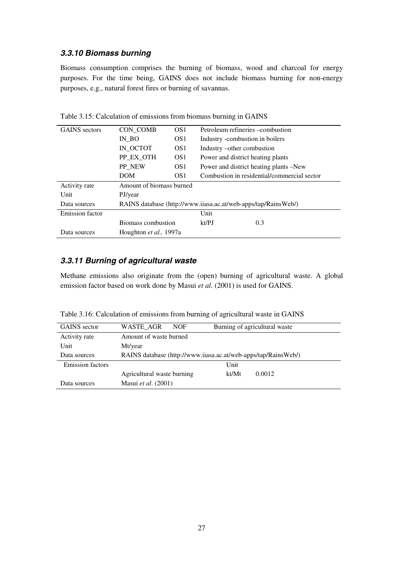### **3.3.10 Biomass burning**

Biomass consumption comprises the burning of biomass, wood and charcoal for energy purposes. For the time being, GAINS does not include biomass burning for non-energy purposes, e.g., natural forest fires or burning of savannas.

| <b>GAINS</b> sectors   | CON_COMB                 | OS <sub>1</sub> | Petroleum refineries – combustion                              |
|------------------------|--------------------------|-----------------|----------------------------------------------------------------|
|                        | IN BO<br>OS <sub>1</sub> |                 | Industry -combustion in boilers                                |
|                        | IN OCTOT                 | OS <sub>1</sub> | Industry –other combustion                                     |
|                        | PP EX OTH                | OS <sub>1</sub> | Power and district heating plants                              |
|                        | PP NEW                   | OS <sub>1</sub> | Power and district heating plants -New                         |
|                        | <b>DOM</b>               | OS <sub>1</sub> | Combustion in residential/commercial sector                    |
| Activity rate          | Amount of biomass burned |                 |                                                                |
| Unit                   | PJ/year                  |                 |                                                                |
| Data sources           |                          |                 | RAINS database (http://www.iiasa.ac.at/web-apps/tap/RainsWeb/) |
| <b>Emission factor</b> |                          |                 | Unit                                                           |
|                        | Biomass combustion       |                 | kt/PJ<br>0.3                                                   |
| Data sources           | Houghton et al., 1997a   |                 |                                                                |

Table 3.15: Calculation of emissions from biomass burning in GAINS

### **3.3.11 Burning of agricultural waste**

Methane emissions also originate from the (open) burning of agricultural waste. A global emission factor based on work done by Masui et al. (2001) is used for GAINS.

Table 3.16: Calculation of emissions from burning of agricultural waste in GAINS

| <b>GAINS</b> sector     | WASTE AGR                  | <b>NOF</b>                                                     |       | Burning of agricultural waste |  |  |
|-------------------------|----------------------------|----------------------------------------------------------------|-------|-------------------------------|--|--|
| Activity rate           | Amount of waste burned     |                                                                |       |                               |  |  |
| Unit                    | Mt/year                    |                                                                |       |                               |  |  |
| Data sources            |                            | RAINS database (http://www.iiasa.ac.at/web-apps/tap/RainsWeb/) |       |                               |  |  |
| <b>Emission factors</b> |                            |                                                                | Unit  |                               |  |  |
|                         | Agricultural waste burning |                                                                | kt/Mt | 0.0012                        |  |  |
| Data sources            | Masui et al. (2001)        |                                                                |       |                               |  |  |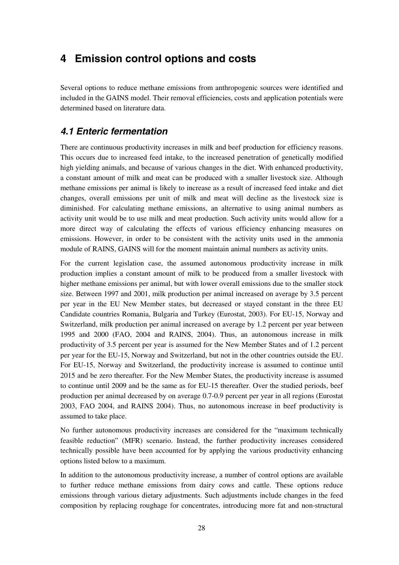## **4 Emission control options and costs**

Several options to reduce methane emissions from anthropogenic sources were identified and included in the GAINS model. Their removal efficiencies, costs and application potentials were determined based on literature data.

### **4.1 Enteric fermentation**

There are continuous productivity increases in milk and beef production for efficiency reasons. This occurs due to increased feed intake, to the increased penetration of genetically modified high yielding animals, and because of various changes in the diet. With enhanced productivity, a constant amount of milk and meat can be produced with a smaller livestock size. Although methane emissions per animal is likely to increase as a result of increased feed intake and diet changes, overall emissions per unit of milk and meat will decline as the livestock size is diminished. For calculating methane emissions, an alternative to using animal numbers as activity unit would be to use milk and meat production. Such activity units would allow for a more direct way of calculating the effects of various efficiency enhancing measures on emissions. However, in order to be consistent with the activity units used in the ammonia module of RAINS, GAINS will for the moment maintain animal numbers as activity units.

For the current legislation case, the assumed autonomous productivity increase in milk production implies a constant amount of milk to be produced from a smaller livestock with higher methane emissions per animal, but with lower overall emissions due to the smaller stock size. Between 1997 and 2001, milk production per animal increased on average by 3.5 percent per year in the EU New Member states, but decreased or stayed constant in the three EU Candidate countries Romania, Bulgaria and Turkey (Eurostat, 2003). For EU-15, Norway and Switzerland, milk production per animal increased on average by 1.2 percent per year between 1995 and 2000 (FAO, 2004 and RAINS, 2004). Thus, an autonomous increase in milk productivity of 3.5 percent per year is assumed for the New Member States and of 1.2 percent per year for the EU-15, Norway and Switzerland, but not in the other countries outside the EU. For EU-15, Norway and Switzerland, the productivity increase is assumed to continue until 2015 and be zero thereafter. For the New Member States, the productivity increase is assumed to continue until 2009 and be the same as for EU-15 thereafter. Over the studied periods, beef production per animal decreased by on average 0.7-0.9 percent per year in all regions (Eurostat 2003, FAO 2004, and RAINS 2004). Thus, no autonomous increase in beef productivity is assumed to take place.

No further autonomous productivity increases are considered for the "maximum technically feasible reduction" (MFR) scenario. Instead, the further productivity increases considered technically possible have been accounted for by applying the various productivity enhancing options listed below to a maximum.

In addition to the autonomous productivity increase, a number of control options are available to further reduce methane emissions from dairy cows and cattle. These options reduce emissions through various dietary adjustments. Such adjustments include changes in the feed composition by replacing roughage for concentrates, introducing more fat and non-structural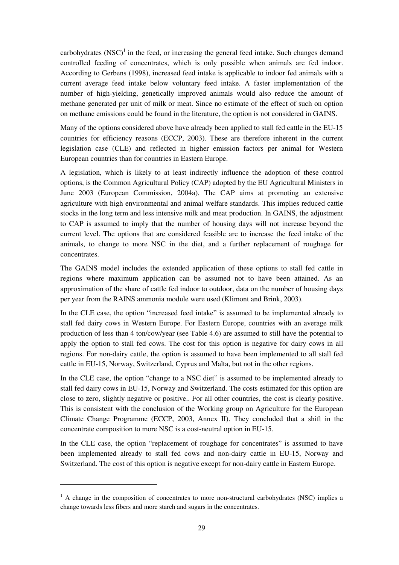carbohydrates  $(NSC)^1$  in the feed, or increasing the general feed intake. Such changes demand controlled feeding of concentrates, which is only possible when animals are fed indoor. According to Gerbens (1998), increased feed intake is applicable to indoor fed animals with a current average feed intake below voluntary feed intake. A faster implementation of the number of high-yielding, genetically improved animals would also reduce the amount of methane generated per unit of milk or meat. Since no estimate of the effect of such on option on methane emissions could be found in the literature, the option is not considered in GAINS.

Many of the options considered above have already been applied to stall fed cattle in the EU-15 countries for efficiency reasons (ECCP, 2003). These are therefore inherent in the current legislation case (CLE) and reflected in higher emission factors per animal for Western European countries than for countries in Eastern Europe.

A legislation, which is likely to at least indirectly influence the adoption of these control options, is the Common Agricultural Policy (CAP) adopted by the EU Agricultural Ministers in June 2003 (European Commission, 2004a). The CAP aims at promoting an extensive agriculture with high environmental and animal welfare standards. This implies reduced cattle stocks in the long term and less intensive milk and meat production. In GAINS, the adjustment to CAP is assumed to imply that the number of housing days will not increase beyond the current level. The options that are considered feasible are to increase the feed intake of the animals, to change to more NSC in the diet, and a further replacement of roughage for concentrates.

The GAINS model includes the extended application of these options to stall fed cattle in regions where maximum application can be assumed not to have been attained. As an approximation of the share of cattle fed indoor to outdoor, data on the number of housing days per year from the RAINS ammonia module were used (Klimont and Brink, 2003).

In the CLE case, the option "increased feed intake" is assumed to be implemented already to stall fed dairy cows in Western Europe. For Eastern Europe, countries with an average milk production of less than 4 ton/cow/year (see Table 4.6) are assumed to still have the potential to apply the option to stall fed cows. The cost for this option is negative for dairy cows in all regions. For non-dairy cattle, the option is assumed to have been implemented to all stall fed cattle in EU-15, Norway, Switzerland, Cyprus and Malta, but not in the other regions.

In the CLE case, the option "change to a NSC diet" is assumed to be implemented already to stall fed dairy cows in EU-15, Norway and Switzerland. The costs estimated for this option are close to zero, slightly negative or positive.. For all other countries, the cost is clearly positive. This is consistent with the conclusion of the Working group on Agriculture for the European Climate Change Programme (ECCP, 2003, Annex II). They concluded that a shift in the concentrate composition to more NSC is a cost-neutral option in EU-15.

In the CLE case, the option "replacement of roughage for concentrates" is assumed to have been implemented already to stall fed cows and non-dairy cattle in EU-15, Norway and Switzerland. The cost of this option is negative except for non-dairy cattle in Eastern Europe.

 $\overline{a}$ 

<sup>&</sup>lt;sup>1</sup> A change in the composition of concentrates to more non-structural carbohydrates (NSC) implies a change towards less fibers and more starch and sugars in the concentrates.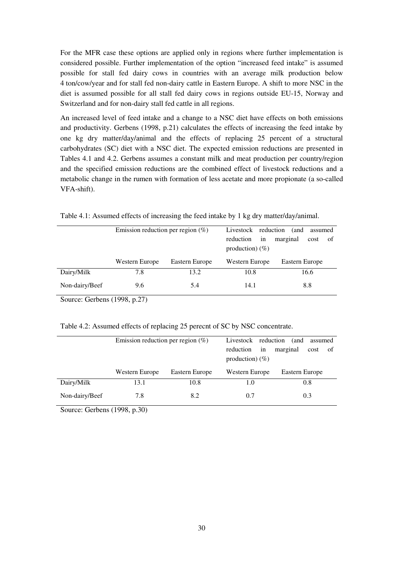For the MFR case these options are applied only in regions where further implementation is considered possible. Further implementation of the option "increased feed intake" is assumed possible for stall fed dairy cows in countries with an average milk production below 4 ton/cow/year and for stall fed non-dairy cattle in Eastern Europe. A shift to more NSC in the diet is assumed possible for all stall fed dairy cows in regions outside EU-15, Norway and Switzerland and for non-dairy stall fed cattle in all regions.

An increased level of feed intake and a change to a NSC diet have effects on both emissions and productivity. Gerbens (1998, p.21) calculates the effects of increasing the feed intake by one kg dry matter/day/animal and the effects of replacing 25 percent of a structural carbohydrates (SC) diet with a NSC diet. The expected emission reductions are presented in Tables 4.1 and 4.2. Gerbens assumes a constant milk and meat production per country/region and the specified emission reductions are the combined effect of livestock reductions and a metabolic change in the rumen with formation of less acetate and more propionate (a so-called VFA-shift).

|                | Emission reduction per region $(\%)$ |                | Livestock reduction             |          |                | (and | assumed |  |
|----------------|--------------------------------------|----------------|---------------------------------|----------|----------------|------|---------|--|
|                |                                      |                | reduction<br>production) $(\%)$ | marginal |                | cost | 0f      |  |
|                | Western Europe                       | Eastern Europe | Western Europe                  |          | Eastern Europe |      |         |  |
| Dairy/Milk     | 7.8                                  | 13.2           | 10.8                            |          |                |      | 16.6    |  |
| Non-dairy/Beef | 9.6                                  | 5.4            | 14.1                            |          |                |      | 8.8     |  |

Table 4.1: Assumed effects of increasing the feed intake by 1 kg dry matter/day/animal.

Source: Gerbens (1998, p.27)

|  | Table 4.2: Assumed effects of replacing 25 perecnt of SC by NSC concentrate. |
|--|------------------------------------------------------------------------------|
|  |                                                                              |

|                | Emission reduction per region $(\%)$ |                | Livestock reduction<br>reduction<br>production) $(\%)$ | marginal       | (and | assumed<br>cost | οf  |  |
|----------------|--------------------------------------|----------------|--------------------------------------------------------|----------------|------|-----------------|-----|--|
|                | Western Europe                       | Eastern Europe |                                                        | Western Europe |      | Eastern Europe  |     |  |
| Dairy/Milk     | 13.1                                 | 10.8           | 1.0                                                    |                |      |                 | 0.8 |  |
| Non-dairy/Beef | 7.8                                  | 8.2            | 0.7                                                    |                |      |                 | 0.3 |  |

Source: Gerbens (1998, p.30)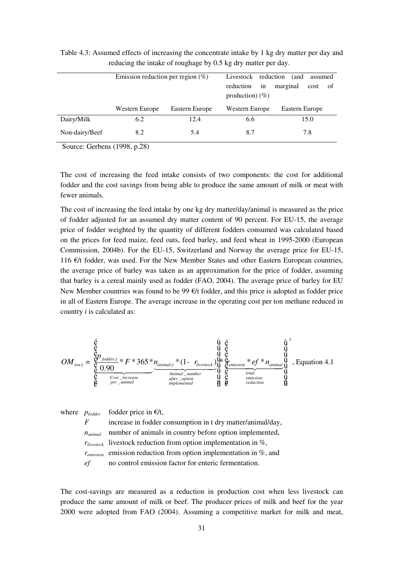|                | Emission reduction per region $(\%)$ | Livestock reduction<br>reduction<br>production) $(\%)$ | in  | marginal       | (and | assumed<br>cost | οf  |  |
|----------------|--------------------------------------|--------------------------------------------------------|-----|----------------|------|-----------------|-----|--|
|                | Western Europe                       | Eastern Europe                                         |     | Western Europe |      | Eastern Europe  |     |  |
| Dairy/Milk     | 6.2                                  | 12.4                                                   | 6.6 |                | 15.0 |                 |     |  |
| Non-dairy/Beef | 8.2                                  | 5.4                                                    | 8.7 |                |      |                 | 7.8 |  |

Table 4.3: Assumed effects of increasing the concentrate intake by 1 kg dry matter per day and reducing the intake of roughage by 0.5 kg dry matter per day.

Source: Gerbens (1998, p.28)

The cost of increasing the feed intake consists of two components: the cost for additional fodder and the cost savings from being able to produce the same amount of milk or meat with fewer animals.

The cost of increasing the feed intake by one kg dry matter/day/animal is measured as the price of fodder adjusted for an assumed dry matter content of 90 percent. For EU-15, the average price of fodder weighted by the quantity of different fodders consumed was calculated based on the prices for feed maize, feed oats, feed barley, and feed wheat in 1995-2000 (European Commission, 2004b). For the EU-15, Switzerland and Norway the average price for EU-15, 116 €/t fodder, was used. For the New Member States and other Eastern European countries, the average price of barley was taken as an approximation for the price of fodder, assuming that barley is a cereal mainly used as fodder (FAO, 2004). The average price of barley for EU New Member countries was found to be 99  $\epsilon/t$  fodder, and this price is adopted as fodder price in all of Eastern Europe. The average increase in the operating cost per ton methane reduced in country *i* is calculated as:

$$
OM_{\text{ton;i}} = \underbrace{\overset{\text{\'e}}{\underset{\text{\'e}}{\text{\'e}}}\underset{\text{\'e}}{\overset{\text{\'e}}{\underset{\text{\'e}}{\text{\'e}}}\underset{\text{for\_arcrase}}{\overset{\text{\'e}}{\text{\'e}}}} + F * 365 * \underset{\text{inomial\_number}}{\underset{\text{inomial\_number}}{\overset{\text{\'e}}{\text{\'e}}}\underset{\text{\'e}}{\overset{\text{\'e}}{\text{\'e}}}\underset{\text{inthermal}}{\overset{\text{\'e}}{\overset{\text{\'e}}{\text{\'e}}}\underset{\text{inthermal}}{\overset{\text{\'e}}{\text{\'e}}}\underset{\text{\'e}}{\overset{\text{\'e}}{\text{\'e}}}\underset{\text{indic\_rumber}}{\overset{\text{\'e}}{\text{\'e}}}\underset{\text{\'e}}{\overset{\text{\'e}}{\text{\'e}}}\underset{\text{indic\_rumber}}{\overset{\text{\'e}}{\text{\'e}}}\underset{\text{\'e}}{\overset{\text{\'e}}{\text{\'e}}}\underset{\text{indic\_rumber}}{\overset{\text{\'e}}{\text{\'e}}}\overset{\text{\'e}}{\overset{\text{\'e}}{\text{\'e}}}\underset{\text{indic\_rumber}}{\overset{\text{\'e}}{\text{\'e}}}\overset{\text{\'e}}{\overset{\text{\'e}}{\text{\'e}}}{\overset{\text{\'e}}{\text{\'e}}}\underset{\text{indic\_rumber}}{\overset{\text{\'e}}{\text{\'e}}}\overset{\text{\'e}}{\overset{\text{\'e}}{\text{\'e}}}\underset{\text{indic\_rumber}}{\overset{\text{\'e}}{\text{\'e}}}\overset{\text{\'e}}{\overset{\text{\'e}}{\text{\'e}}}\underset{\text{indic\_rumber}}{\overset{\text{\'e}}{\text{\'e}}}\overset{\text{\'e}}{\overset{\text{\'e}}{\text{\'e}}}{\overset{\text{\'e}}{\text{\'e}}}\underset{\text{indic\_righth}}{\overset{\text{\'e}}{\text{\'e}}}\overset{\text{\'e}}{\overset{\text{\'e}}{\text{\'e}}}{\overset{\text{\'e}}{\text{\'e}}}
$$

where  $p_{f{odder}}$  fodder price in  $E/t$ ,

*F* increase in fodder consumption in t dry matter/animal/day, *n<sub>animal</sub>* number of animals in country before option implemented, *rlivestock* livestock reduction from option implementation in %, *remission* emission reduction from option implementation in %, and *ef* no control emission factor for enteric fermentation.

The cost-savings are measured as a reduction in production cost when less livestock can produce the same amount of milk or beef. The producer prices of milk and beef for the year 2000 were adopted from FAO (2004). Assuming a competitive market for milk and meat,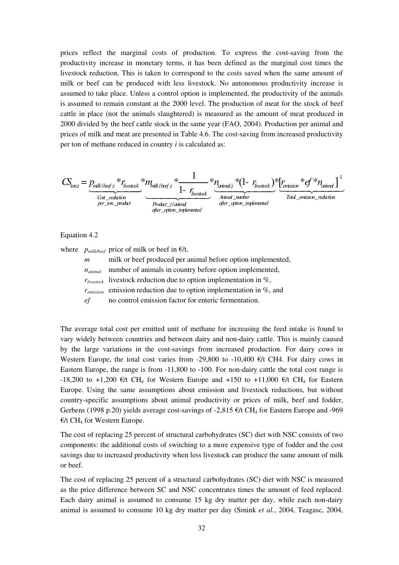prices reflect the marginal costs of production. To express the cost-saving from the productivity increase in monetary terms, it has been defined as the marginal cost times the livestock reduction. This is taken to correspond to the costs saved when the same amount of milk or beef can be produced with less livestock. No autonomous productivity increase is assumed to take place. Unless a control option is implemented, the productivity of the animals is assumed to remain constant at the 2000 level. The production of meat for the stock of beef cattle in place (not the animals slaughtered) is measured as the amount of meat produced in 2000 divided by the beef cattle stock in the same year (FAO, 2004). Production per animal and prices of milk and meat are presented in Table 4.6. The cost-saving from increased productivity per ton of methane reduced in country *i* is calculated as:

$$
CS_{\text{tor,}i} = \underbrace{p_{\text{milk}/\text{beg};i}}_{\text{Cost\_reduction}} * r_{\text{Investock}} \underbrace{m_{\text{milk}/\text{beg};i}}_{\text{Product}} * \underbrace{1 - r_{\text{inestock}}}_{\text{Product\_t/animal}} * (1 - r_{\text{inestock}}) \underbrace{r_{\text{inestock}}}_{\text{Avimul\_number}} * \underbrace{f * n_{\text{animul}}}_{\text{Total\_enission\_reduction}}]
$$

#### Equation 4.2

where  $p_{\text{milk/beef}}$  price of milk or beef in  $\epsilon/t$ ,

| $\boldsymbol{m}$ | milk or beef produced per animal before option implemented,                   |
|------------------|-------------------------------------------------------------------------------|
| $n_{animal}$     | number of animals in country before option implemented,                       |
|                  | $r_{\text{liveslock}}$ livestock reduction due to option implementation in %, |
| $r_{emission}$   | emission reduction due to option implementation in $\%$ , and                 |
| e f              | no control emission factor for enteric fermentation.                          |

The average total cost per emitted unit of methane for increasing the feed intake is found to vary widely between countries and between dairy and non-dairy cattle. This is mainly caused by the large variations in the cost-savings from increased production. For dairy cows in Western Europe, the total cost varies from -29,800 to -10,400  $\epsilon/t$  CH4. For dairy cows in Eastern Europe, the range is from -11,800 to -100. For non-dairy cattle the total cost range is -18,200 to +1,200  $\epsilon/t$  CH<sub>4</sub> for Western Europe and +150 to +11,000  $\epsilon/t$  CH<sub>4</sub> for Eastern Europe. Using the same assumptions about emission and livestock reductions, but without country-specific assumptions about animal productivity or prices of milk, beef and fodder, Gerbens (1998 p.20) yields average cost-savings of -2,815  $\epsilon/t$  CH<sub>4</sub> for Eastern Europe and -969  $\epsilon/t$  CH<sub>4</sub> for Western Europe.

The cost of replacing 25 percent of structural carbohydrates (SC) diet with NSC consists of two components: the additional costs of switching to a more expensive type of fodder and the cost savings due to increased productivity when less livestock can produce the same amount of milk or beef.

The cost of replacing 25 percent of a structural carbohydrates (SC) diet with NSC is measured as the price difference between SC and NSC concentrates times the amount of feed replaced. Each dairy animal is assumed to consume 15 kg dry matter per day, while each non-dairy animal is assumed to consume 10 kg dry matter per day (Smink *et al.*, 2004, Teagasc, 2004,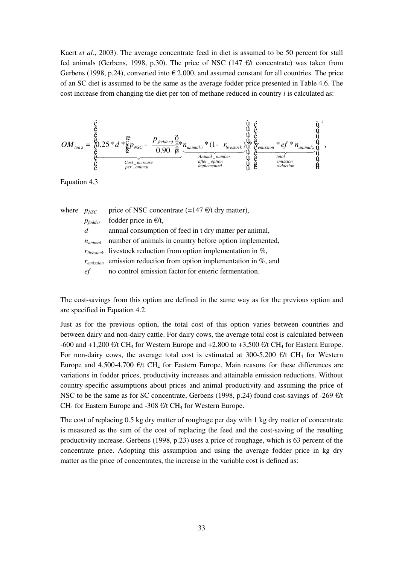Kaert *et al.*, 2003). The average concentrate feed in diet is assumed to be 50 percent for stall fed animals (Gerbens, 1998, p.30). The price of NSC (147  $\epsilon/t$  concentrate) was taken from Gerbens (1998, p.24), converted into  $\epsilon$  2,000, and assumed constant for all countries. The price of an SC diet is assumed to be the same as the average fodder price presented in Table 4.6. The cost increase from changing the diet per ton of methane reduced in country *i* is calculated as:

$$
OM_{\textit{ton;i}} = \underbrace{\overset{\xi}{\underset{\xi}{\text{c}}}}_{\overset{\xi}{\text{c}}} 25 * d * \underbrace{\overset{\mathfrak{X}}{\underset{\xi}{\text{c}}}}_{\textit{for } \text{lower}} P_{\textit{NSC}} - \underbrace{\overset{P_{\textit{folder}};\overset{\mathbf{G}}{\underset{\xi}{\text{c}}}{\overset{\mathbf{G}}{\text{d}}}}}_{\textit{0.90} \underbrace{\overset{\mathbf{G}}{\overline{\text{d}}}}_{\overset{\xi}{\text{d}}}} \underbrace{n_{\textit{animal;i}} * (1 - r_{\textit{Investock}})}_{\textit{Animal\_number}} \underbrace{\overset{\mathbf{G}}{\underset{\mathbf{G}}{\text{d}}}{\overset{\mathbf{G}}{\text{d}}}}_{\overset{\mathbf{G}}{\text{d}}}\underbrace{n_{\textit{emission}}}_{\textit{inplane}} \underbrace{\overset{\mathbf{G}}{\underset{\mathbf{G}}{\text{d}}}{\overset{\mathbf{G}}{\text{d}}}}_{\overset{\mathbf{G}}{\text{d}}}\underbrace{n_{\textit{unimal;i}}}}_{\overset{\mathbf{G}}{\text{inplane}}}\overset{\mathbf{G}}{\underset{\mathbf{G}}{\text{d}}}{\overset{\mathbf{G}}{\text{d}}}} \underbrace{n_{\textit{unision}}}_{\overset{\mathbf{G}}{\text{in}}}\underbrace{n_{\textit{in}}}}^{\overset{\mathbf{G}}{\text{d}}}\underbrace{\overset{\mathbf{G}}{\text{d}}}_{\overset{\mathbf{G}}{\text{d}}}\underbrace{n_{\textit{in}}}}_{\overset{\mathbf{G}}{\text{d}}}\underbrace{n_{\textit{in}}}}^{\overset{\mathbf{G}}{\text{d}}}\underbrace{\overset{\mathbf{G}}{\text{d}}}_{\overset{\mathbf{G}}{\text{d}}}\underbrace{n_{\textit{in}}}}^{\overset{\mathbf{G}}{\text{d}}}\underbrace{n_{\textit{in}}}}_{\overset{\mathbf{G}}{\text{d}}\text{d}}\underbrace{n_{\textit{in}}}}^{\overset{\mathbf{G}}{\text{d}}}\underbrace{n_{\textit{in}}}}^{\overset{\mathbf{G}}{\text{d}}}\underbrace{n_{\textit{in}}}}_{\overset{\mathbf{G}}{\text{d}}\text{d}}},\underbrace{n_{\textit
$$

Equation 4.3

| where $p_{NSC}$ |                      | price of NSC concentrate $(=147 \text{ }\text{€/t} \text{ dry matter})$ ,   |
|-----------------|----------------------|-----------------------------------------------------------------------------|
|                 | $p_{fodder}$         | fodder price in $E/t$ ,                                                     |
|                 | d                    | annual consumption of feed in t dry matter per animal,                      |
|                 | $n_{\text{minimal}}$ | number of animals in country before option implemented,                     |
|                 |                      | $r_{\text{livestock}}$ livestock reduction from option implementation in %, |
|                 |                      | $r_{emission}$ emission reduction from option implementation in %, and      |
|                 | e f                  | no control emission factor for enteric fermentation.                        |

The cost-savings from this option are defined in the same way as for the previous option and are specified in Equation 4.2.

Just as for the previous option, the total cost of this option varies between countries and between dairy and non-dairy cattle. For dairy cows, the average total cost is calculated between -600 and +1,200  $\epsilon/t$  CH<sub>4</sub> for Western Europe and +2,800 to +3,500  $\epsilon/t$  CH<sub>4</sub> for Eastern Europe. For non-dairy cows, the average total cost is estimated at 300-5,200  $\epsilon/t$  CH<sub>4</sub> for Western Europe and 4,500-4,700  $\epsilon/t$  CH<sub>4</sub> for Eastern Europe. Main reasons for these differences are variations in fodder prices, productivity increases and attainable emission reductions. Without country-specific assumptions about prices and animal productivity and assuming the price of NSC to be the same as for SC concentrate, Gerbens (1998, p.24) found cost-savings of -269  $\epsilon/t$ CH<sub>4</sub> for Eastern Europe and -308  $\epsilon$ /t CH<sub>4</sub> for Western Europe.

The cost of replacing 0.5 kg dry matter of roughage per day with 1 kg dry matter of concentrate is measured as the sum of the cost of replacing the feed and the cost-saving of the resulting productivity increase. Gerbens (1998, p.23) uses a price of roughage, which is 63 percent of the concentrate price. Adopting this assumption and using the average fodder price in kg dry matter as the price of concentrates, the increase in the variable cost is defined as: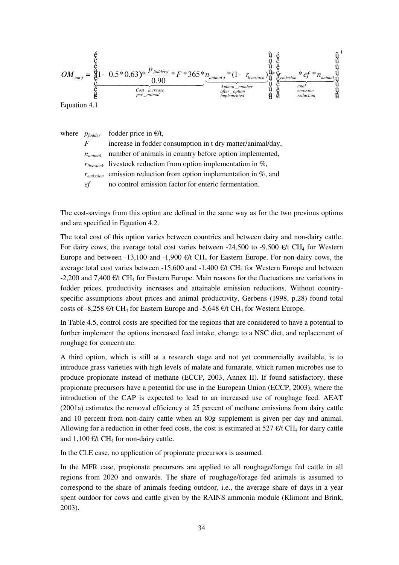$$
OM_{\text{ton;i}} = \underbrace{\overset{\not\in}{\underset{\mathcal{C}}{\text{for}}} 1 - 0.5 * 0.63) * \frac{p_{\text{folder;i}}}{0.90} * F * 365 * n_{\text{animal;i}} * (1 - r_{\text{lvestock}})}_{\text{amimal}\_\text{u} \text{mml} \text{mml}} \underbrace{\overset{\nabla}{\underset{\mathcal{C}}{\text{for}}} 1 - r_{\text{lvestock}}}_{\text{inomial}\_\text{u} \text{inter\_option}} \underbrace{\overset{\nabla}{\underset{\mathcal{C}}{\text{for}}} 1 - \overset{\nabla}{\underset{\mathcal{C}}{\text{for}}}{\underset{\mathcal{C}}{\text{inversion}}} 1} * (1 - r_{\text{lvestock}})}_{\text{inomial}\_\text{u} \text{inter\_option}} \underbrace{\overset{\nabla}{\underset{\mathcal{C}}{\text{for}}}{\underset{\mathcal{C}}{\text{for}}}} \underbrace{\overset{\nabla}{\underset{\mathcal{C}}{\text{for}}}{\overset{\mathcal{C}}{\text{for}}}} \underbrace{\overset{\nabla}{\underset{\mathcal{C}}{\text{for}}}{\overset{\mathcal{C}}{\text{for}}}} \underbrace{\overset{\nabla}{\underset{\mathcal{C}}{\text{for}}}{\overset{\mathcal{C}}{\text{for}}}} \underbrace{\overset{\nabla}{\underset{\mathcal{C}}{\text{for}}}{\overset{\mathcal{C}}{\text{for}}}} \underbrace{\overset{\nabla}{\underset{\mathcal{C}}{\text{for}}}{\overset{\mathcal{C}}{\text{for}}}} \underbrace{\overset{\nabla}{\underset{\mathcal{C}}{\text{for}}}{\overset{\mathcal{C}}{\text{for}}}} \underbrace{\overset{\nabla}{\underset{\mathcal{C}}{\text{for}}}{\overset{\mathcal{C}}{\text{for}}}} \underbrace{\overset{\nabla}{\underset{\mathcal{C}}{\text{for}}}{\overset{\mathcal{C}}{\text{for}}}} \underbrace{\overset{\nabla}{\underset{\mathcal{C}}{\text{for}}}{\overset{\mathcal{C}}{\text{for}}}} \underbrace{\overset{\nabla}{\underset{\mathcal{C}}{\text{for}}}{\overset{\mathcal{C}}{\text{for}}}} \underbrace{\overset{\nabla}{\underset{\mathcal{C}}{\text{for}}}{\
$$

Equation 4.1

where  $p_{f{odder}}$  fodder price in  $E/t$ ,

*F* increase in fodder consumption in t dry matter/animal/day, *n<sub>animal</sub>* number of animals in country before option implemented, *rlivestock* livestock reduction from option implementation in %, *remission* emission reduction from option implementation in %, and *ef* no control emission factor for enteric fermentation.

The cost-savings from this option are defined in the same way as for the two previous options and are specified in Equation 4.2.

The total cost of this option varies between countries and between dairy and non-dairy cattle. For dairy cows, the average total cost varies between -24,500 to -9,500  $\epsilon/t$  CH<sub>4</sub> for Western Europe and between -13,100 and -1,900  $\epsilon/t$  CH<sub>4</sub> for Eastern Europe. For non-dairy cows, the average total cost varies between -15,600 and -1,400  $\epsilon$ /t CH<sub>4</sub> for Western Europe and between -2,200 and 7,400  $\epsilon/t$  CH<sub>4</sub> for Eastern Europe. Main reasons for the fluctuations are variations in fodder prices, productivity increases and attainable emission reductions. Without countryspecific assumptions about prices and animal productivity, Gerbens (1998, p.28) found total costs of -8,258  $\epsilon/t$  CH<sub>4</sub> for Eastern Europe and -5,648  $\epsilon/t$  CH<sub>4</sub> for Western Europe.

In Table 4.5, control costs are specified for the regions that are considered to have a potential to further implement the options increased feed intake, change to a NSC diet, and replacement of roughage for concentrate.

A third option, which is still at a research stage and not yet commercially available, is to introduce grass varieties with high levels of malate and fumarate, which rumen microbes use to produce propionate instead of methane (ECCP, 2003, Annex II). If found satisfactory, these propionate precursors have a potential for use in the European Union (ECCP, 2003), where the introduction of the CAP is expected to lead to an increased use of roughage feed. AEAT (2001a) estimates the removal efficiency at 25 percent of methane emissions from dairy cattle and 10 percent from non-dairy cattle when an 80g supplement is given per day and animal. Allowing for a reduction in other feed costs, the cost is estimated at 527  $\epsilon/t$  CH<sub>4</sub> for dairy cattle and  $1,100 \text{ E/t } CH_4$  for non-dairy cattle.

In the CLE case, no application of propionate precursors is assumed.

In the MFR case, propionate precursors are applied to all roughage/forage fed cattle in all regions from 2020 and onwards. The share of roughage/forage fed animals is assumed to correspond to the share of animals feeding outdoor, i.e., the average share of days in a year spent outdoor for cows and cattle given by the RAINS ammonia module (Klimont and Brink, 2003).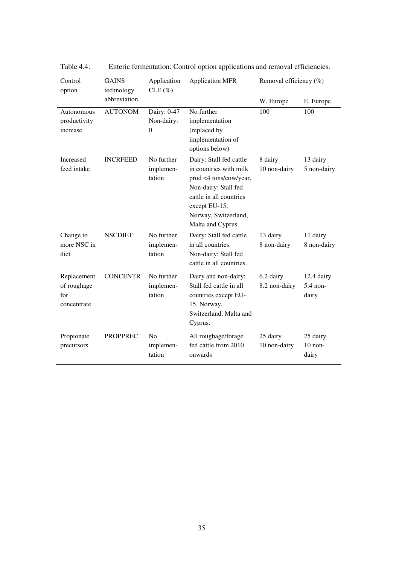| Control                                          | <b>GAINS</b>    | Application                                   | <b>Application MFR</b>                                                                                                                                                                       | Removal efficiency (%)     |                                 |
|--------------------------------------------------|-----------------|-----------------------------------------------|----------------------------------------------------------------------------------------------------------------------------------------------------------------------------------------------|----------------------------|---------------------------------|
| option                                           | technology      | $CLE (\%)$                                    |                                                                                                                                                                                              |                            |                                 |
|                                                  | abbreviation    |                                               |                                                                                                                                                                                              | W. Europe                  | E. Europe                       |
| Autonomous<br>productivity<br>increase           | <b>AUTONOM</b>  | Dairy: 0-47<br>Non-dairy:<br>$\boldsymbol{0}$ | No further<br>implementation<br>(replaced by<br>implementation of<br>options below)                                                                                                          | 100                        | 100                             |
| Increased<br>feed intake                         | <b>INCRFEED</b> | No further<br>implemen-<br>tation             | Dairy: Stall fed cattle<br>in countries with milk<br>prod <4 tons/cow/year.<br>Non-dairy: Stall fed<br>cattle in all countries<br>except EU-15,<br>Norway, Switzerland,<br>Malta and Cyprus. | 8 dairy<br>10 non-dairy    | 13 dairy<br>5 non-dairy         |
| Change to<br>more NSC in<br>diet                 | <b>NSCDIET</b>  | No further<br>implemen-<br>tation             | Dairy: Stall fed cattle<br>in all countries.<br>Non-dairy: Stall fed<br>cattle in all countries.                                                                                             | 13 dairy<br>8 non-dairy    | 11 dairy<br>8 non-dairy         |
| Replacement<br>of roughage<br>for<br>concentrate | <b>CONCENTR</b> | No further<br>implemen-<br>tation             | Dairy and non-dairy:<br>Stall fed cattle in all<br>countries except EU-<br>15, Norway,<br>Switzerland, Malta and<br>Cyprus.                                                                  | 6.2 dairy<br>8.2 non-dairy | 12.4 dairy<br>5.4 non-<br>dairy |
| Propionate<br>precursors                         | <b>PROPPREC</b> | No<br>implemen-<br>tation                     | All roughage/forage<br>fed cattle from 2010<br>onwards                                                                                                                                       | 25 dairy<br>10 non-dairy   | 25 dairy<br>$10$ non-<br>dairy  |

Table 4.4: Enteric fermentation: Control option applications and removal efficiencies.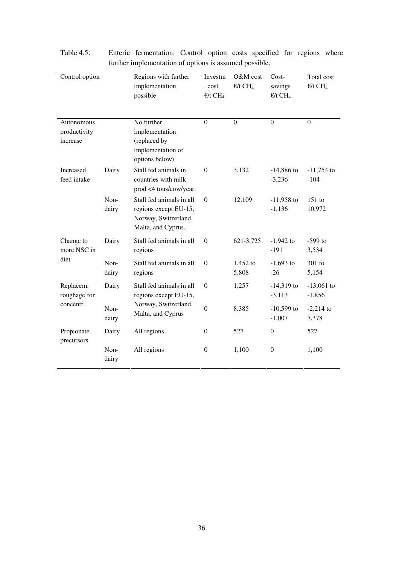| Control option                         |               | Regions with further<br>implementation<br>possible                                              | Investm<br>. cost<br>$\epsilon/t$ CH <sub>4</sub> | O&M cost<br>$E/t$ CH <sub>4</sub> | Cost-<br>savings<br>$E/t$ CH <sub>4</sub> | Total cost<br>$E/t$ CH <sub>4</sub> |
|----------------------------------------|---------------|-------------------------------------------------------------------------------------------------|---------------------------------------------------|-----------------------------------|-------------------------------------------|-------------------------------------|
| Autonomous<br>productivity<br>increase |               | No further<br>implementation<br>(replaced by<br>implementation of<br>options below)             | $\overline{0}$                                    | $\mathbf{0}$                      | $\mathbf{0}$                              | $\overline{0}$                      |
| Increased<br>feed intake               | Dairy         | Stall fed animals in<br>countries with milk<br>prod <4 tons/cow/year.                           | $\boldsymbol{0}$                                  | 3,132                             | $-14,886$ to<br>$-3,236$                  | $-11,754$ to<br>$-104$              |
|                                        | Non-<br>dairy | Stall fed animals in all<br>regions except EU-15,<br>Norway, Switzerland,<br>Malta, and Cyprus. | $\Omega$                                          | 12,109                            | $-11,958$ to<br>$-1,136$                  | $151$ to<br>10,972                  |
| Change to<br>more NSC in               | Dairy         | Stall fed animals in all<br>regions                                                             | $\Omega$                                          | 621-3,725                         | $-1,942$ to<br>$-191$                     | $-599$ to<br>3,534                  |
| diet                                   | Non-<br>dairy | Stall fed animals in all<br>regions                                                             | $\boldsymbol{0}$                                  | $1,452$ to<br>5,808               | $-1,693$ to<br>$-26$                      | 301 to<br>5,154                     |
| Replacem.<br>roughage for<br>concentr. | Dairy         | Stall fed animals in all<br>regions except EU-15,<br>Norway, Switzerland,<br>Malta, and Cyprus  | $\boldsymbol{0}$                                  | 1,257                             | $-14,319$ to<br>$-3,113$                  | $-13,061$ to<br>$-1,856$            |
|                                        | Non-<br>dairy |                                                                                                 | $\mathbf{0}$                                      | 8,385                             | $-10,599$ to<br>$-1,007$                  | $-2,214$ to<br>7,378                |
| Propionate<br>precursors               | Dairy         | All regions                                                                                     | $\boldsymbol{0}$                                  | 527                               | $\mathbf{0}$                              | 527                                 |
|                                        | Non-<br>dairy | All regions                                                                                     | $\boldsymbol{0}$                                  | 1,100                             | $\boldsymbol{0}$                          | 1,100                               |

Table 4.5: Enteric fermentation: Control option costs specified for regions where further implementation of options is assumed possible.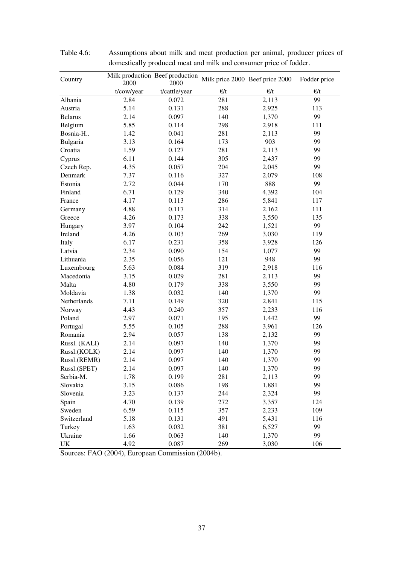| Country        | 2000       | Milk production Beef production<br>2000 |              | Milk price 2000 Beef price 2000 | Fodder price |
|----------------|------------|-----------------------------------------|--------------|---------------------------------|--------------|
|                | t/cow/year | t/cattle/year                           | $\epsilon/t$ | $\epsilon/t$                    | $\epsilon/t$ |
| Albania        | 2.84       | 0.072                                   | 281          | 2,113                           | 99           |
| Austria        | 5.14       | 0.131                                   | 288          | 2,925                           | 113          |
| <b>Belarus</b> | 2.14       | 0.097                                   | 140          | 1,370                           | 99           |
| Belgium        | 5.85       | 0.114                                   | 298          | 2,918                           | 111          |
| Bosnia-H       | 1.42       | 0.041                                   | 281          | 2,113                           | 99           |
| Bulgaria       | 3.13       | 0.164                                   | 173          | 903                             | 99           |
| Croatia        | 1.59       | 0.127                                   | 281          | 2,113                           | 99           |
| Cyprus         | 6.11       | 0.144                                   | 305          | 2,437                           | 99           |
| Czech Rep.     | 4.35       | 0.057                                   | 204          | 2,045                           | 99           |
| Denmark        | 7.37       | 0.116                                   | 327          | 2,079                           | 108          |
| Estonia        | 2.72       | 0.044                                   | 170          | 888                             | 99           |
| Finland        | 6.71       | 0.129                                   | 340          | 4,392                           | 104          |
| France         | 4.17       | 0.113                                   | 286          | 5,841                           | 117          |
| Germany        | 4.88       | 0.117                                   | 314          | 2,162                           | 111          |
| Greece         | 4.26       | 0.173                                   | 338          | 3,550                           | 135          |
| Hungary        | 3.97       | 0.104                                   | 242          | 1,521                           | 99           |
| Ireland        | 4.26       | 0.103                                   | 269          | 3,030                           | 119          |
| Italy          | 6.17       | 0.231                                   | 358          | 3,928                           | 126          |
| Latvia         | 2.34       | 0.090                                   | 154          | 1,077                           | 99           |
| Lithuania      | 2.35       | 0.056                                   | 121          | 948                             | 99           |
| Luxembourg     | 5.63       | 0.084                                   | 319          | 2,918                           | 116          |
| Macedonia      | 3.15       | 0.029                                   | 281          | 2,113                           | 99           |
| Malta          | 4.80       | 0.179                                   | 338          | 3,550                           | 99           |
| Moldavia       | 1.38       | 0.032                                   | 140          | 1,370                           | 99           |
| Netherlands    | 7.11       | 0.149                                   | 320          | 2,841                           | 115          |
| Norway         | 4.43       | 0.240                                   | 357          | 2,233                           | 116          |
| Poland         | 2.97       | 0.071                                   | 195          | 1,442                           | 99           |
| Portugal       | 5.55       | 0.105                                   | 288          | 3,961                           | 126          |
| Romania        | 2.94       | 0.057                                   | 138          | 2,132                           | 99           |
| Russl. (KALI)  | 2.14       | 0.097                                   | 140          | 1,370                           | 99           |
| Russl.(KOLK)   | 2.14       | 0.097                                   | 140          | 1,370                           | 99           |
| Russl.(REMR)   | 2.14       | 0.097                                   | 140          | 1,370                           | 99           |
| Russl.(SPET)   | 2.14       | 0.097                                   | 140          | 1,370                           | 99           |
| Serbia-M.      | 1.78       | 0.199                                   | 281          | 2,113                           | 99           |
| Slovakia       | 3.15       | 0.086                                   | 198          | 1,881                           | 99           |
| Slovenia       | 3.23       | 0.137                                   | 244          | 2,324                           | 99           |
| Spain          | 4.70       | 0.139                                   | 272          | 3,357                           | 124          |
| Sweden         | 6.59       | 0.115                                   | 357          | 2,233                           | 109          |
| Switzerland    | 5.18       | 0.131                                   | 491          | 5,431                           | 116          |
| Turkey         | 1.63       | 0.032                                   | 381          | 6,527                           | 99           |
| Ukraine        | 1.66       | 0.063                                   | 140          | 1,370                           | 99           |
| UK             | 4.92       | 0.087                                   | 269          | 3,030                           | 106          |
|                |            |                                         |              |                                 |              |

Table 4.6: Assumptions about milk and meat production per animal, producer prices of domestically produced meat and milk and consumer price of fodder.

Sources: FAO (2004), European Commission (2004b).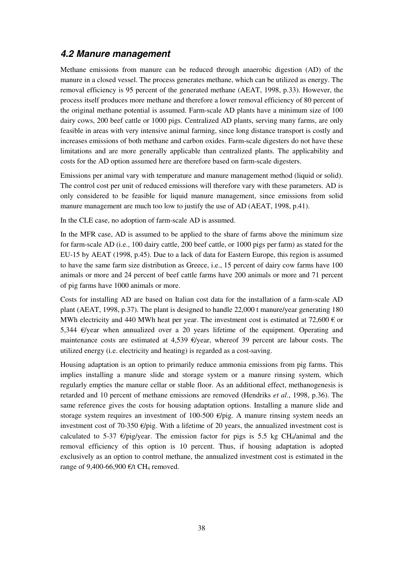#### **4.2 Manure management**

Methane emissions from manure can be reduced through anaerobic digestion (AD) of the manure in a closed vessel. The process generates methane, which can be utilized as energy. The removal efficiency is 95 percent of the generated methane (AEAT, 1998, p.33). However, the process itself produces more methane and therefore a lower removal efficiency of 80 percent of the original methane potential is assumed. Farm-scale AD plants have a minimum size of 100 dairy cows, 200 beef cattle or 1000 pigs. Centralized AD plants, serving many farms, are only feasible in areas with very intensive animal farming, since long distance transport is costly and increases emissions of both methane and carbon oxides. Farm-scale digesters do not have these limitations and are more generally applicable than centralized plants. The applicability and costs for the AD option assumed here are therefore based on farm-scale digesters.

Emissions per animal vary with temperature and manure management method (liquid or solid). The control cost per unit of reduced emissions will therefore vary with these parameters. AD is only considered to be feasible for liquid manure management, since emissions from solid manure management are much too low to justify the use of AD (AEAT, 1998, p.41).

In the CLE case, no adoption of farm-scale AD is assumed.

In the MFR case, AD is assumed to be applied to the share of farms above the minimum size for farm-scale AD (i.e., 100 dairy cattle, 200 beef cattle, or 1000 pigs per farm) as stated for the EU-15 by AEAT (1998, p.45). Due to a lack of data for Eastern Europe, this region is assumed to have the same farm size distribution as Greece, i.e., 15 percent of dairy cow farms have 100 animals or more and 24 percent of beef cattle farms have 200 animals or more and 71 percent of pig farms have 1000 animals or more.

Costs for installing AD are based on Italian cost data for the installation of a farm-scale AD plant (AEAT, 1998, p.37). The plant is designed to handle 22,000 t manure/year generating 180 MWh electricity and 440 MWh heat per year. The investment cost is estimated at 72,600  $\epsilon$  or 5,344 €/year when annualized over a 20 years lifetime of the equipment. Operating and maintenance costs are estimated at 4,539 €/year, whereof 39 percent are labour costs. The utilized energy (i.e. electricity and heating) is regarded as a cost-saving.

Housing adaptation is an option to primarily reduce ammonia emissions from pig farms. This implies installing a manure slide and storage system or a manure rinsing system, which regularly empties the manure cellar or stable floor. As an additional effect, methanogenesis is retarded and 10 percent of methane emissions are removed (Hendriks *et al*., 1998, p.36). The same reference gives the costs for housing adaptation options. Installing a manure slide and storage system requires an investment of 100-500  $\epsilon$ /pig. A manure rinsing system needs an investment cost of 70-350  $\epsilon$ /pig. With a lifetime of 20 years, the annualized investment cost is calculated to 5-37  $\epsilon$ /pig/year. The emission factor for pigs is 5.5 kg CH<sub>4</sub>/animal and the removal efficiency of this option is 10 percent. Thus, if housing adaptation is adopted exclusively as an option to control methane, the annualized investment cost is estimated in the range of 9,400-66,900  $\epsilon$ /t CH<sub>4</sub> removed.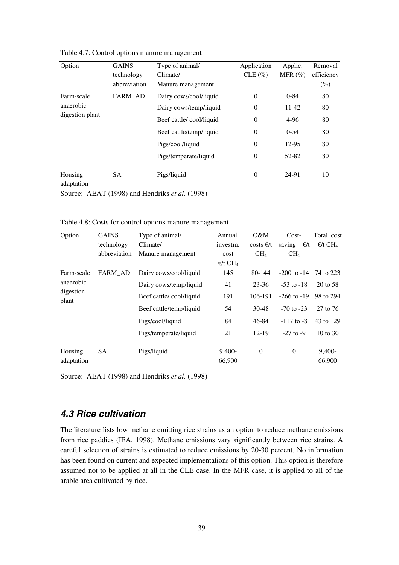| Option                | <b>GAINS</b> | Type of animal/         | Application      | Applic.    | Removal    |
|-----------------------|--------------|-------------------------|------------------|------------|------------|
|                       | technology   | Climate/                | $CLE (\%)$       | MFR $(\%)$ | efficiency |
|                       | abbreviation | Manure management       |                  |            | $(\%)$     |
| Farm-scale            | FARM AD      | Dairy cows/cool/liquid  | $\theta$         | $0 - 84$   | 80         |
| anaerobic             |              | Dairy cows/temp/liquid  | $\boldsymbol{0}$ | 11-42      | 80         |
| digestion plant       |              | Beef cattle/cool/liquid | $\theta$         | 4-96       | 80         |
|                       |              | Beef cattle/temp/liquid | $\theta$         | $0 - 54$   | 80         |
|                       |              | Pigs/cool/liquid        | $\boldsymbol{0}$ | 12-95      | 80         |
|                       |              | Pigs/temperate/liquid   | $\theta$         | 52-82      | 80         |
| Housing<br>adaptation | <b>SA</b>    | Pigs/liquid             | $\overline{0}$   | 24-91      | 10         |

Table 4.7: Control options manure management

Source: AEAT (1998) and Hendriks *et al*. (1998)

| Option                | <b>GAINS</b> | Type of animal/         | Annual.                      | O&M             | $Cost-$          | Total cost                   |
|-----------------------|--------------|-------------------------|------------------------------|-----------------|------------------|------------------------------|
|                       | technology   | Climate/                | investm.                     | costs $E/t$     | €/t<br>saving    | $\epsilon/t$ CH <sub>4</sub> |
|                       | abbreviation | Manure management       | cost                         | CH <sub>4</sub> | CH <sub>4</sub>  |                              |
|                       |              |                         | $\epsilon/t$ CH <sub>4</sub> |                 |                  |                              |
| Farm-scale            | FARM_AD      | Dairy cows/cool/liquid  | 145                          | 80-144          | $-200$ to $-14$  | 74 to 223                    |
| anaerobic             |              | Dairy cows/temp/liquid  | 41                           | $23 - 36$       | $-53$ to $-18$   | 20 to 58                     |
| digestion<br>plant    |              | Beef cattle/cool/liquid | 191                          | 106-191         | $-266$ to $-19$  | 98 to 294                    |
|                       |              | Beef cattle/temp/liquid | 54                           | $30 - 48$       | $-70$ to $-23$   | 27 to 76                     |
|                       |              | Pigs/cool/liquid        | 84                           | 46-84           | $-117$ to $-8$   | 43 to 129                    |
|                       |              | Pigs/temperate/liquid   | 21                           | $12-19$         | $-27$ to $-9$    | $10 \text{ to } 30$          |
| Housing<br>adaptation | SA           | Pigs/liquid             | $9,400-$<br>66,900           | $\theta$        | $\boldsymbol{0}$ | 9,400-<br>66,900             |

Table 4.8: Costs for control options manure management

Source: AEAT (1998) and Hendriks *et al*. (1998)

## **4.3 Rice cultivation**

The literature lists low methane emitting rice strains as an option to reduce methane emissions from rice paddies (IEA, 1998). Methane emissions vary significantly between rice strains. A careful selection of strains is estimated to reduce emissions by 20-30 percent. No information has been found on current and expected implementations of this option. This option is therefore assumed not to be applied at all in the CLE case. In the MFR case, it is applied to all of the arable area cultivated by rice.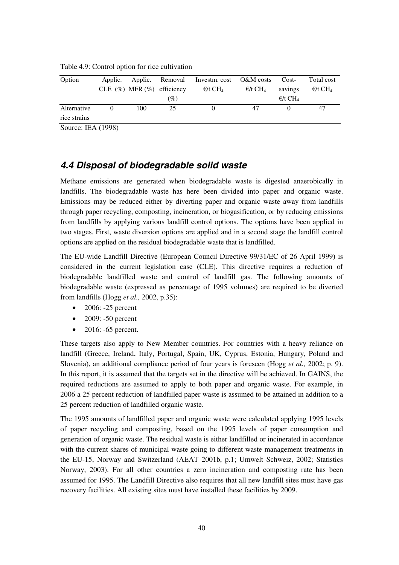| Option                      | Applic.  |     |                                  | Applic. Removal Investm.cost O&M costs |                               | Cost-                        | Total cost                   |
|-----------------------------|----------|-----|----------------------------------|----------------------------------------|-------------------------------|------------------------------|------------------------------|
|                             |          |     | CLE $(\%)$ MFR $(\%)$ efficiency | $\epsilon$ /t CH <sub>4</sub>          | $\epsilon$ /t CH <sub>4</sub> | savings                      | $\epsilon/t$ CH <sub>4</sub> |
|                             |          |     | $(\%)$                           |                                        |                               | $\epsilon/t$ CH <sub>4</sub> |                              |
| Alternative<br>rice strains | $\theta$ | 100 | 25                               |                                        | 47                            |                              | 47                           |
| Source: IEA (1998)          |          |     |                                  |                                        |                               |                              |                              |

Table 4.9: Control option for rice cultivation

#### **4.4 Disposal of biodegradable solid waste**

Methane emissions are generated when biodegradable waste is digested anaerobically in landfills. The biodegradable waste has here been divided into paper and organic waste. Emissions may be reduced either by diverting paper and organic waste away from landfills through paper recycling, composting, incineration, or biogasification, or by reducing emissions from landfills by applying various landfill control options. The options have been applied in two stages. First, waste diversion options are applied and in a second stage the landfill control options are applied on the residual biodegradable waste that is landfilled.

The EU-wide Landfill Directive (European Council Directive 99/31/EC of 26 April 1999) is considered in the current legislation case (CLE). This directive requires a reduction of biodegradable landfilled waste and control of landfill gas. The following amounts of biodegradable waste (expressed as percentage of 1995 volumes) are required to be diverted from landfills (Hogg *et al.,* 2002, p.35):

- $\bullet$  2006: -25 percent
- 2009: -50 percent
- 2016: -65 percent.

These targets also apply to New Member countries. For countries with a heavy reliance on landfill (Greece, Ireland, Italy, Portugal, Spain, UK, Cyprus, Estonia, Hungary, Poland and Slovenia), an additional compliance period of four years is foreseen (Hogg *et al.,* 2002; p. 9). In this report, it is assumed that the targets set in the directive will be achieved. In GAINS, the required reductions are assumed to apply to both paper and organic waste. For example, in 2006 a 25 percent reduction of landfilled paper waste is assumed to be attained in addition to a 25 percent reduction of landfilled organic waste.

The 1995 amounts of landfilled paper and organic waste were calculated applying 1995 levels of paper recycling and composting, based on the 1995 levels of paper consumption and generation of organic waste. The residual waste is either landfilled or incinerated in accordance with the current shares of municipal waste going to different waste management treatments in the EU-15, Norway and Switzerland (AEAT 2001b, p.1; Umwelt Schweiz, 2002; Statistics Norway, 2003). For all other countries a zero incineration and composting rate has been assumed for 1995. The Landfill Directive also requires that all new landfill sites must have gas recovery facilities. All existing sites must have installed these facilities by 2009.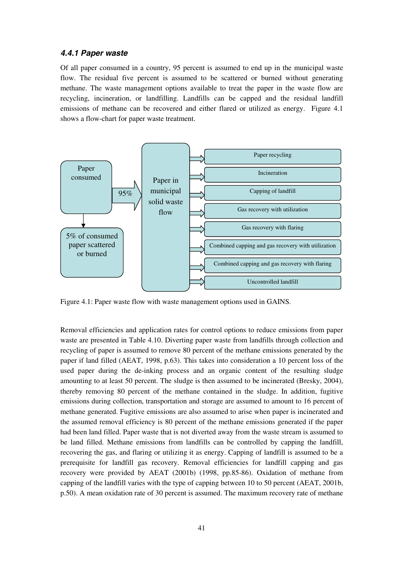#### **4.4.1 Paper waste**

Of all paper consumed in a country, 95 percent is assumed to end up in the municipal waste flow. The residual five percent is assumed to be scattered or burned without generating methane. The waste management options available to treat the paper in the waste flow are recycling, incineration, or landfilling. Landfills can be capped and the residual landfill emissions of methane can be recovered and either flared or utilized as energy. Figure 4.1 shows a flow-chart for paper waste treatment.



Figure 4.1: Paper waste flow with waste management options used in GAINS.

Removal efficiencies and application rates for control options to reduce emissions from paper waste are presented in Table 4.10. Diverting paper waste from landfills through collection and recycling of paper is assumed to remove 80 percent of the methane emissions generated by the paper if land filled (AEAT, 1998, p.63). This takes into consideration a 10 percent loss of the used paper during the de-inking process and an organic content of the resulting sludge amounting to at least 50 percent. The sludge is then assumed to be incinerated (Bresky, 2004), thereby removing 80 percent of the methane contained in the sludge. In addition, fugitive emissions during collection, transportation and storage are assumed to amount to 16 percent of methane generated. Fugitive emissions are also assumed to arise when paper is incinerated and the assumed removal efficiency is 80 percent of the methane emissions generated if the paper had been land filled. Paper waste that is not diverted away from the waste stream is assumed to be land filled. Methane emissions from landfills can be controlled by capping the landfill, recovering the gas, and flaring or utilizing it as energy. Capping of landfill is assumed to be a prerequisite for landfill gas recovery. Removal efficiencies for landfill capping and gas recovery were provided by AEAT (2001b) (1998, pp.85-86). Oxidation of methane from capping of the landfill varies with the type of capping between 10 to 50 percent (AEAT, 2001b, p.50). A mean oxidation rate of 30 percent is assumed. The maximum recovery rate of methane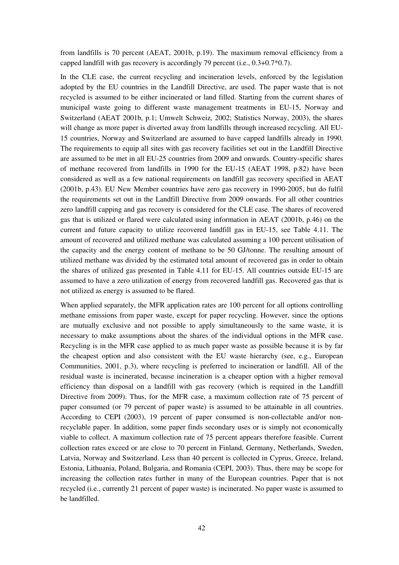from landfills is 70 percent (AEAT, 2001b, p.19). The maximum removal efficiency from a capped landfill with gas recovery is accordingly 79 percent (i.e., 0.3+0.7\*0.7).

In the CLE case, the current recycling and incineration levels, enforced by the legislation adopted by the EU countries in the Landfill Directive, are used. The paper waste that is not recycled is assumed to be either incinerated or land filled. Starting from the current shares of municipal waste going to different waste management treatments in EU-15, Norway and Switzerland (AEAT 2001b, p.1; Umwelt Schweiz, 2002; Statistics Norway, 2003), the shares will change as more paper is diverted away from landfills through increased recycling. All EU-15 countries, Norway and Switzerland are assumed to have capped landfills already in 1990. The requirements to equip all sites with gas recovery facilities set out in the Landfill Directive are assumed to be met in all EU-25 countries from 2009 and onwards. Country-specific shares of methane recovered from landfills in 1990 for the EU-15 (AEAT 1998, p.82) have been considered as well as a few national requirements on landfill gas recovery specified in AEAT (2001b, p.43). EU New Member countries have zero gas recovery in 1990-2005, but do fulfil the requirements set out in the Landfill Directive from 2009 onwards. For all other countries zero landfill capping and gas recovery is considered for the CLE case. The shares of recovered gas that is utilized or flared were calculated using information in AEAT (2001b, p.46) on the current and future capacity to utilize recovered landfill gas in EU-15, see Table 4.11. The amount of recovered and utilized methane was calculated assuming a 100 percent utilisation of the capacity and the energy content of methane to be 50 GJ/tonne. The resulting amount of utilized methane was divided by the estimated total amount of recovered gas in order to obtain the shares of utilized gas presented in Table 4.11 for EU-15. All countries outside EU-15 are assumed to have a zero utilization of energy from recovered landfill gas. Recovered gas that is not utilized as energy is assumed to be flared.

When applied separately, the MFR application rates are 100 percent for all options controlling methane emissions from paper waste, except for paper recycling. However, since the options are mutually exclusive and not possible to apply simultaneously to the same waste, it is necessary to make assumptions about the shares of the individual options in the MFR case. Recycling is in the MFR case applied to as much paper waste as possible because it is by far the cheapest option and also consistent with the EU waste hierarchy (see, e.g., European Communities, 2001, p.3), where recycling is preferred to incineration or landfill. All of the residual waste is incinerated, because incineration is a cheaper option with a higher removal efficiency than disposal on a landfill with gas recovery (which is required in the Landfill Directive from 2009). Thus, for the MFR case, a maximum collection rate of 75 percent of paper consumed (or 79 percent of paper waste) is assumed to be attainable in all countries. According to CEPI (2003), 19 percent of paper consumed is non-collectable and/or nonrecyclable paper. In addition, some paper finds secondary uses or is simply not economically viable to collect. A maximum collection rate of 75 percent appears therefore feasible. Current collection rates exceed or are close to 70 percent in Finland, Germany, Netherlands, Sweden, Latvia, Norway and Switzerland. Less than 40 percent is collected in Cyprus, Greece, Ireland, Estonia, Lithuania, Poland, Bulgaria, and Romania (CEPI, 2003). Thus, there may be scope for increasing the collection rates further in many of the European countries. Paper that is not recycled (i.e., currently 21 percent of paper waste) is incinerated. No paper waste is assumed to be landfilled.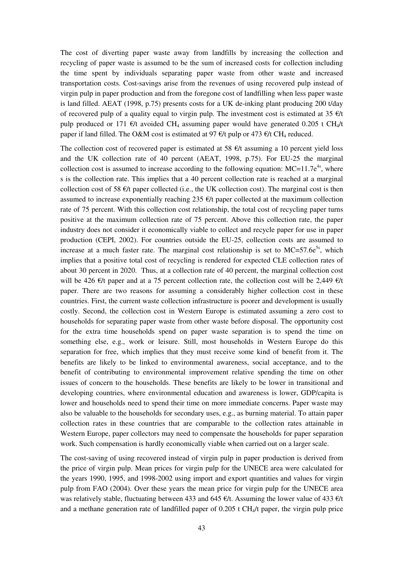The cost of diverting paper waste away from landfills by increasing the collection and recycling of paper waste is assumed to be the sum of increased costs for collection including the time spent by individuals separating paper waste from other waste and increased transportation costs. Cost-savings arise from the revenues of using recovered pulp instead of virgin pulp in paper production and from the foregone cost of landfilling when less paper waste is land filled. AEAT (1998, p.75) presents costs for a UK de-inking plant producing 200 t/day of recovered pulp of a quality equal to virgin pulp. The investment cost is estimated at 35  $\epsilon/t$ pulp produced or 171  $\epsilon/t$  avoided CH<sub>4</sub> assuming paper would have generated 0.205 t CH<sub>4</sub>/t paper if land filled. The O&M cost is estimated at 97  $\epsilon$ /t pulp or 473  $\epsilon$ /t CH<sub>4</sub> reduced.

The collection cost of recovered paper is estimated at 58  $\epsilon/t$  assuming a 10 percent yield loss and the UK collection rate of 40 percent (AEAT, 1998, p.75). For EU-25 the marginal collection cost is assumed to increase according to the following equation:  $MC=11.7e^{4s}$ , where s is the collection rate. This implies that a 40 percent collection rate is reached at a marginal collection cost of 58  $\epsilon/t$  paper collected (i.e., the UK collection cost). The marginal cost is then assumed to increase exponentially reaching 235  $\epsilon/t$  paper collected at the maximum collection rate of 75 percent. With this collection cost relationship, the total cost of recycling paper turns positive at the maximum collection rate of 75 percent. Above this collection rate, the paper industry does not consider it economically viable to collect and recycle paper for use in paper production (CEPI, 2002). For countries outside the EU-25, collection costs are assumed to increase at a much faster rate. The marginal cost relationship is set to  $MC=57.6e^{5s}$ , which implies that a positive total cost of recycling is rendered for expected CLE collection rates of about 30 percent in 2020. Thus, at a collection rate of 40 percent, the marginal collection cost will be 426  $\epsilon/t$  paper and at a 75 percent collection rate, the collection cost will be 2,449  $\epsilon/t$ paper. There are two reasons for assuming a considerably higher collection cost in these countries. First, the current waste collection infrastructure is poorer and development is usually costly. Second, the collection cost in Western Europe is estimated assuming a zero cost to households for separating paper waste from other waste before disposal. The opportunity cost for the extra time households spend on paper waste separation is to spend the time on something else, e.g., work or leisure. Still, most households in Western Europe do this separation for free, which implies that they must receive some kind of benefit from it. The benefits are likely to be linked to environmental awareness, social acceptance, and to the benefit of contributing to environmental improvement relative spending the time on other issues of concern to the households. These benefits are likely to be lower in transitional and developing countries, where environmental education and awareness is lower, GDP/capita is lower and households need to spend their time on more immediate concerns. Paper waste may also be valuable to the households for secondary uses, e.g., as burning material. To attain paper collection rates in these countries that are comparable to the collection rates attainable in Western Europe, paper collectors may need to compensate the households for paper separation work. Such compensation is hardly economically viable when carried out on a larger scale.

The cost-saving of using recovered instead of virgin pulp in paper production is derived from the price of virgin pulp. Mean prices for virgin pulp for the UNECE area were calculated for the years 1990, 1995, and 1998-2002 using import and export quantities and values for virgin pulp from FAO (2004). Over these years the mean price for virgin pulp for the UNECE area was relatively stable, fluctuating between 433 and 645  $\epsilon/t$ . Assuming the lower value of 433  $\epsilon/t$ and a methane generation rate of landfilled paper of  $0.205$  t CH<sub>4</sub>/t paper, the virgin pulp price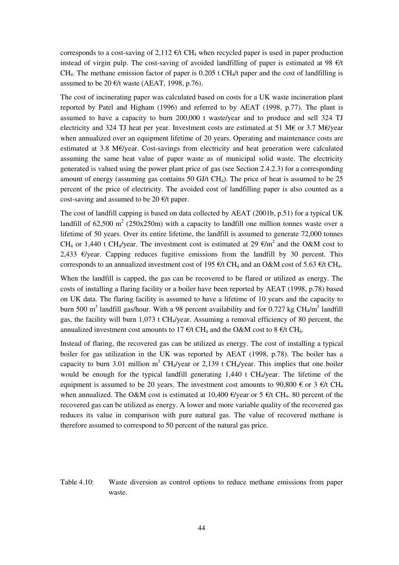corresponds to a cost-saving of 2,112  $\epsilon/t$  CH<sub>4</sub> when recycled paper is used in paper production instead of virgin pulp. The cost-saving of avoided landfilling of paper is estimated at 98  $\epsilon/t$ CH<sub>4</sub>. The methane emission factor of paper is  $0.205$  t CH<sub>4</sub>/t paper and the cost of landfilling is assumed to be 20  $\epsilon$ /t waste (AEAT, 1998, p.76).

The cost of incinerating paper was calculated based on costs for a UK waste incineration plant reported by Patel and Higham (1996) and referred to by AEAT (1998, p.77). The plant is assumed to have a capacity to burn 200,000 t waste/year and to produce and sell 324 TJ electricity and 324 TJ heat per year. Investment costs are estimated at 51 M€ or 3.7 M€/year when annualized over an equipment lifetime of 20 years. Operating and maintenance costs are estimated at 3.8 M€/year. Cost-savings from electricity and heat generation were calculated assuming the same heat value of paper waste as of municipal solid waste. The electricity generated is valued using the power plant price of gas (see Section 2.4.2.3) for a corresponding amount of energy (assuming gas contains 50 GJ/t CH<sub>4</sub>). The price of heat is assumed to be 25 percent of the price of electricity. The avoided cost of landfilling paper is also counted as a cost-saving and assumed to be 20  $\epsilon$ /t paper.

The cost of landfill capping is based on data collected by AEAT (2001b, p.51) for a typical UK landfill of 62,500 m<sup>2</sup> (250x250m) with a capacity to landfill one million tonnes waste over a lifetime of 50 years. Over its entire lifetime, the landfill is assumed to generate 72,000 tonnes CH<sub>4</sub> or 1,440 t CH<sub>4</sub>/year. The investment cost is estimated at 29  $\epsilon/m^2$  and the O&M cost to 2,433  $\varepsilon$ /year. Capping reduces fugitive emissions from the landfill by 30 percent. This corresponds to an annualized investment cost of 195  $\epsilon/t$  CH<sub>4</sub> and an O&M cost of 5.63  $\epsilon/t$  CH<sub>4</sub>.

When the landfill is capped, the gas can be recovered to be flared or utilized as energy. The costs of installing a flaring facility or a boiler have been reported by AEAT (1998, p.78) based on UK data. The flaring facility is assumed to have a lifetime of 10 years and the capacity to burn 500 m<sup>3</sup> landfill gas/hour. With a 98 percent availability and for 0.727 kg CH<sub>4</sub>/m<sup>3</sup> landfill gas, the facility will burn 1,073 t CH4/year. Assuming a removal efficiency of 80 percent, the annualized investment cost amounts to 17  $\epsilon/t$  CH<sub>4</sub> and the O&M cost to 8  $\epsilon/t$  CH<sub>4</sub>.

Instead of flaring, the recovered gas can be utilized as energy. The cost of installing a typical boiler for gas utilization in the UK was reported by AEAT (1998, p.78). The boiler has a capacity to burn 3.01 million m<sup>3</sup> CH<sub>4</sub>/year or 2,139 t CH<sub>4</sub>/year. This implies that one boiler would be enough for the typical landfill generating 1,440 t CH4/year. The lifetime of the equipment is assumed to be 20 years. The investment cost amounts to 90,800  $\epsilon$  or 3  $\epsilon$ /t CH<sub>4</sub> when annualized. The O&M cost is estimated at 10,400  $\epsilon$ /year or 5  $\epsilon$ /t CH<sub>4</sub>. 80 percent of the recovered gas can be utilized as energy. A lower and more variable quality of the recovered gas reduces its value in comparison with pure natural gas. The value of recovered methane is therefore assumed to correspond to 50 percent of the natural gas price.

Table 4.10: Waste diversion as control options to reduce methane emissions from paper waste.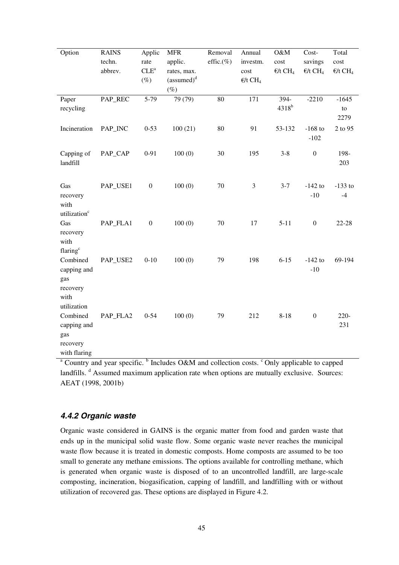| Option                                                            | <b>RAINS</b><br>techn.<br>abbrev. | Applic<br>rate<br>$CLE^a$ | <b>MFR</b><br>applic.<br>rates, max. | Removal<br>effic. $(\%)$ | Annual<br>investm.<br>cost   | O&M<br>cost<br>$\epsilon/t$ CH <sub>4</sub> | Cost-<br>savings<br>$E/t$ CH <sub>4</sub> | Total<br>cost<br>$\epsilon/t$ CH <sub>4</sub> |
|-------------------------------------------------------------------|-----------------------------------|---------------------------|--------------------------------------|--------------------------|------------------------------|---------------------------------------------|-------------------------------------------|-----------------------------------------------|
|                                                                   |                                   | $(\%)$                    | (assumed) <sup>d</sup><br>$(\%)$     |                          | $\epsilon/t$ CH <sub>4</sub> |                                             |                                           |                                               |
| Paper<br>recycling                                                | PAP_REC                           | 5-79                      | 79 (79)                              | $\overline{80}$          | 171                          | 394-<br>$4318^b$                            | $-2210$                                   | $-1645$<br>to<br>2279                         |
| Incineration                                                      | PAP_INC                           | $0 - 53$                  | 100(21)                              | 80                       | 91                           | 53-132                                      | $-168$ to<br>$-102$                       | 2 to 95                                       |
| Capping of<br>landfill                                            | PAP_CAP                           | $0 - 91$                  | 100(0)                               | 30                       | 195                          | $3 - 8$                                     | $\boldsymbol{0}$                          | 198-<br>203                                   |
| Gas<br>recovery<br>with<br>utilization <sup>c</sup>               | PAP_USE1                          | $\boldsymbol{0}$          | 100(0)                               | 70                       | 3                            | $3 - 7$                                     | $-142$ to<br>$-10$                        | $-133$ to<br>$-4$                             |
| Gas<br>recovery<br>with<br>flaring <sup>c</sup>                   | PAP_FLA1                          | $\boldsymbol{0}$          | 100(0)                               | 70                       | 17                           | $5 - 11$                                    | $\boldsymbol{0}$                          | 22-28                                         |
| Combined<br>capping and<br>gas<br>recovery<br>with<br>utilization | PAP_USE2                          | $0 - 10$                  | 100(0)                               | 79                       | 198                          | $6 - 15$                                    | $-142$ to<br>$-10$                        | 69-194                                        |
| Combined<br>capping and<br>gas<br>recovery<br>with flaring        | PAP_FLA2                          | $0 - 54$                  | 100(0)                               | 79                       | 212                          | $8 - 18$                                    | $\boldsymbol{0}$                          | $220 -$<br>231                                |

<sup>a</sup> Country and year specific. <sup>b</sup> Includes O&M and collection costs. <sup>c</sup> Only applicable to capped landfills. <sup>d</sup> Assumed maximum application rate when options are mutually exclusive. Sources: AEAT (1998, 2001b)

#### **4.4.2 Organic waste**

Organic waste considered in GAINS is the organic matter from food and garden waste that ends up in the municipal solid waste flow. Some organic waste never reaches the municipal waste flow because it is treated in domestic composts. Home composts are assumed to be too small to generate any methane emissions. The options available for controlling methane, which is generated when organic waste is disposed of to an uncontrolled landfill, are large-scale composting, incineration, biogasification, capping of landfill, and landfilling with or without utilization of recovered gas. These options are displayed in Figure 4.2.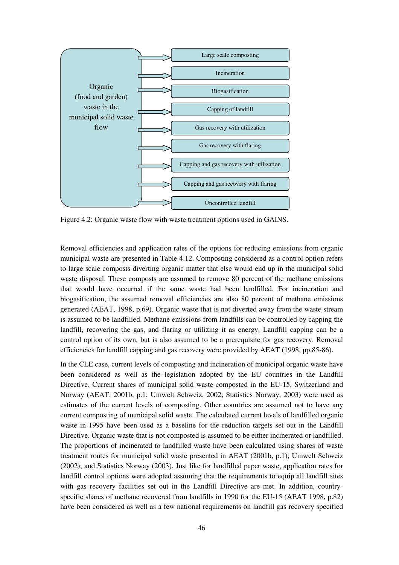

Figure 4.2: Organic waste flow with waste treatment options used in GAINS.

Removal efficiencies and application rates of the options for reducing emissions from organic municipal waste are presented in Table 4.12. Composting considered as a control option refers to large scale composts diverting organic matter that else would end up in the municipal solid waste disposal. These composts are assumed to remove 80 percent of the methane emissions that would have occurred if the same waste had been landfilled. For incineration and biogasification, the assumed removal efficiencies are also 80 percent of methane emissions generated (AEAT, 1998, p.69). Organic waste that is not diverted away from the waste stream is assumed to be landfilled. Methane emissions from landfills can be controlled by capping the landfill, recovering the gas, and flaring or utilizing it as energy. Landfill capping can be a control option of its own, but is also assumed to be a prerequisite for gas recovery. Removal efficiencies for landfill capping and gas recovery were provided by AEAT (1998, pp.85-86).

In the CLE case, current levels of composting and incineration of municipal organic waste have been considered as well as the legislation adopted by the EU countries in the Landfill Directive. Current shares of municipal solid waste composted in the EU-15, Switzerland and Norway (AEAT, 2001b, p.1; Umwelt Schweiz, 2002; Statistics Norway, 2003) were used as estimates of the current levels of composting. Other countries are assumed not to have any current composting of municipal solid waste. The calculated current levels of landfilled organic waste in 1995 have been used as a baseline for the reduction targets set out in the Landfill Directive. Organic waste that is not composted is assumed to be either incinerated or landfilled. The proportions of incinerated to landfilled waste have been calculated using shares of waste treatment routes for municipal solid waste presented in AEAT (2001b, p.1); Umwelt Schweiz (2002); and Statistics Norway (2003). Just like for landfilled paper waste, application rates for landfill control options were adopted assuming that the requirements to equip all landfill sites with gas recovery facilities set out in the Landfill Directive are met. In addition, countryspecific shares of methane recovered from landfills in 1990 for the EU-15 (AEAT 1998, p.82) have been considered as well as a few national requirements on landfill gas recovery specified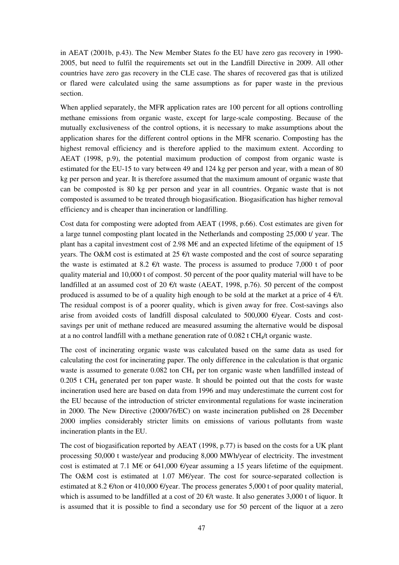in AEAT (2001b, p.43). The New Member States fo the EU have zero gas recovery in 1990- 2005, but need to fulfil the requirements set out in the Landfill Directive in 2009. All other countries have zero gas recovery in the CLE case. The shares of recovered gas that is utilized or flared were calculated using the same assumptions as for paper waste in the previous section.

When applied separately, the MFR application rates are 100 percent for all options controlling methane emissions from organic waste, except for large-scale composting. Because of the mutually exclusiveness of the control options, it is necessary to make assumptions about the application shares for the different control options in the MFR scenario. Composting has the highest removal efficiency and is therefore applied to the maximum extent. According to AEAT (1998, p.9), the potential maximum production of compost from organic waste is estimated for the EU-15 to vary between 49 and 124 kg per person and year, with a mean of 80 kg per person and year. It is therefore assumed that the maximum amount of organic waste that can be composted is 80 kg per person and year in all countries. Organic waste that is not composted is assumed to be treated through biogasification. Biogasification has higher removal efficiency and is cheaper than incineration or landfilling.

Cost data for composting were adopted from AEAT (1998, p.66). Cost estimates are given for a large tunnel composting plant located in the Netherlands and composting 25,000 t/ year. The plant has a capital investment cost of 2.98 M€ and an expected lifetime of the equipment of 15 years. The O&M cost is estimated at 25  $\epsilon/t$  waste composted and the cost of source separating the waste is estimated at 8.2  $\epsilon/t$  waste. The process is assumed to produce 7,000 t of poor quality material and 10,000 t of compost. 50 percent of the poor quality material will have to be landfilled at an assumed cost of 20  $\epsilon/t$  waste (AEAT, 1998, p.76). 50 percent of the compost produced is assumed to be of a quality high enough to be sold at the market at a price of 4  $\epsilon/t$ . The residual compost is of a poorer quality, which is given away for free. Cost-savings also arise from avoided costs of landfill disposal calculated to 500,000  $\epsilon$ /year. Costs and costsavings per unit of methane reduced are measured assuming the alternative would be disposal at a no control landfill with a methane generation rate of  $0.082$  t CH<sub>4</sub>/t organic waste.

The cost of incinerating organic waste was calculated based on the same data as used for calculating the cost for incinerating paper. The only difference in the calculation is that organic waste is assumed to generate  $0.082$  ton  $CH_4$  per ton organic waste when landfilled instead of  $0.205$  t CH<sub>4</sub> generated per ton paper waste. It should be pointed out that the costs for waste incineration used here are based on data from 1996 and may underestimate the current cost for the EU because of the introduction of stricter environmental regulations for waste incineration in 2000. The New Directive (2000/76/EC) on waste incineration published on 28 December 2000 implies considerably stricter limits on emissions of various pollutants from waste incineration plants in the EU.

The cost of biogasification reported by AEAT (1998, p.77) is based on the costs for a UK plant processing 50,000 t waste/year and producing 8,000 MWh/year of electricity. The investment cost is estimated at 7.1 M€ or 641,000  $\epsilon$ /year assuming a 15 years lifetime of the equipment. The O&M cost is estimated at 1.07 M  $\epsilon$ /year. The cost for source-separated collection is estimated at 8.2  $\epsilon$ /ton or 410,000  $\epsilon$ /year. The process generates 5,000 t of poor quality material, which is assumed to be landfilled at a cost of 20  $\epsilon$ /t waste. It also generates 3,000 t of liquor. It is assumed that it is possible to find a secondary use for 50 percent of the liquor at a zero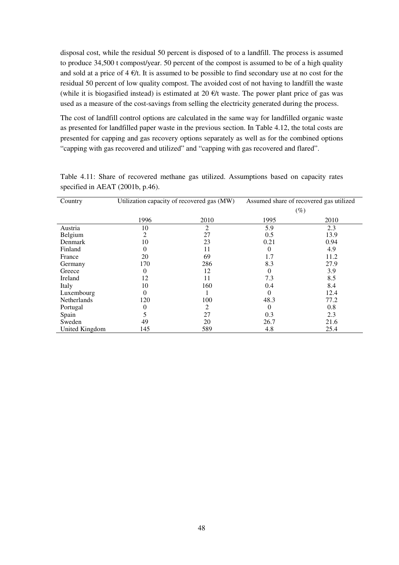disposal cost, while the residual 50 percent is disposed of to a landfill. The process is assumed to produce 34,500 t compost/year. 50 percent of the compost is assumed to be of a high quality and sold at a price of  $4 \in \mathcal{H}$ . It is assumed to be possible to find secondary use at no cost for the residual 50 percent of low quality compost. The avoided cost of not having to landfill the waste (while it is biogasified instead) is estimated at 20  $\epsilon/t$  waste. The power plant price of gas was used as a measure of the cost-savings from selling the electricity generated during the process.

The cost of landfill control options are calculated in the same way for landfilled organic waste as presented for landfilled paper waste in the previous section. In Table 4.12, the total costs are presented for capping and gas recovery options separately as well as for the combined options "capping with gas recovered and utilized" and "capping with gas recovered and flared".

| Country            | Utilization capacity of recovered gas (MW) |                | Assumed share of recovered gas utilized |      |  |
|--------------------|--------------------------------------------|----------------|-----------------------------------------|------|--|
|                    |                                            |                |                                         | (%)  |  |
|                    | 1996                                       | 2010           | 1995                                    | 2010 |  |
| Austria            | 10                                         | $\overline{2}$ | 5.9                                     | 2.3  |  |
| Belgium            | 2                                          | 27             | 0.5                                     | 13.9 |  |
| Denmark            | 10                                         | 23             | 0.21                                    | 0.94 |  |
| Finland            | $\Omega$                                   | 11             | $\Omega$                                | 4.9  |  |
| France             | 20                                         | 69             | 1.7                                     | 11.2 |  |
| Germany            | 170                                        | 286            | 8.3                                     | 27.9 |  |
| Greece             | $\Omega$                                   | 12             | 0                                       | 3.9  |  |
| Ireland            | 12                                         | 11             | 7.3                                     | 8.5  |  |
| Italy              | 10                                         | 160            | 0.4                                     | 8.4  |  |
| Luxembourg         | $\Omega$                                   |                | $\Omega$                                | 12.4 |  |
| <b>Netherlands</b> | 120                                        | 100            | 48.3                                    | 77.2 |  |
| Portugal           |                                            | 2              | 0                                       | 0.8  |  |
| Spain              |                                            | 27             | 0.3                                     | 2.3  |  |
| Sweden             | 49                                         | 20             | 26.7                                    | 21.6 |  |
| United Kingdom     | 145                                        | 589            | 4.8                                     | 25.4 |  |

Table 4.11: Share of recovered methane gas utilized. Assumptions based on capacity rates specified in AEAT (2001b, p.46).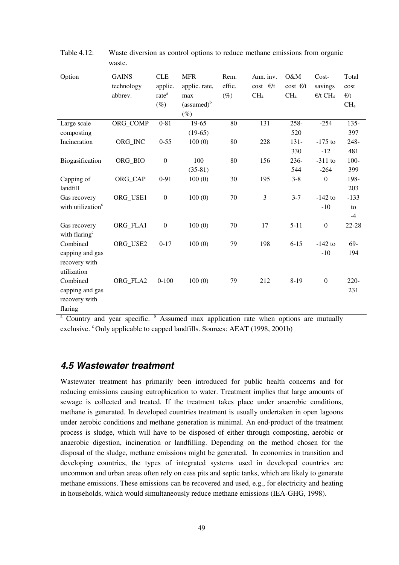| Option                        | <b>GAINS</b> | <b>CLE</b>        | <b>MFR</b>             | Rem.   | Ann. inv.           | O&M             | Cost-                        | Total           |
|-------------------------------|--------------|-------------------|------------------------|--------|---------------------|-----------------|------------------------------|-----------------|
|                               | technology   | applic.           | applic. rate,          | effic. | $cost$ $\epsilon/t$ | $cost \in/t$    | savings                      | cost            |
|                               | abbrev.      | rate <sup>a</sup> | max                    | $(\%)$ | CH <sub>4</sub>     | CH <sub>4</sub> | $\epsilon/t$ CH <sub>4</sub> | $\epsilon/t$    |
|                               |              | $(\%)$            | (assumed) <sup>b</sup> |        |                     |                 |                              | CH <sub>4</sub> |
|                               |              |                   | $(\%)$                 |        |                     |                 |                              |                 |
| Large scale                   | ORG_COMP     | $0 - 81$          | 19-65                  | 80     | 131                 | 258-            | $-254$                       | $135 -$         |
| composting                    |              |                   | $(19-65)$              |        |                     | 520             |                              | 397             |
| Incineration                  | ORG_INC      | $0 - 55$          | 100(0)                 | 80     | 228                 | $131 -$         | $-175$ to                    | $248 -$         |
|                               |              |                   |                        |        |                     | 330             | $-12$                        | 481             |
| Biogasification               | ORG_BIO      | $\boldsymbol{0}$  | 100                    | 80     | 156                 | $236 -$         | $-311$ to                    | $100 -$         |
|                               |              |                   | $(35-81)$              |        |                     | 544             | $-264$                       | 399             |
| Capping of                    | ORG_CAP      | $0 - 91$          | 100(0)                 | 30     | 195                 | $3 - 8$         | $\boldsymbol{0}$             | 198-            |
| landfill                      |              |                   |                        |        |                     |                 |                              | 203             |
| Gas recovery                  | ORG USE1     | $\boldsymbol{0}$  | 100(0)                 | 70     | 3                   | $3 - 7$         | $-142$ to                    | $-133$          |
| with utilization <sup>c</sup> |              |                   |                        |        |                     |                 | $-10$                        | to              |
|                               |              |                   |                        |        |                     |                 |                              | $-4$            |
| Gas recovery                  | ORG_FLA1     | $\boldsymbol{0}$  | 100(0)                 | 70     | 17                  | $5 - 11$        | $\boldsymbol{0}$             | $22 - 28$       |
| with flaring <sup>c</sup>     |              |                   |                        |        |                     |                 |                              |                 |
| Combined                      | ORG_USE2     | $0 - 17$          | 100(0)                 | 79     | 198                 | $6 - 15$        | $-142$ to                    | 69-             |
| capping and gas               |              |                   |                        |        |                     |                 | $-10$                        | 194             |
| recovery with                 |              |                   |                        |        |                     |                 |                              |                 |
| utilization                   |              |                   |                        |        |                     |                 |                              |                 |
| Combined                      | ORG_FLA2     | $0 - 100$         | 100(0)                 | 79     | 212                 | $8 - 19$        | $\boldsymbol{0}$             | $220 -$         |
| capping and gas               |              |                   |                        |        |                     |                 |                              | 231             |
| recovery with                 |              |                   |                        |        |                     |                 |                              |                 |
| flaring                       |              |                   |                        |        |                     |                 |                              |                 |

Table 4.12: Waste diversion as control options to reduce methane emissions from organic waste.

<sup>a</sup> Country and year specific. <sup>b</sup> Assumed max application rate when options are mutually exclusive. <sup>c</sup> Only applicable to capped landfills. Sources: AEAT (1998, 2001b)

#### **4.5 Wastewater treatment**

Wastewater treatment has primarily been introduced for public health concerns and for reducing emissions causing eutrophication to water. Treatment implies that large amounts of sewage is collected and treated. If the treatment takes place under anaerobic conditions, methane is generated. In developed countries treatment is usually undertaken in open lagoons under aerobic conditions and methane generation is minimal. An end-product of the treatment process is sludge, which will have to be disposed of either through composting, aerobic or anaerobic digestion, incineration or landfilling. Depending on the method chosen for the disposal of the sludge, methane emissions might be generated. In economies in transition and developing countries, the types of integrated systems used in developed countries are uncommon and urban areas often rely on cess pits and septic tanks, which are likely to generate methane emissions. These emissions can be recovered and used, e.g., for electricity and heating in households, which would simultaneously reduce methane emissions (IEA-GHG, 1998).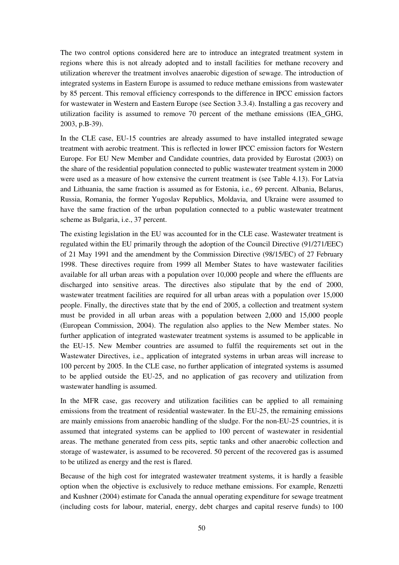The two control options considered here are to introduce an integrated treatment system in regions where this is not already adopted and to install facilities for methane recovery and utilization wherever the treatment involves anaerobic digestion of sewage. The introduction of integrated systems in Eastern Europe is assumed to reduce methane emissions from wastewater by 85 percent. This removal efficiency corresponds to the difference in IPCC emission factors for wastewater in Western and Eastern Europe (see Section 3.3.4). Installing a gas recovery and utilization facility is assumed to remove 70 percent of the methane emissions (IEA\_GHG, 2003, p.B-39).

In the CLE case, EU-15 countries are already assumed to have installed integrated sewage treatment with aerobic treatment. This is reflected in lower IPCC emission factors for Western Europe. For EU New Member and Candidate countries, data provided by Eurostat (2003) on the share of the residential population connected to public wastewater treatment system in 2000 were used as a measure of how extensive the current treatment is (see Table 4.13). For Latvia and Lithuania, the same fraction is assumed as for Estonia, i.e., 69 percent. Albania, Belarus, Russia, Romania, the former Yugoslav Republics, Moldavia, and Ukraine were assumed to have the same fraction of the urban population connected to a public wastewater treatment scheme as Bulgaria, i.e., 37 percent.

The existing legislation in the EU was accounted for in the CLE case. Wastewater treatment is regulated within the EU primarily through the adoption of the Council Directive (91/271/EEC) of 21 May 1991 and the amendment by the Commission Directive (98/15/EC) of 27 February 1998. These directives require from 1999 all Member States to have wastewater facilities available for all urban areas with a population over 10,000 people and where the effluents are discharged into sensitive areas. The directives also stipulate that by the end of 2000, wastewater treatment facilities are required for all urban areas with a population over 15,000 people. Finally, the directives state that by the end of 2005, a collection and treatment system must be provided in all urban areas with a population between 2,000 and 15,000 people (European Commission, 2004). The regulation also applies to the New Member states. No further application of integrated wastewater treatment systems is assumed to be applicable in the EU-15. New Member countries are assumed to fulfil the requirements set out in the Wastewater Directives, i.e., application of integrated systems in urban areas will increase to 100 percent by 2005. In the CLE case, no further application of integrated systems is assumed to be applied outside the EU-25, and no application of gas recovery and utilization from wastewater handling is assumed.

In the MFR case, gas recovery and utilization facilities can be applied to all remaining emissions from the treatment of residential wastewater. In the EU-25, the remaining emissions are mainly emissions from anaerobic handling of the sludge. For the non-EU-25 countries, it is assumed that integrated systems can be applied to 100 percent of wastewater in residential areas. The methane generated from cess pits, septic tanks and other anaerobic collection and storage of wastewater, is assumed to be recovered. 50 percent of the recovered gas is assumed to be utilized as energy and the rest is flared.

Because of the high cost for integrated wastewater treatment systems, it is hardly a feasible option when the objective is exclusively to reduce methane emissions. For example, Renzetti and Kushner (2004) estimate for Canada the annual operating expenditure for sewage treatment (including costs for labour, material, energy, debt charges and capital reserve funds) to 100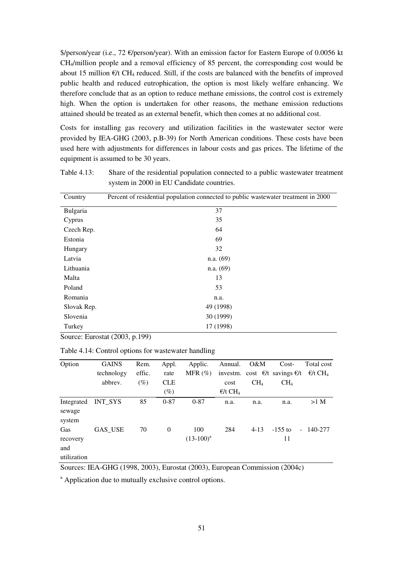\$/person/year (i.e., 72 €/person/year). With an emission factor for Eastern Europe of 0.0056 kt CH4/million people and a removal efficiency of 85 percent, the corresponding cost would be about 15 million  $\epsilon/t$  CH<sub>4</sub> reduced. Still, if the costs are balanced with the benefits of improved public health and reduced eutrophication, the option is most likely welfare enhancing. We therefore conclude that as an option to reduce methane emissions, the control cost is extremely high. When the option is undertaken for other reasons, the methane emission reductions attained should be treated as an external benefit, which then comes at no additional cost.

Costs for installing gas recovery and utilization facilities in the wastewater sector were provided by IEA-GHG (2003, p.B-39) for North American conditions. These costs have been used here with adjustments for differences in labour costs and gas prices. The lifetime of the equipment is assumed to be 30 years.

Table 4.13: Share of the residential population connected to a public wastewater treatment system in 2000 in EU Candidate countries.

| Country     | Percent of residential population connected to public wastewater treatment in 2000 |
|-------------|------------------------------------------------------------------------------------|
| Bulgaria    | 37                                                                                 |
| Cyprus      | 35                                                                                 |
| Czech Rep.  | 64                                                                                 |
| Estonia     | 69                                                                                 |
| Hungary     | 32                                                                                 |
| Latvia      | n.a. (69)                                                                          |
| Lithuania   | n.a. (69)                                                                          |
| Malta       | 13                                                                                 |
| Poland      | 53                                                                                 |
| Romania     | n.a.                                                                               |
| Slovak Rep. | 49 (1998)                                                                          |
| Slovenia    | 30 (1999)                                                                          |
| Turkey      | 17 (1998)                                                                          |

Source: Eurostat (2003, p.199)

| Table 4.14: Control options for wastewater handling |
|-----------------------------------------------------|
|-----------------------------------------------------|

| Option      | <b>GAINS</b>   | Rem.   | Appl.      | Applic.        | Annual.                      | $O\&M$          | Cost-                                           | Total cost      |
|-------------|----------------|--------|------------|----------------|------------------------------|-----------------|-------------------------------------------------|-----------------|
|             | technology     | effic. | rate       | MFR $(\%)$     |                              |                 | investm. cost $\epsilon/t$ savings $\epsilon/t$ | $\epsilon/t$ CH |
|             | abbrev.        | (%)    | <b>CLE</b> |                | cost                         | CH <sub>4</sub> | CH <sub>4</sub>                                 |                 |
|             |                |        | $(\%)$     |                | $\epsilon/t$ CH <sub>4</sub> |                 |                                                 |                 |
| Integrated  | <b>INT_SYS</b> | 85     | $0 - 87$   | $0 - 87$       | n.a.                         | n.a.            | n.a.                                            | $>1$ M          |
| sewage      |                |        |            |                |                              |                 |                                                 |                 |
| system      |                |        |            |                |                              |                 |                                                 |                 |
| Gas         | GAS_USE        | 70     | $\Omega$   | 100            | 284                          | $4-13$          | $-155$ to                                       | $-140-277$      |
| recovery    |                |        |            | $(13-100)^{a}$ |                              |                 | 11                                              |                 |
| and         |                |        |            |                |                              |                 |                                                 |                 |
| utilization |                |        |            |                |                              |                 |                                                 |                 |

Sources: IEA-GHG (1998, 2003), Eurostat (2003), European Commission (2004c)

<sup>a</sup> Application due to mutually exclusive control options.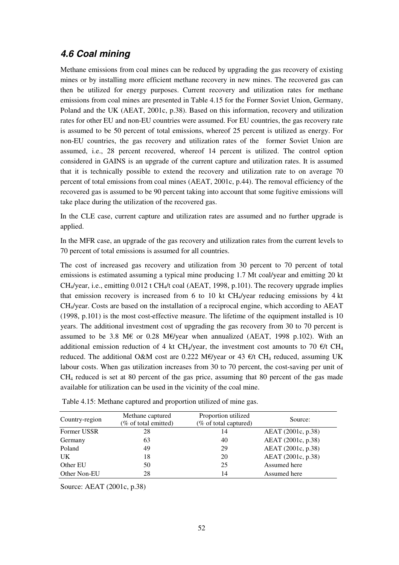## **4.6 Coal mining**

Methane emissions from coal mines can be reduced by upgrading the gas recovery of existing mines or by installing more efficient methane recovery in new mines. The recovered gas can then be utilized for energy purposes. Current recovery and utilization rates for methane emissions from coal mines are presented in Table 4.15 for the Former Soviet Union, Germany, Poland and the UK (AEAT, 2001c, p.38). Based on this information, recovery and utilization rates for other EU and non-EU countries were assumed. For EU countries, the gas recovery rate is assumed to be 50 percent of total emissions, whereof 25 percent is utilized as energy. For non-EU countries, the gas recovery and utilization rates of the former Soviet Union are assumed, i.e., 28 percent recovered, whereof 14 percent is utilized. The control option considered in GAINS is an upgrade of the current capture and utilization rates. It is assumed that it is technically possible to extend the recovery and utilization rate to on average 70 percent of total emissions from coal mines (AEAT, 2001c, p.44). The removal efficiency of the recovered gas is assumed to be 90 percent taking into account that some fugitive emissions will take place during the utilization of the recovered gas.

In the CLE case, current capture and utilization rates are assumed and no further upgrade is applied.

In the MFR case, an upgrade of the gas recovery and utilization rates from the current levels to 70 percent of total emissions is assumed for all countries.

The cost of increased gas recovery and utilization from 30 percent to 70 percent of total emissions is estimated assuming a typical mine producing 1.7 Mt coal/year and emitting 20 kt CH<sub>4</sub>/year, i.e., emitting  $0.012$  t CH<sub>4</sub>/t coal (AEAT, 1998, p.101). The recovery upgrade implies that emission recovery is increased from 6 to 10 kt  $CH<sub>4</sub>/year$  reducing emissions by 4 kt CH4/year. Costs are based on the installation of a reciprocal engine, which according to AEAT (1998, p.101) is the most cost-effective measure. The lifetime of the equipment installed is 10 years. The additional investment cost of upgrading the gas recovery from 30 to 70 percent is assumed to be 3.8 M€ or 0.28 M€/year when annualized (AEAT, 1998 p.102). With an additional emission reduction of 4 kt CH<sub>4</sub>/year, the investment cost amounts to 70  $\epsilon$ /t CH<sub>4</sub> reduced. The additional O&M cost are 0.222 M€/year or 43  $\epsilon/t$  CH<sub>4</sub> reduced, assuming UK labour costs. When gas utilization increases from 30 to 70 percent, the cost-saving per unit of CH4 reduced is set at 80 percent of the gas price, assuming that 80 percent of the gas made available for utilization can be used in the vicinity of the coal mine.

| Country-region | Methane captured<br>(% of total emitted) | Proportion utilized<br>(% of total captured) | Source:            |
|----------------|------------------------------------------|----------------------------------------------|--------------------|
| Former USSR    | 28                                       | 14                                           | AEAT (2001c, p.38) |
| Germany        | 63                                       | 40                                           | AEAT (2001c, p.38) |
| Poland         | 49                                       | 29                                           | AEAT (2001c, p.38) |
| UK             | 18                                       | 20                                           | AEAT (2001c, p.38) |
| Other EU       | 50                                       | 25                                           | Assumed here       |
| Other Non-EU   | 28                                       | 14                                           | Assumed here       |

Table 4.15: Methane captured and proportion utilized of mine gas.

Source: AEAT (2001c, p.38)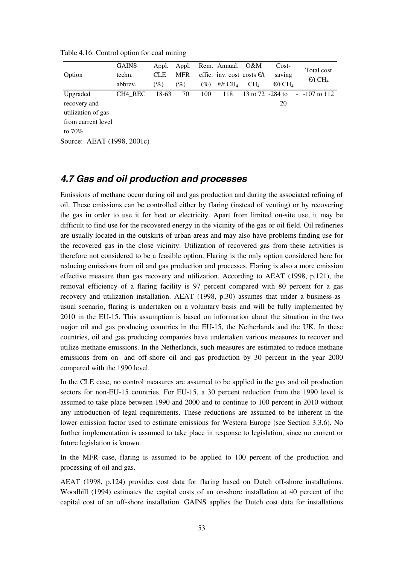|                    | <b>GAINS</b> | Appl.      | Appl.      |                  | Rem. Annual.                 | O&M                          | $Cost-$                      | Total cost                    |
|--------------------|--------------|------------|------------|------------------|------------------------------|------------------------------|------------------------------|-------------------------------|
| Option             | techn.       | <b>CLE</b> | <b>MFR</b> |                  |                              | effic. inv. cost costs $E/t$ | saving                       | $\epsilon$ /t CH <sub>4</sub> |
|                    | abbrev.      | $(\%)$     | $(\%)$     | $\mathcal{O}(6)$ | $\epsilon/t$ CH <sub>4</sub> | CH <sub>4</sub>              | $\epsilon/t$ CH <sub>4</sub> |                               |
| Upgraded           | CH4 REC      | 18-63      | 70         | 100              | 118                          | 13 to 72 -284 to             |                              | $-107$ to 112                 |
| recovery and       |              |            |            |                  |                              |                              | 20                           |                               |
| utilization of gas |              |            |            |                  |                              |                              |                              |                               |
| from current level |              |            |            |                  |                              |                              |                              |                               |
| to $70\%$          |              |            |            |                  |                              |                              |                              |                               |

Table 4.16: Control option for coal mining

Source: AEAT (1998, 2001c)

#### **4.7 Gas and oil production and processes**

Emissions of methane occur during oil and gas production and during the associated refining of oil. These emissions can be controlled either by flaring (instead of venting) or by recovering the gas in order to use it for heat or electricity. Apart from limited on-site use, it may be difficult to find use for the recovered energy in the vicinity of the gas or oil field. Oil refineries are usually located in the outskirts of urban areas and may also have problems finding use for the recovered gas in the close vicinity. Utilization of recovered gas from these activities is therefore not considered to be a feasible option. Flaring is the only option considered here for reducing emissions from oil and gas production and processes. Flaring is also a more emission effective measure than gas recovery and utilization. According to AEAT (1998, p.121), the removal efficiency of a flaring facility is 97 percent compared with 80 percent for a gas recovery and utilization installation. AEAT (1998, p.30) assumes that under a business-asusual scenario, flaring is undertaken on a voluntary basis and will be fully implemented by 2010 in the EU-15. This assumption is based on information about the situation in the two major oil and gas producing countries in the EU-15, the Netherlands and the UK. In these countries, oil and gas producing companies have undertaken various measures to recover and utilize methane emissions. In the Netherlands, such measures are estimated to reduce methane emissions from on- and off-shore oil and gas production by 30 percent in the year 2000 compared with the 1990 level.

In the CLE case, no control measures are assumed to be applied in the gas and oil production sectors for non-EU-15 countries. For EU-15, a 30 percent reduction from the 1990 level is assumed to take place between 1990 and 2000 and to continue to 100 percent in 2010 without any introduction of legal requirements. These reductions are assumed to be inherent in the lower emission factor used to estimate emissions for Western Europe (see Section 3.3.6). No further implementation is assumed to take place in response to legislation, since no current or future legislation is known.

In the MFR case, flaring is assumed to be applied to 100 percent of the production and processing of oil and gas.

AEAT (1998, p.124) provides cost data for flaring based on Dutch off-shore installations. Woodhill (1994) estimates the capital costs of an on-shore installation at 40 percent of the capital cost of an off-shore installation. GAINS applies the Dutch cost data for installations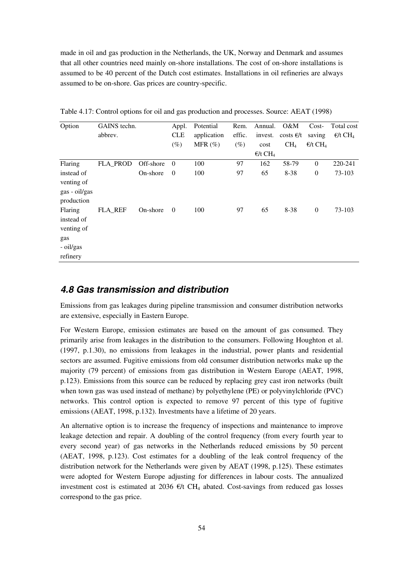made in oil and gas production in the Netherlands, the UK, Norway and Denmark and assumes that all other countries need mainly on-shore installations. The cost of on-shore installations is assumed to be 40 percent of the Dutch cost estimates. Installations in oil refineries are always assumed to be on-shore. Gas prices are country-specific.

| Option        | GAINS techn.   |           | Appl.          | Potential   | Rem.   | Annual.                      | O&M             | $Cost-$                      | Total cost                   |
|---------------|----------------|-----------|----------------|-------------|--------|------------------------------|-----------------|------------------------------|------------------------------|
|               | abbrev.        |           | <b>CLE</b>     | application | effic. | invest.                      | costs $E/t$     | saving                       | $\epsilon/t$ CH <sub>4</sub> |
|               |                |           | $(\%)$         | MFR $(\%)$  | $(\%)$ | cost                         | CH <sub>4</sub> | $\epsilon/t$ CH <sub>4</sub> |                              |
|               |                |           |                |             |        | $\epsilon/t$ CH <sub>4</sub> |                 |                              |                              |
| Flaring       | FLA_PROD       | Off-shore | $\theta$       | 100         | 97     | 162                          | 58-79           | $\theta$                     | 220-241                      |
| instead of    |                | On-shore  | $\overline{0}$ | 100         | 97     | 65                           | 8-38            | $\boldsymbol{0}$             | 73-103                       |
| venting of    |                |           |                |             |        |                              |                 |                              |                              |
| gas - oil/gas |                |           |                |             |        |                              |                 |                              |                              |
| production    |                |           |                |             |        |                              |                 |                              |                              |
| Flaring       | <b>FLA REF</b> | On-shore  | $\overline{0}$ | 100         | 97     | 65                           | 8-38            | $\boldsymbol{0}$             | 73-103                       |
| instead of    |                |           |                |             |        |                              |                 |                              |                              |
| venting of    |                |           |                |             |        |                              |                 |                              |                              |
| gas           |                |           |                |             |        |                              |                 |                              |                              |
| - oil/gas     |                |           |                |             |        |                              |                 |                              |                              |
| refinery      |                |           |                |             |        |                              |                 |                              |                              |

Table 4.17: Control options for oil and gas production and processes. Source: AEAT (1998)

#### **4.8 Gas transmission and distribution**

Emissions from gas leakages during pipeline transmission and consumer distribution networks are extensive, especially in Eastern Europe.

For Western Europe, emission estimates are based on the amount of gas consumed. They primarily arise from leakages in the distribution to the consumers. Following Houghton et al. (1997, p.1.30), no emissions from leakages in the industrial, power plants and residential sectors are assumed. Fugitive emissions from old consumer distribution networks make up the majority (79 percent) of emissions from gas distribution in Western Europe (AEAT, 1998, p.123). Emissions from this source can be reduced by replacing grey cast iron networks (built when town gas was used instead of methane) by polyethylene (PE) or polyvinylchloride (PVC) networks. This control option is expected to remove 97 percent of this type of fugitive emissions (AEAT, 1998, p.132). Investments have a lifetime of 20 years.

An alternative option is to increase the frequency of inspections and maintenance to improve leakage detection and repair. A doubling of the control frequency (from every fourth year to every second year) of gas networks in the Netherlands reduced emissions by 50 percent (AEAT, 1998, p.123). Cost estimates for a doubling of the leak control frequency of the distribution network for the Netherlands were given by AEAT (1998, p.125). These estimates were adopted for Western Europe adjusting for differences in labour costs. The annualized investment cost is estimated at 2036  $\epsilon/t$  CH<sub>4</sub> abated. Cost-savings from reduced gas losses correspond to the gas price.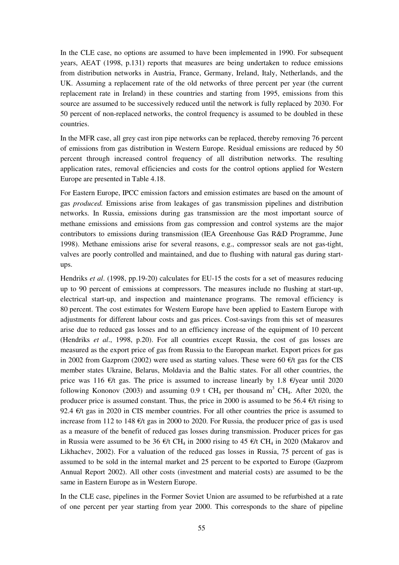In the CLE case, no options are assumed to have been implemented in 1990. For subsequent years, AEAT (1998, p.131) reports that measures are being undertaken to reduce emissions from distribution networks in Austria, France, Germany, Ireland, Italy, Netherlands, and the UK. Assuming a replacement rate of the old networks of three percent per year (the current replacement rate in Ireland) in these countries and starting from 1995, emissions from this source are assumed to be successively reduced until the network is fully replaced by 2030. For 50 percent of non-replaced networks, the control frequency is assumed to be doubled in these countries.

In the MFR case, all grey cast iron pipe networks can be replaced, thereby removing 76 percent of emissions from gas distribution in Western Europe. Residual emissions are reduced by 50 percent through increased control frequency of all distribution networks. The resulting application rates, removal efficiencies and costs for the control options applied for Western Europe are presented in Table 4.18.

For Eastern Europe, IPCC emission factors and emission estimates are based on the amount of gas *produced.* Emissions arise from leakages of gas transmission pipelines and distribution networks. In Russia, emissions during gas transmission are the most important source of methane emissions and emissions from gas compression and control systems are the major contributors to emissions during transmission (IEA Greenhouse Gas R&D Programme, June 1998). Methane emissions arise for several reasons, e.g., compressor seals are not gas-tight, valves are poorly controlled and maintained, and due to flushing with natural gas during startups.

Hendriks *et al*. (1998, pp.19-20) calculates for EU-15 the costs for a set of measures reducing up to 90 percent of emissions at compressors. The measures include no flushing at start-up, electrical start-up, and inspection and maintenance programs. The removal efficiency is 80 percent. The cost estimates for Western Europe have been applied to Eastern Europe with adjustments for different labour costs and gas prices. Cost-savings from this set of measures arise due to reduced gas losses and to an efficiency increase of the equipment of 10 percent (Hendriks *et al*., 1998, p.20). For all countries except Russia, the cost of gas losses are measured as the export price of gas from Russia to the European market. Export prices for gas in 2002 from Gazprom (2002) were used as starting values. These were 60  $\epsilon/t$  gas for the CIS member states Ukraine, Belarus, Moldavia and the Baltic states. For all other countries, the price was 116  $\epsilon/t$  gas. The price is assumed to increase linearly by 1.8  $\epsilon$ /year until 2020 following Kononov (2003) and assuming 0.9 t CH<sub>4</sub> per thousand  $m^3$  CH<sub>4</sub>. After 2020, the producer price is assumed constant. Thus, the price in 2000 is assumed to be 56.4  $\epsilon/t$  rising to 92.4  $\epsilon$ /t gas in 2020 in CIS member countries. For all other countries the price is assumed to increase from 112 to 148  $\epsilon$ /t gas in 2000 to 2020. For Russia, the producer price of gas is used as a measure of the benefit of reduced gas losses during transmission. Producer prices for gas in Russia were assumed to be 36  $\epsilon/t$  CH<sub>4</sub> in 2000 rising to 45  $\epsilon/t$  CH<sub>4</sub> in 2020 (Makarov and Likhachev, 2002). For a valuation of the reduced gas losses in Russia, 75 percent of gas is assumed to be sold in the internal market and 25 percent to be exported to Europe (Gazprom Annual Report 2002). All other costs (investment and material costs) are assumed to be the same in Eastern Europe as in Western Europe.

In the CLE case, pipelines in the Former Soviet Union are assumed to be refurbished at a rate of one percent per year starting from year 2000. This corresponds to the share of pipeline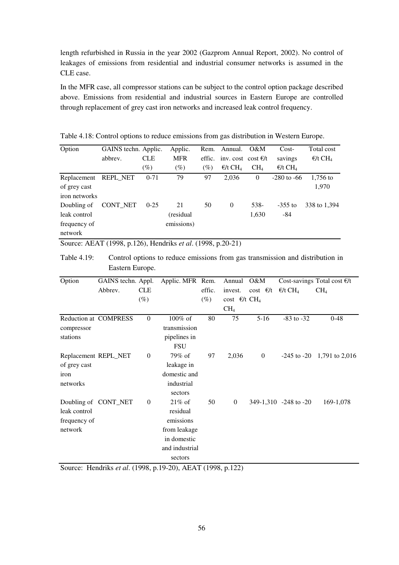length refurbished in Russia in the year 2002 (Gazprom Annual Report, 2002). No control of leakages of emissions from residential and industrial consumer networks is assumed in the CLE case.

In the MFR case, all compressor stations can be subject to the control option package described above. Emissions from residential and industrial sources in Eastern Europe are controlled through replacement of grey cast iron networks and increased leak control frequency.

| Option                                                                                       | GAINS techn. Applic. |            | Applic.    | Rem.   | Annual.                      | O&M             | $Cost-$                      | Total cost                   |
|----------------------------------------------------------------------------------------------|----------------------|------------|------------|--------|------------------------------|-----------------|------------------------------|------------------------------|
|                                                                                              | abbrev.              | <b>CLE</b> | <b>MFR</b> | effic. | inv. cost cost $\epsilon/t$  |                 | savings                      | $\epsilon/t$ CH <sub>4</sub> |
|                                                                                              |                      | $(\%)$     | $(\%)$     | (%)    | $\epsilon/t$ CH <sub>4</sub> | CH <sub>4</sub> | $\epsilon/t$ CH <sub>4</sub> |                              |
| Replacement                                                                                  | REPL_NET             | $0 - 71$   | 79         | 97     | 2,036                        | $\overline{0}$  | $-280$ to $-66$              | $1,756$ to                   |
| of grey cast                                                                                 |                      |            |            |        |                              |                 |                              | 1,970                        |
| iron networks                                                                                |                      |            |            |        |                              |                 |                              |                              |
| Doubling of                                                                                  | CONT_NET             | $0 - 25$   | 21         | 50     | $\mathbf{0}$                 | 538-            | $-355$ to                    | 338 to 1,394                 |
| leak control                                                                                 |                      |            | (residual) |        |                              | 1,630           | $-84$                        |                              |
| frequency of                                                                                 |                      |            | emissions) |        |                              |                 |                              |                              |
| network                                                                                      |                      |            |            |        |                              |                 |                              |                              |
| Source: AEAT (1998, p.126), Hendriks <i>et al.</i> (1998, p.20-21)                           |                      |            |            |        |                              |                 |                              |                              |
| Table 4.19:<br>Control options to reduce emissions from gas transmission and distribution in |                      |            |            |        |                              |                 |                              |                              |

Table 4.18: Control options to reduce emissions from gas distribution in Western Europe.

| Option       | GAINS techn. Appl.           |              | Applic. MFR Rem. |        | Annual                            | O&M                |                              | Cost-savings Total cost $E/t$  |
|--------------|------------------------------|--------------|------------------|--------|-----------------------------------|--------------------|------------------------------|--------------------------------|
|              | Abbrev.                      | <b>CLE</b>   |                  | effic. | invest.                           | $\cosh \theta / t$ | $\epsilon/t$ CH <sub>4</sub> | CH <sub>4</sub>                |
|              |                              | $(\%)$       |                  | $(\%)$ | cost $\epsilon/t$ CH <sub>4</sub> |                    |                              |                                |
|              |                              |              |                  |        | CH <sub>4</sub>                   |                    |                              |                                |
|              | <b>Reduction at COMPRESS</b> | $\mathbf{0}$ | $100\%$ of       | 80     | 75                                | $5 - 16$           | $-83$ to $-32$               | $0 - 48$                       |
| compressor   |                              |              | transmission     |        |                                   |                    |                              |                                |
| stations     |                              |              | pipelines in     |        |                                   |                    |                              |                                |
|              |                              |              | <b>FSU</b>       |        |                                   |                    |                              |                                |
|              | Replacement REPL_NET         | $\mathbf{0}$ | 79% of           | 97     | 2,036                             | $\boldsymbol{0}$   |                              | $-245$ to $-20$ 1,791 to 2,016 |
| of grey cast |                              |              | leakage in       |        |                                   |                    |                              |                                |
| iron         |                              |              | domestic and     |        |                                   |                    |                              |                                |
| networks     |                              |              | industrial       |        |                                   |                    |                              |                                |
|              |                              |              | sectors          |        |                                   |                    |                              |                                |
|              | Doubling of CONT_NET         | $\mathbf{0}$ | $21\%$ of        | 50     | $\theta$                          |                    | 349-1,310 -248 to -20        | 169-1,078                      |
| leak control |                              |              | residual         |        |                                   |                    |                              |                                |
| frequency of |                              |              | emissions        |        |                                   |                    |                              |                                |
| network      |                              |              | from leakage     |        |                                   |                    |                              |                                |
|              |                              |              | in domestic      |        |                                   |                    |                              |                                |
|              |                              |              | and industrial   |        |                                   |                    |                              |                                |
|              |                              |              | sectors          |        |                                   |                    |                              |                                |

Source: Hendriks *et al*. (1998, p.19-20), AEAT (1998, p.122)

Eastern Europe.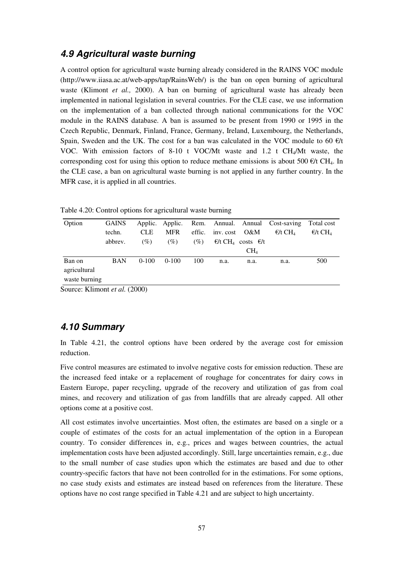## **4.9 Agricultural waste burning**

A control option for agricultural waste burning already considered in the RAINS VOC module (http://www.iiasa.ac.at/web-apps/tap/RainsWeb/) is the ban on open burning of agricultural waste (Klimont *et al., 2000).* A ban on burning of agricultural waste has already been implemented in national legislation in several countries. For the CLE case, we use information on the implementation of a ban collected through national communications for the VOC module in the RAINS database. A ban is assumed to be present from 1990 or 1995 in the Czech Republic, Denmark, Finland, France, Germany, Ireland, Luxembourg, the Netherlands, Spain, Sweden and the UK. The cost for a ban was calculated in the VOC module to 60  $\epsilon/t$ VOC. With emission factors of 8-10 t VOC/Mt waste and 1.2 t CH4/Mt waste, the corresponding cost for using this option to reduce methane emissions is about 500  $\epsilon/t$  CH<sub>4</sub>. In the CLE case, a ban on agricultural waste burning is not applied in any further country. In the MFR case, it is applied in all countries.

| Option          | <b>GAINS</b>             |            | Applic. Applic. |        |               |                                                 | Rem. Annual. Annual Cost-saving | Total cost      |
|-----------------|--------------------------|------------|-----------------|--------|---------------|-------------------------------------------------|---------------------------------|-----------------|
|                 | techn.                   | <b>CLE</b> | <b>MFR</b>      | effic. | inv. cost O&M |                                                 | $\epsilon/t$ CH                 | $\epsilon/t$ CH |
|                 | abbrev.                  | (%)        | (%)             | $(\%)$ |               | $\epsilon/t$ CH <sub>4</sub> costs $\epsilon/t$ |                                 |                 |
|                 |                          |            |                 |        |               | CH <sub>4</sub>                                 |                                 |                 |
| Ban on          | <b>BAN</b>               | $0-100$    | $0-100$         | 100    | n.a.          | n.a.                                            | n.a.                            | 500             |
| agricultural    |                          |            |                 |        |               |                                                 |                                 |                 |
| waste burning   |                          |            |                 |        |               |                                                 |                                 |                 |
| $\sim$<br>T T 1 | $\overline{1}$ $(0.000)$ |            |                 |        |               |                                                 |                                 |                 |

Table 4.20: Control options for agricultural waste burning

Source: Klimont *et al.* (2000)

#### **4.10 Summary**

In Table 4.21, the control options have been ordered by the average cost for emission reduction.

Five control measures are estimated to involve negative costs for emission reduction. These are the increased feed intake or a replacement of roughage for concentrates for dairy cows in Eastern Europe, paper recycling, upgrade of the recovery and utilization of gas from coal mines, and recovery and utilization of gas from landfills that are already capped. All other options come at a positive cost.

All cost estimates involve uncertainties. Most often, the estimates are based on a single or a couple of estimates of the costs for an actual implementation of the option in a European country. To consider differences in, e.g., prices and wages between countries, the actual implementation costs have been adjusted accordingly. Still, large uncertainties remain, e.g., due to the small number of case studies upon which the estimates are based and due to other country-specific factors that have not been controlled for in the estimations. For some options, no case study exists and estimates are instead based on references from the literature. These options have no cost range specified in Table 4.21 and are subject to high uncertainty.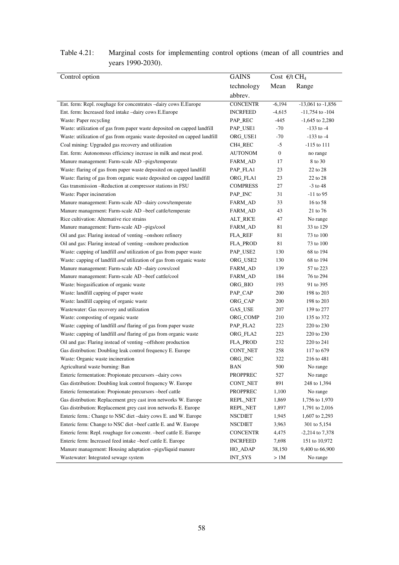| Control option                                                              | <b>GAINS</b>    | Cost $\epsilon$ /t CH <sub>4</sub> |                       |
|-----------------------------------------------------------------------------|-----------------|------------------------------------|-----------------------|
|                                                                             | technology      | Mean                               | Range                 |
|                                                                             | abbrev.         |                                    |                       |
| Ent. ferm: Repl. roughage for concentrates -dairy cows E.Europe             | <b>CONCENTR</b> | $-6,194$                           | $-13,061$ to $-1,856$ |
| Ent. ferm: Increased feed intake -dairy cows E.Europe                       | <b>INCRFEED</b> | $-4,615$                           | $-11,754$ to $-104$   |
| Waste: Paper recycling                                                      | PAP_REC         | -445                               | $-1,645$ to 2,280     |
| Waste: utilization of gas from paper waste deposited on capped landfill     | PAP_USE1        | $-70$                              | $-133$ to $-4$        |
| Waste: utilization of gas from organic waste deposited on capped landfill   | ORG_USE1        | $-70$                              | $-133$ to $-4$        |
| Coal mining: Upgraded gas recovery and utilization                          | CH4_REC         | $-5$                               | $-115$ to $111$       |
| Ent. ferm: Autonomous efficiency increase in milk and meat prod.            | <b>AUTONOM</b>  | $\boldsymbol{0}$                   | no range              |
| Manure management: Farm-scale AD -pigs/temperate                            | FARM_AD         | 17                                 | 8 to 30               |
| Waste: flaring of gas from paper waste deposited on capped landfill         | PAP_FLA1        | 23                                 | 22 to 28              |
| Waste: flaring of gas from organic waste deposited on capped landfill       | ORG_FLA1        | 23                                 | 22 to 28              |
| Gas transmission -Reduction at compressor stations in FSU                   | <b>COMPRESS</b> | 27                                 | $-3$ to 48            |
| Waste: Paper incineration                                                   | PAP_INC         | 31                                 | -11 to 95             |
| Manure management: Farm-scale AD -dairy cows/temperate                      | FARM_AD         | 33                                 | 16 to 58              |
| Manure management: Farm-scale AD -beef cattle/temperate                     | FARM_AD         | 43                                 | 21 to 76              |
| Rice cultivation: Alternative rice strains                                  | <b>ALT_RICE</b> | 47                                 | No range              |
| Manure management: Farm-scale AD -pigs/cool                                 | FARM_AD         | 81                                 | 33 to 129             |
| Oil and gas: Flaring instead of venting -onshore refinery                   | <b>FLA_REF</b>  | 81                                 | 73 to 100             |
| Oil and gas: Flaring instead of venting -onshore production                 | <b>FLA_PROD</b> | 81                                 | 73 to 100             |
| Waste: capping of landfill and utilization of gas from paper waste          | PAP_USE2        | 130                                | 68 to 194             |
| Waste: capping of landfill <i>and</i> utilization of gas from organic waste | ORG_USE2        | 130                                | 68 to 194             |
| Manure management: Farm-scale AD -dairy cows/cool                           | FARM_AD         | 139                                | 57 to 223             |
| Manure management: Farm-scale AD -beef cattle/cool                          | FARM_AD         | 184                                | 76 to 294             |
| Waste: biogasification of organic waste                                     | ORG_BIO         | 193                                | 91 to 395             |
| Waste: landfill capping of paper waste                                      | PAP_CAP         | 200                                | 198 to 203            |
| Waste: landfill capping of organic waste                                    | ORG_CAP         | 200                                | 198 to 203            |
| Wastewater: Gas recovery and utilization                                    | GAS_USE         | 207                                | 139 to 277            |
| Waste: composting of organic waste                                          | ORG_COMP        | 210                                | 135 to 372            |
| Waste: capping of landfill and flaring of gas from paper waste              | PAP_FLA2        | 223                                | 220 to 230            |
| Waste: capping of landfill <i>and</i> flaring of gas from organic waste     | ORG_FLA2        | 223                                | 220 to 230            |
| Oil and gas: Flaring instead of venting -offshore production                | <b>FLA_PROD</b> | 232                                | 220 to 241            |
| Gas distribution: Doubling leak control frequency E. Europe                 | CONT_NET        | 258                                | 117 to 679            |
| Waste: Organic waste incineration                                           | ORG_INC         | 322                                | 216 to 481            |
| Agricultural waste burning: Ban                                             | <b>BAN</b>      | 500                                | No range              |
| Enteric fermentation: Propionate precursors -dairy cows                     | <b>PROPPREC</b> | 527                                | No range              |
| Gas distribution: Doubling leak control frequency W. Europe                 | CONT_NET        | 891                                | 248 to 1,394          |
| Enteric fermentation: Propionate precursors -beef cattle                    | <b>PROPPREC</b> | 1,100                              | No range              |
| Gas distribution: Replacement grey cast iron networks W. Europe             | REPL_NET        | 1,869                              | 1,756 to 1,970        |
| Gas distribution: Replacement grey cast iron networks E. Europe             | REPL_NET        | 1,897                              | 1,791 to 2,016        |
| Enteric ferm.: Change to NSC diet-dairy cows E. and W. Europe               | <b>NSCDIET</b>  | 1,945                              | 1,607 to 2,293        |
| Enteric ferm: Change to NSC diet-beef cattle E. and W. Europe               | <b>NSCDIET</b>  | 3,963                              | 301 to 5,154          |
| Enteric ferm: Repl. roughage for concentr. -beef cattle E. Europe           | <b>CONCENTR</b> | 4,475                              | $-2,214$ to 7,378     |
| Enteric ferm: Increased feed intake -beef cattle E. Europe                  | <b>INCRFEED</b> | 7,698                              | 151 to 10,972         |
| Manure management: Housing adaptation -pigs/liquid manure                   | HO_ADAP         | 38,150                             | 9,400 to 66,900       |
| Wastewater: Integrated sewage system                                        | INT_SYS         | >1M                                | No range              |

## Table 4.21: Marginal costs for implementing control options (mean of all countries and years 1990-2030).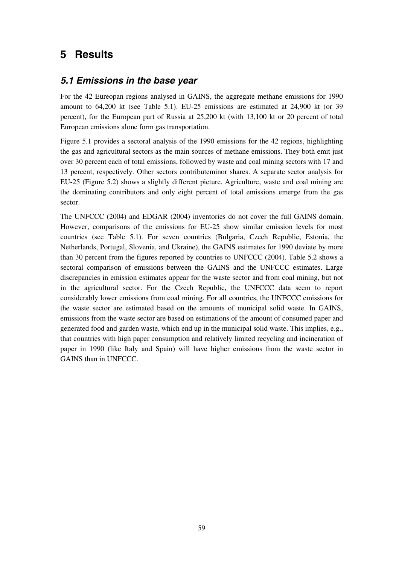# **5 Results**

#### **5.1 Emissions in the base year**

For the 42 Eureopan regions analysed in GAINS, the aggregate methane emissions for 1990 amount to 64,200 kt (see Table 5.1). EU-25 emissions are estimated at 24,900 kt (or 39 percent), for the European part of Russia at 25,200 kt (with 13,100 kt or 20 percent of total European emissions alone form gas transportation.

Figure 5.1 provides a sectoral analysis of the 1990 emissions for the 42 regions, highlighting the gas and agricultural sectors as the main sources of methane emissions. They both emit just over 30 percent each of total emissions, followed by waste and coal mining sectors with 17 and 13 percent, respectively. Other sectors contributeminor shares. A separate sector analysis for EU-25 (Figure 5.2) shows a slightly different picture. Agriculture, waste and coal mining are the dominating contributors and only eight percent of total emissions emerge from the gas sector.

The UNFCCC (2004) and EDGAR (2004) inventories do not cover the full GAINS domain. However, comparisons of the emissions for EU-25 show similar emission levels for most countries (see Table 5.1). For seven countries (Bulgaria, Czech Republic, Estonia, the Netherlands, Portugal, Slovenia, and Ukraine), the GAINS estimates for 1990 deviate by more than 30 percent from the figures reported by countries to UNFCCC (2004). Table 5.2 shows a sectoral comparison of emissions between the GAINS and the UNFCCC estimates. Large discrepancies in emission estimates appear for the waste sector and from coal mining, but not in the agricultural sector. For the Czech Republic, the UNFCCC data seem to report considerably lower emissions from coal mining. For all countries, the UNFCCC emissions for the waste sector are estimated based on the amounts of municipal solid waste. In GAINS, emissions from the waste sector are based on estimations of the amount of consumed paper and generated food and garden waste, which end up in the municipal solid waste. This implies, e.g., that countries with high paper consumption and relatively limited recycling and incineration of paper in 1990 (like Italy and Spain) will have higher emissions from the waste sector in GAINS than in UNFCCC.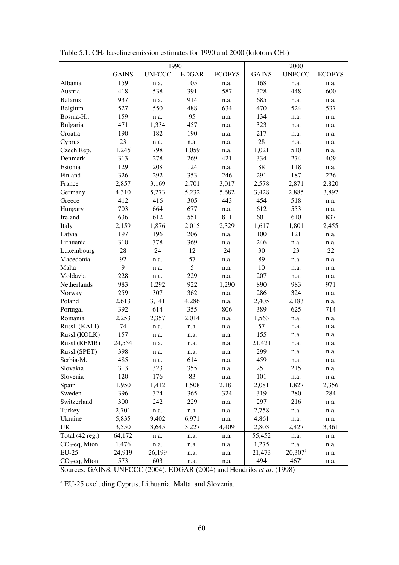|                 |              | 1990          |              |               | 2000         |                       |               |
|-----------------|--------------|---------------|--------------|---------------|--------------|-----------------------|---------------|
|                 | <b>GAINS</b> | <b>UNFCCC</b> | <b>EDGAR</b> | <b>ECOFYS</b> | <b>GAINS</b> | <b>UNFCCC</b>         | <b>ECOFYS</b> |
| Albania         | 159          | n.a.          | 105          | n.a.          | 168          | n.a.                  | n.a.          |
| Austria         | 418          | 538           | 391          | 587           | 328          | 448                   | 600           |
| <b>Belarus</b>  | 937          | n.a.          | 914          | n.a.          | 685          | n.a.                  | n.a.          |
| Belgium         | 527          | 550           | 488          | 634           | 470          | 524                   | 537           |
| Bosnia-H        | 159          | n.a.          | 95           | n.a.          | 134          | n.a.                  | n.a.          |
| Bulgaria        | 471          | 1,334         | 457          | n.a.          | 323          | n.a.                  | n.a.          |
| Croatia         | 190          | 182           | 190          | n.a.          | 217          | n.a.                  | n.a.          |
| Cyprus          | 23           | n.a.          | n.a.         | n.a.          | 28           | n.a.                  | n.a.          |
| Czech Rep.      | 1,245        | 798           | 1,059        | n.a.          | 1,021        | 510                   | n.a.          |
| Denmark         | 313          | 278           | 269          | 421           | 334          | 274                   | 409           |
| Estonia         | 129          | 208           | 124          | n.a.          | 88           | 118                   | n.a.          |
| Finland         | 326          | 292           | 353          | 246           | 291          | 187                   | 226           |
| France          | 2,857        | 3,169         | 2,701        | 3,017         | 2,578        | 2,871                 | 2,820         |
| Germany         | 4,310        | 5,273         | 5,232        | 5,682         | 3,428        | 2,885                 | 3,892         |
| Greece          | 412          | 416           | 305          | 443           | 454          | 518                   | n.a.          |
| Hungary         | 703          | 664           | 677          | n.a.          | 612          | 553                   | n.a.          |
| Ireland         | 636          | 612           | 551          | 811           | 601          | 610                   | 837           |
| Italy           | 2,159        | 1,876         | 2,015        | 2,329         | 1,617        | 1,801                 | 2,455         |
| Latvia          | 197          | 196           | 206          | n.a.          | 100          | 121                   | n.a.          |
| Lithuania       | 310          | 378           | 369          | n.a.          | 246          | n.a.                  | n.a.          |
| Luxembourg      | 28           | 24            | 12           | 24            | 30           | 23                    | 22            |
| Macedonia       | 92           | n.a.          | 57           | n.a.          | 89           | n.a.                  | n.a.          |
| Malta           | 9            | n.a.          | 5            | n.a.          | 10           | n.a.                  | n.a.          |
| Moldavia        | 228          | n.a.          | 229          | n.a.          | 207          | n.a.                  | n.a.          |
| Netherlands     | 983          | 1,292         | 922          | 1,290         | 890          | 983                   | 971           |
| Norway          | 259          | 307           | 362          | n.a.          | 286          | 324                   | n.a.          |
| Poland          | 2,613        | 3,141         | 4,286        | n.a.          | 2,405        | 2,183                 | n.a.          |
| Portugal        | 392          | 614           | 355          | 806           | 389          | 625                   | 714           |
| Romania         | 2,253        | 2,357         | 2,014        | n.a.          | 1,563        | n.a.                  | n.a.          |
| Russl. (KALI)   | 74           | n.a.          | n.a.         | n.a.          | 57           | n.a.                  | n.a.          |
| Russl.(KOLK)    | 157          | n.a.          | n.a.         | n.a.          | 155          | n.a.                  | n.a.          |
| Russl.(REMR)    | 24,554       | n.a.          | n.a.         | n.a.          | 21,421       | n.a.                  | n.a.          |
| Russl.(SPET)    | 398          | n.a.          | n.a.         | n.a.          | 299          | n.a.                  | n.a.          |
| Serbia-M.       | 485          | n.a.          | 614          | n.a.          | 459          | n.a.                  | n.a.          |
| Slovakia        | 313          | 323           | 355          | n.a.          | 251          | 215                   | n.a.          |
| Slovenia        | 120          | 176           | 83           | n.a.          | 101          | n.a.                  | n.a.          |
| Spain           | 1,950        | 1,412         | 1,508        | 2,181         | 2,081        | 1,827                 | 2,356         |
| Sweden          | 396          | 324           | 365          | 324           | 319          | 280                   | 284           |
| Switzerland     | 300          | 242           | 229          | n.a.          | 297          | 216                   | n.a.          |
| Turkey          | 2,701        | n.a.          | n.a.         | n.a.          | 2,758        | n.a.                  | n.a.          |
| Ukraine         | 5,835        | 9,402         | 6,971        | n.a.          | 4,861        | n.a.                  | n.a.          |
| UK              | 3,550        | 3,645         | 3,227        | 4,409         | 2,803        | 2,427                 | 3,361         |
| Total (42 reg.) | 64,172       | n.a.          | n.a.         | n.a.          | 55,452       | n.a.                  | n.a.          |
| $CO2$ -eq, Mton | 1,476        | n.a.          | n.a.         | n.a.          | 1,275        | n.a.                  | n.a.          |
| $EU-25$         | 24,919       | 26,199        | n.a.         | n.a.          | 21,473       | $20,307$ <sup>a</sup> | n.a.          |
| $CO2$ -eq, Mton | 573          | 603           | n.a.         | n.a.          | 494          | $467$ <sup>a</sup>    | n.a.          |

Table 5.1: CH4 baseline emission estimates for 1990 and 2000 (kilotons CH4)

Sources: GAINS, UNFCCC (2004), EDGAR (2004) and Hendriks *et al*. (1998)

a EU-25 excluding Cyprus, Lithuania, Malta, and Slovenia.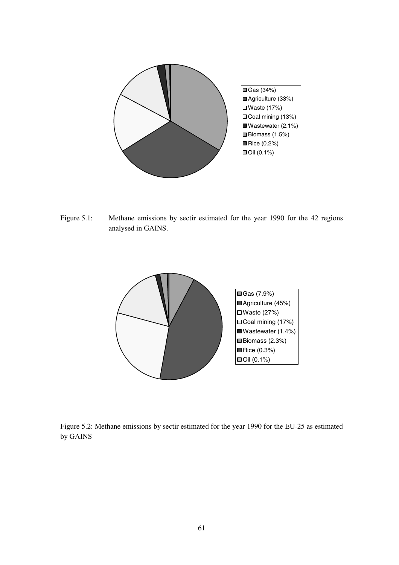

Figure 5.1: Methane emissions by sectir estimated for the year 1990 for the 42 regions analysed in GAINS.



Figure 5.2: Methane emissions by sectir estimated for the year 1990 for the EU-25 as estimated by GAINS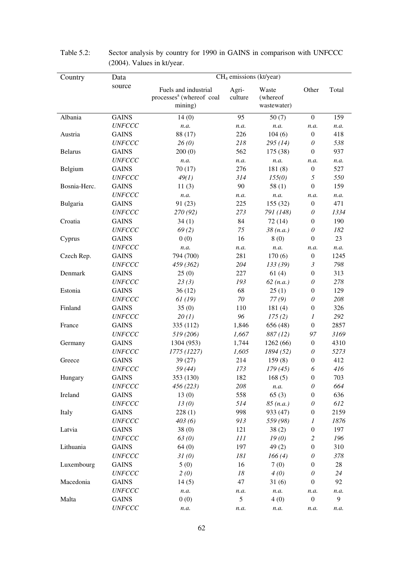| Country        | Data                 | $CH4$ emissions (kt/year)                                               |                  |                                  |                           |        |  |
|----------------|----------------------|-------------------------------------------------------------------------|------------------|----------------------------------|---------------------------|--------|--|
|                | source               | Fuels and industrial<br>processes <sup>a</sup> (whereof coal<br>mining) | Agri-<br>culture | Waste<br>(whereof<br>wastewater) | Other                     | Total  |  |
| Albania        | <b>GAINS</b>         | 14(0)                                                                   | 95               | 50(7)                            | $\overline{0}$            | 159    |  |
|                | <b>UNFCCC</b>        | n.a.                                                                    | n.a.             | n.a.                             | n.a.                      | n.a.   |  |
| Austria        | <b>GAINS</b>         | 88 (17)                                                                 | 226              | 104(6)                           | $\boldsymbol{0}$          | 418    |  |
|                | <b>UNFCCC</b>        | 26(0)                                                                   | 218              | 295(14)                          | 0                         | 538    |  |
| <b>Belarus</b> | <b>GAINS</b>         | 200(0)                                                                  | 562              | 175 (38)                         | $\mathbf{0}$              | 937    |  |
|                | <b>UNFCCC</b>        | n.a.                                                                    | n.a.             | n.a.                             | n.a.                      | n.a.   |  |
| Belgium        | <b>GAINS</b>         | 70(17)                                                                  | 276              | 181(8)                           | $\boldsymbol{0}$          | 527    |  |
|                | <b>UNFCCC</b>        | 49(1)                                                                   | 314              | 155(0)                           | 5                         | 550    |  |
| Bosnia-Herc.   | <b>GAINS</b>         | 11(3)                                                                   | 90               | 58(1)                            | $\overline{0}$            | 159    |  |
|                | <b>UNFCCC</b>        | n.a.                                                                    | n.a.             | n.a.                             | n.a.                      | n.a.   |  |
| Bulgaria       | <b>GAINS</b>         | 91 (23)                                                                 | 225              | 155 (32)                         | $\boldsymbol{0}$          | 471    |  |
|                | <b>UNFCCC</b>        | 270 (92)                                                                | 273              | 791 (148)                        | 0                         | 1334   |  |
| Croatia        | <b>GAINS</b>         | 34(1)                                                                   | 84               | 72(14)                           | $\overline{0}$            | 190    |  |
|                | <b>UNFCCC</b>        | 69(2)                                                                   | 75               | 38(n.a.)                         | 0                         | 182    |  |
| Cyprus         | <b>GAINS</b>         | 0(0)                                                                    | 16               | 8(0)                             | $\boldsymbol{0}$          | 23     |  |
|                | <b>UNFCCC</b>        | n.a.                                                                    | n.a.             | n.a.                             | n.a.                      | n.a.   |  |
| Czech Rep.     | <b>GAINS</b>         | 794 (700)                                                               | 281              | 170(6)                           | $\boldsymbol{0}$          | 1245   |  |
|                | <b>UNFCCC</b>        | 459 (362)                                                               | 204              | 133(39)                          | 3                         | 798    |  |
| Denmark        | <b>GAINS</b>         | 25(0)                                                                   | 227              | 61(4)                            | $\boldsymbol{0}$          | 313    |  |
|                | <b>UNFCCC</b>        | 23(3)                                                                   | 193              | 62 (n.a.)                        | 0                         | 278    |  |
| Estonia        | <b>GAINS</b>         | 36(12)                                                                  | 68               | 25(1)                            | $\boldsymbol{0}$          | 129    |  |
|                | <b>UNFCCC</b>        | 61(19)                                                                  | 70               | 77(9)                            | 0                         | 208    |  |
| Finland        | <b>GAINS</b>         | 35(0)                                                                   | 110              | 181(4)                           | $\boldsymbol{0}$          | 326    |  |
|                | <b>UNFCCC</b>        | 20(1)                                                                   | 96               | 175(2)                           | 1                         | 292    |  |
| France         | <b>GAINS</b>         | 335 (112)                                                               | 1,846            | 656 (48)                         | $\overline{0}$            | 2857   |  |
|                | <b>UNFCCC</b>        | 519 (206)                                                               | 1,667            | 887(12)                          | 97                        | 3169   |  |
| Germany        | <b>GAINS</b>         | 1304 (953)                                                              | 1,744            | 1262(66)                         | $\boldsymbol{0}$          | 4310   |  |
|                | <b>UNFCCC</b>        | 1775 (1227)                                                             | 1,605            | 1894(52)                         | 0                         | 5273   |  |
| Greece         | <b>GAINS</b>         | 39 (27)                                                                 | 214              | 159(8)                           | $\boldsymbol{0}$          | 412    |  |
|                | <b>UNFCCC</b>        | 59 (44)                                                                 | 173              | 179(45)                          | 6                         | 416    |  |
| Hungary        | <b>GAINS</b>         | 353 (130)                                                               | 182              | 168(5)                           | $\boldsymbol{0}$          | 703    |  |
|                | <b>UNFCCC</b>        | 456(223)                                                                | 208              | n.a.                             | $\boldsymbol{\mathit{0}}$ | 664    |  |
| Ireland        | <b>GAINS</b>         | 13(0)                                                                   | 558              | 65(3)                            | $\boldsymbol{0}$          | 636    |  |
|                | <b>UNFCCC</b>        | 13(0)                                                                   | 514              | 85(n.a.)                         | $\boldsymbol{\theta}$     | 612    |  |
| Italy          | <b>GAINS</b>         | 228(1)                                                                  | 998              | 933 (47)                         | $\boldsymbol{0}$          | 2159   |  |
|                | <i>UNFCCC</i>        | 403(6)                                                                  | 913              | 559 (98)                         | 1                         | 1876   |  |
| Latvia         | <b>GAINS</b>         | 38(0)                                                                   | 121              | 38(2)                            | $\boldsymbol{0}$          | 197    |  |
|                | <b>UNFCCC</b>        | 63 <sub>(0)</sub>                                                       | 111              | 19(0)                            | $\overline{c}$            | 196    |  |
| Lithuania      | <b>GAINS</b>         | 64(0)                                                                   | 197              | 49(2)                            | $\boldsymbol{0}$          | 310    |  |
|                | <b>UNFCCC</b>        | 31(0)                                                                   | 181              | 166(4)                           | $\boldsymbol{\mathit{0}}$ | 378    |  |
| Luxembourg     | <b>GAINS</b>         | 5(0)                                                                    | 16               | 7(0)                             | $\boldsymbol{0}$          | $28\,$ |  |
|                | <i><b>UNFCCC</b></i> | 2(0)                                                                    | 18               | 4(0)                             | 0                         | 24     |  |
| Macedonia      | <b>GAINS</b>         | 14(5)                                                                   | 47               | 31(6)                            | $\mathbf{0}$              | 92     |  |
|                | <i>UNFCCC</i>        | n.a.                                                                    | n.a.             | n.a.                             | n.a.                      | n.a.   |  |
| Malta          | <b>GAINS</b>         | 0(0)                                                                    | 5                | 4(0)                             | $\boldsymbol{0}$          | 9      |  |
|                | <b>UNFCCC</b>        | n.a.                                                                    | n.a.             | n.a.                             | n.a.                      | n.a.   |  |

| Table $5.2$ : | Sector analysis by country for 1990 in GAINS in comparison with UNFCCC |
|---------------|------------------------------------------------------------------------|
|               | $(2004)$ . Values in kt/year.                                          |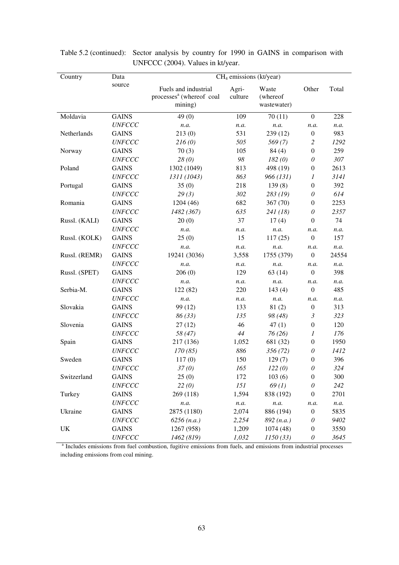| Country       | Data          | $CH4$ emissions (kt/year)                                                                                                    |                  |                                  |                  |       |
|---------------|---------------|------------------------------------------------------------------------------------------------------------------------------|------------------|----------------------------------|------------------|-------|
|               | source        | Fuels and industrial<br>processes <sup>a</sup> (whereof coal<br>mining)                                                      | Agri-<br>culture | Waste<br>(whereof<br>wastewater) | Other            | Total |
| Moldavia      | <b>GAINS</b>  | 49(0)                                                                                                                        | 109              | 70(11)                           | $\overline{0}$   | 228   |
|               | <b>UNFCCC</b> | n.a.                                                                                                                         | n.a.             | n.a.                             | n.a.             | n.a.  |
| Netherlands   | <b>GAINS</b>  | 213(0)                                                                                                                       | 531              | 239 (12)                         | $\boldsymbol{0}$ | 983   |
|               | <b>UNFCCC</b> | 216(0)                                                                                                                       | 505              | 569(7)                           | 2                | 1292  |
| Norway        | <b>GAINS</b>  | 70(3)                                                                                                                        | 105              | 84(4)                            | $\boldsymbol{0}$ | 259   |
|               | <b>UNFCCC</b> | 28(0)                                                                                                                        | 98               | 182(0)                           | 0                | 307   |
| Poland        | <b>GAINS</b>  | 1302 (1049)                                                                                                                  | 813              | 498 (19)                         | $\boldsymbol{0}$ | 2613  |
|               | <b>UNFCCC</b> | 1311 (1043)                                                                                                                  | 863              | 966 (131)                        | $\mathfrak{1}$   | 3141  |
| Portugal      | <b>GAINS</b>  | 35(0)                                                                                                                        | 218              | 139(8)                           | $\boldsymbol{0}$ | 392   |
|               | <b>UNFCCC</b> | 29(3)                                                                                                                        | 302              | 283 (19)                         | 0                | 614   |
| Romania       | <b>GAINS</b>  | 1204(46)                                                                                                                     | 682              | 367 (70)                         | $\mathbf{0}$     | 2253  |
|               | <b>UNFCCC</b> | 1482 (367)                                                                                                                   | 635              | 241(18)                          | 0                | 2357  |
| Russl. (KALI) | <b>GAINS</b>  | 20(0)                                                                                                                        | 37               | 17(4)                            | $\Omega$         | 74    |
|               | <b>UNFCCC</b> | n.a.                                                                                                                         | n.a.             | n.a.                             | n.a.             | n.a.  |
| Russl. (KOLK) | <b>GAINS</b>  | 25(0)                                                                                                                        | 15               | 117(25)                          | $\boldsymbol{0}$ | 157   |
|               | <b>UNFCCC</b> | n.a.                                                                                                                         | n.a.             | n.a.                             | n.a.             | n.a.  |
| Russl. (REMR) | <b>GAINS</b>  | 19241 (3036)                                                                                                                 | 3,558            | 1755 (379)                       | $\mathbf{0}$     | 24554 |
|               | <b>UNFCCC</b> | n.a.                                                                                                                         | n.a.             | n.a.                             | n.a.             | n.a.  |
| Russl. (SPET) | <b>GAINS</b>  | 206(0)                                                                                                                       | 129              | 63(14)                           | $\overline{0}$   | 398   |
|               | <b>UNFCCC</b> | n.a.                                                                                                                         | n.a.             | n.a.                             | n.a.             | n.a.  |
| Serbia-M.     | <b>GAINS</b>  | 122 (82)                                                                                                                     | 220              | 143(4)                           | $\boldsymbol{0}$ | 485   |
|               | <b>UNFCCC</b> | n.a.                                                                                                                         | n.a.             | n.a.                             | n.a.             | n.a.  |
| Slovakia      | <b>GAINS</b>  | 99 (12)                                                                                                                      | 133              | 81(2)                            | $\boldsymbol{0}$ | 313   |
|               | <b>UNFCCC</b> | 86(33)                                                                                                                       | 135              | 98 (48)                          | $\mathfrak{Z}$   | 323   |
| Slovenia      | <b>GAINS</b>  | 27(12)                                                                                                                       | 46               | 47(1)                            | $\boldsymbol{0}$ | 120   |
|               | <b>UNFCCC</b> | 58 (47)                                                                                                                      | 44               | 76(26)                           | $\mathfrak{1}$   | 176   |
| Spain         | <b>GAINS</b>  | 217 (136)                                                                                                                    | 1,052            | 681 (32)                         | $\boldsymbol{0}$ | 1950  |
|               | <b>UNFCCC</b> | 170 (85)                                                                                                                     | 886              | 356(72)                          | 0                | 1412  |
| Sweden        | <b>GAINS</b>  | 117(0)                                                                                                                       | 150              | 129(7)                           | $\mathbf{0}$     | 396   |
|               | <b>UNFCCC</b> | 37 <sub>(0)</sub>                                                                                                            | 165              | 122(0)                           | 0                | 324   |
| Switzerland   | <b>GAINS</b>  | 25(0)                                                                                                                        | 172              | 103(6)                           | $\boldsymbol{0}$ | 300   |
|               | <b>UNFCCC</b> | 22(0)                                                                                                                        | 151              | 69(1)                            | $\theta$         | 242   |
| Turkey        | <b>GAINS</b>  | 269 (118)                                                                                                                    | 1,594            | 838 (192)                        | $\boldsymbol{0}$ | 2701  |
|               | <b>UNFCCC</b> | n.a.                                                                                                                         | n.a.             | n.a.                             | n.a.             | n.a.  |
| Ukraine       | <b>GAINS</b>  | 2875 (1180)                                                                                                                  | 2,074            | 886 (194)                        | $\boldsymbol{0}$ | 5835  |
|               | <b>UNFCCC</b> | 6256(n.a.)                                                                                                                   | 2,254            | 892(n.a.)                        | 0                | 9402  |
| UK            | <b>GAINS</b>  | 1267 (958)                                                                                                                   | 1,209            | 1074(48)                         | $\boldsymbol{0}$ | 3550  |
|               | <b>UNFCCC</b> | 1462 (819)                                                                                                                   | 1,032            | 1150(33)                         | 0                | 3645  |
|               |               | <sup>a</sup> Includes emissions from fuel combustion, fugitive emissions from fuels, and emissions from industrial processes |                  |                                  |                  |       |

Table 5.2 (continued): Sector analysis by country for 1990 in GAINS in comparison with UNFCCC (2004). Values in kt/year.

including emissions from coal mining.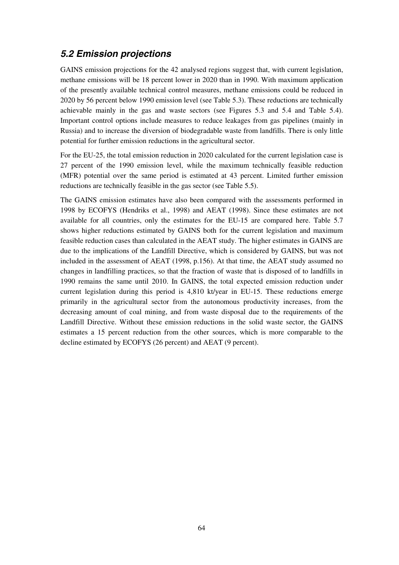# **5.2 Emission projections**

GAINS emission projections for the 42 analysed regions suggest that, with current legislation, methane emissions will be 18 percent lower in 2020 than in 1990. With maximum application of the presently available technical control measures, methane emissions could be reduced in 2020 by 56 percent below 1990 emission level (see Table 5.3). These reductions are technically achievable mainly in the gas and waste sectors (see Figures 5.3 and 5.4 and Table 5.4). Important control options include measures to reduce leakages from gas pipelines (mainly in Russia) and to increase the diversion of biodegradable waste from landfills. There is only little potential for further emission reductions in the agricultural sector.

For the EU-25, the total emission reduction in 2020 calculated for the current legislation case is 27 percent of the 1990 emission level, while the maximum technically feasible reduction (MFR) potential over the same period is estimated at 43 percent. Limited further emission reductions are technically feasible in the gas sector (see Table 5.5).

The GAINS emission estimates have also been compared with the assessments performed in 1998 by ECOFYS (Hendriks et al., 1998) and AEAT (1998). Since these estimates are not available for all countries, only the estimates for the EU-15 are compared here. Table 5.7 shows higher reductions estimated by GAINS both for the current legislation and maximum feasible reduction cases than calculated in the AEAT study. The higher estimates in GAINS are due to the implications of the Landfill Directive, which is considered by GAINS, but was not included in the assessment of AEAT (1998, p.156). At that time, the AEAT study assumed no changes in landfilling practices, so that the fraction of waste that is disposed of to landfills in 1990 remains the same until 2010. In GAINS, the total expected emission reduction under current legislation during this period is 4,810 kt/year in EU-15. These reductions emerge primarily in the agricultural sector from the autonomous productivity increases, from the decreasing amount of coal mining, and from waste disposal due to the requirements of the Landfill Directive. Without these emission reductions in the solid waste sector, the GAINS estimates a 15 percent reduction from the other sources, which is more comparable to the decline estimated by ECOFYS (26 percent) and AEAT (9 percent).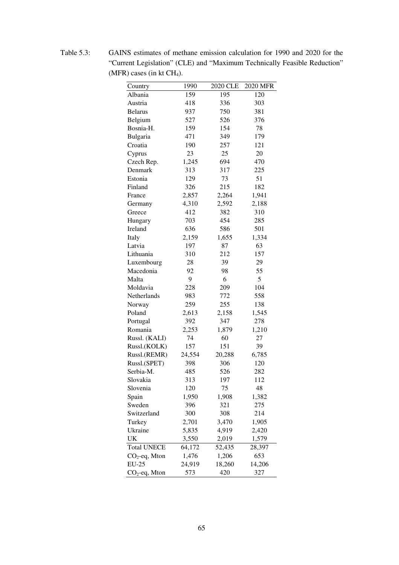Country 1990 2020 CLE 2020 MFR Albania 159 195 120 Austria 418 336 303 Belarus 937 750 381 Belgium 527 526 376 Bosnia-H. 159 154 78 Bulgaria 471 349 179 Croatia 190 257 121 Cyprus 23 25 20 Czech Rep. 1,245 694 470 Denmark 313 317 225 Estonia 129 73 51 Finland 326 215 182 France 2,857 2,264 1,941 Germany 4,310 2,592 2,188 Greece 412 382 310 Hungary 703 454 285 Ireland 636 586 501 Italy 2,159 1,655 1,334 Latvia 197 87 63 Lithuania 310 212 157 Luxembourg 28 39 29 Macedonia 92 98 55 Malta 9 6 5 Moldavia 228 209 104 Netherlands 983 772 558 Norway 259 255 138 Poland 2,613 2,158 1,545 Portugal 392 347 278 Romania 2,253 1,879 1,210 Russl. (KALI) 74 60 27 Russl.(KOLK) 157 151 39 Russl.(REMR) 24,554 20,288 6,785 Russl.(SPET) 398 306 120 Serbia-M. 485 526 282 Slovakia 313 197 112 Slovenia 120 75 48 Spain 1,950 1,908 1,382 Sweden 396 321 275 Switzerland 300 308 214 Turkey 2,701 3,470 1,905 Ukraine 5,835 4,919 2,420 UK 3,550 2,019 1,579 Total UNECE 64,172 52,435 28,397  $CO_2$ -eq, Mton  $1,476$   $1,206$   $653$ EU-25 24,919 18,260 14,206  $CO_2$ -eq, Mton 573 420 327

Table 5.3: GAINS estimates of methane emission calculation for 1990 and 2020 for the "Current Legislation" (CLE) and "Maximum Technically Feasible Reduction"  $(MFR)$  cases (in kt CH<sub>4</sub>).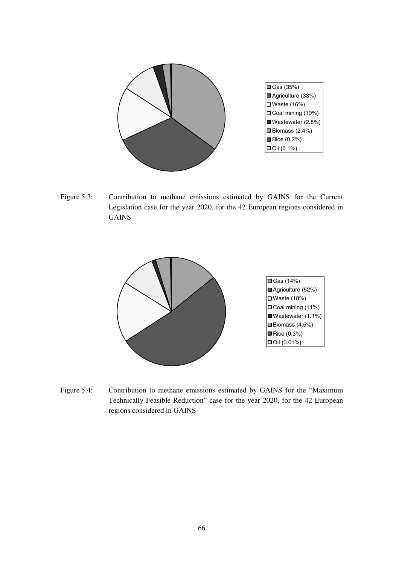

Figure 5.3: Contribution to methane emissions estimated by GAINS for the Current Legislation case for the year 2020, for the 42 European regions considered in GAINS



Figure 5.4: Contribution to methane emissions estimated by GAINS for the "Maximum Technically Feasible Reduction" case for the year 2020, for the 42 European regions considered in GAINS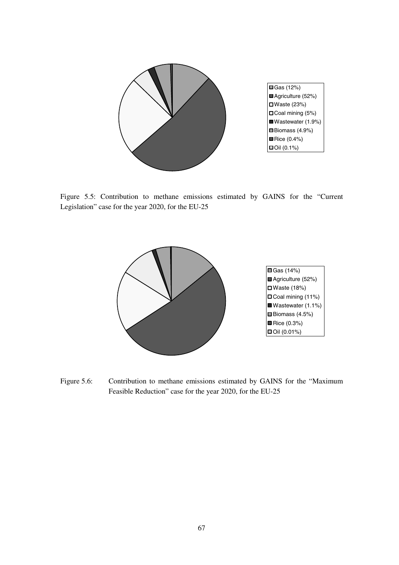

Figure 5.5: Contribution to methane emissions estimated by GAINS for the "Current Legislation" case for the year 2020, for the EU-25



Figure 5.6: Contribution to methane emissions estimated by GAINS for the "Maximum Feasible Reduction" case for the year 2020, for the EU-25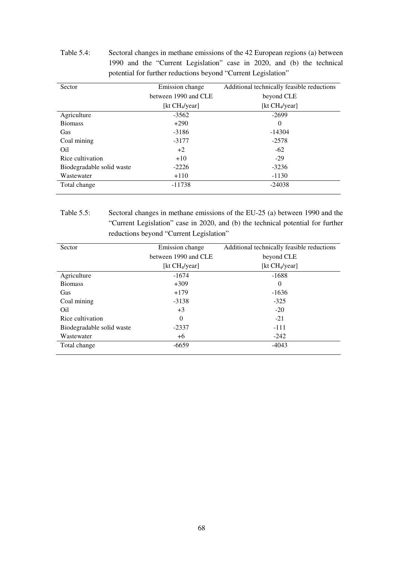Table 5.4: Sectoral changes in methane emissions of the 42 European regions (a) between 1990 and the "Current Legislation" case in 2020, and (b) the technical potential for further reductions beyond "Current Legislation"

| Sector                    | Emission change      | Additional technically feasible reductions |
|---------------------------|----------------------|--------------------------------------------|
|                           | between 1990 and CLE | beyond CLE                                 |
|                           | [kt $CH_4$ /year]    | [kt $CH_4$ /year]                          |
| Agriculture               | $-3562$              | $-2699$                                    |
| <b>Biomass</b>            | $+290$               | $\Omega$                                   |
| <b>Gas</b>                | $-3186$              | $-14304$                                   |
| Coal mining               | $-3177$              | $-2578$                                    |
| Oil                       | $+2$                 | $-62$                                      |
| Rice cultivation          | $+10$                | $-29$                                      |
| Biodegradable solid waste | $-2226$              | $-3236$                                    |
| Wastewater                | $+110$               | $-1130$                                    |
| Total change              | $-11738$             | $-24038$                                   |

## Table 5.5: Sectoral changes in methane emissions of the EU-25 (a) between 1990 and the "Current Legislation" case in 2020, and (b) the technical potential for further reductions beyond "Current Legislation"

| Sector                    | Emission change      | Additional technically feasible reductions |
|---------------------------|----------------------|--------------------------------------------|
|                           | between 1990 and CLE | beyond CLE                                 |
|                           | [kt $CH_4$ /year]    | [kt $CH_4$ /year]                          |
| Agriculture               | $-1674$              | $-1688$                                    |
| <b>Biomass</b>            | $+309$               | $\Omega$                                   |
| Gas                       | $+179$               | $-1636$                                    |
| Coal mining               | $-3138$              | $-325$                                     |
| Oil                       | $+3$                 | $-20$                                      |
| Rice cultivation          | $\Omega$             | $-21$                                      |
| Biodegradable solid waste | $-2337$              | $-111$                                     |
| Wastewater                | +6                   | $-242$                                     |
| Total change              | $-6659$              | $-4043$                                    |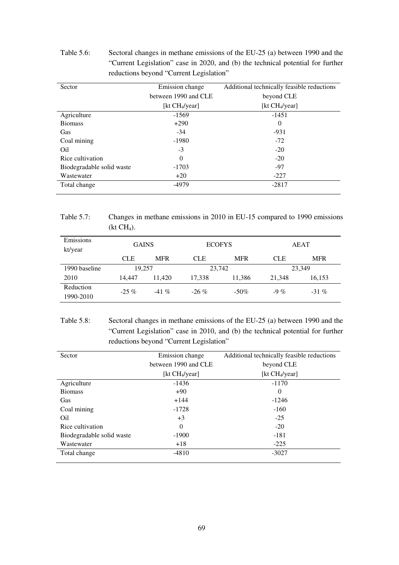#### Table 5.6: Sectoral changes in methane emissions of the EU-25 (a) between 1990 and the "Current Legislation" case in 2020, and (b) the technical potential for further reductions beyond "Current Legislation"

| Sector                    | Emission change      | Additional technically feasible reductions |
|---------------------------|----------------------|--------------------------------------------|
|                           | between 1990 and CLE | beyond CLE                                 |
|                           | [kt $CH_4$ /year]    | [kt $CH_4$ /year]                          |
| Agriculture               | $-1569$              | $-1451$                                    |
| <b>Biomass</b>            | $+290$               | $\Omega$                                   |
| Gas                       | $-34$                | $-931$                                     |
| Coal mining               | $-1980$              | $-72$                                      |
| Oil                       | $-3$                 | $-20$                                      |
| Rice cultivation          | $\Omega$             | $-20$                                      |
| Biodegradable solid waste | $-1703$              | $-97$                                      |
| Wastewater                | $+20$                | $-227$                                     |
| Total change              | $-4979$              | $-2817$                                    |

Table 5.7: Changes in methane emissions in 2010 in EU-15 compared to 1990 emissions  $(kt CH<sub>4</sub>).$ 

| Emissions<br>kt/year | <b>GAINS</b> |            | <b>ECOFYS</b> |            | AEAT       |            |
|----------------------|--------------|------------|---------------|------------|------------|------------|
|                      | <b>CLE</b>   | <b>MFR</b> | <b>CLE</b>    | <b>MFR</b> | <b>CLE</b> | <b>MFR</b> |
| 1990 baseline        | 19.257       |            | 23,742        |            | 23,349     |            |
| 2010                 | 14,447       | 11.420     | 17,338        | 11,386     | 21,348     | 16,153     |
| Reduction            | $-25\%$      | $-41\%$    | $-26\%$       | $-50\%$    | $-9\%$     | $-31\%$    |
| 1990-2010            |              |            |               |            |            |            |

Table 5.8: Sectoral changes in methane emissions of the EU-25 (a) between 1990 and the "Current Legislation" case in 2010, and (b) the technical potential for further reductions beyond "Current Legislation"

| Sector                    | Emission change      | Additional technically feasible reductions |  |
|---------------------------|----------------------|--------------------------------------------|--|
|                           | between 1990 and CLE | beyond CLE                                 |  |
|                           | [kt $CH_4$ /year]    | [kt $CH_4$ /year]                          |  |
| Agriculture               | $-1436$              | $-1170$                                    |  |
| <b>Biomass</b>            | $+90$                | $\theta$                                   |  |
| Gas                       | $+144$               | $-1246$                                    |  |
| Coal mining               | $-1728$              | $-160$                                     |  |
| Oil                       | $+3$                 | $-25$                                      |  |
| Rice cultivation          | $\Omega$             | $-20$                                      |  |
| Biodegradable solid waste | $-1900$              | $-181$                                     |  |
| Wastewater                | $+18$                | $-225$                                     |  |
| Total change              | $-4810$              | $-3027$                                    |  |
|                           |                      |                                            |  |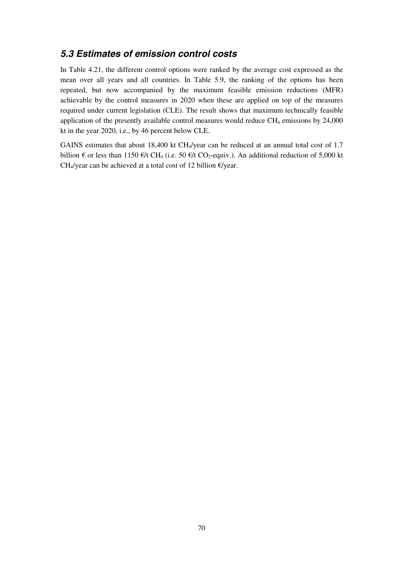# **5.3 Estimates of emission control costs**

In Table 4.21, the different control options were ranked by the average cost expressed as the mean over all years and all countries. In Table 5.9, the ranking of the options has been repeated, but now accompanied by the maximum feasible emission reductions (MFR) achievable by the control measures in 2020 when these are applied on top of the measures required under current legislation (CLE). The result shows that maximum technically feasible application of the presently available control measures would reduce  $CH_4$  emissions by  $24,000$ kt in the year 2020, i.e., by 46 percent below CLE.

GAINS estimates that about 18,400 kt  $CH<sub>4</sub>/year$  can be reduced at an annual total cost of 1.7 billion € or less than 1150 €/t CH<sub>4</sub> (i.e. 50 €/t CO<sub>2</sub>-equiv.). An additional reduction of 5,000 kt CH<sub>4</sub>/year can be achieved at a total cost of 12 billion  $\epsilon$ /year.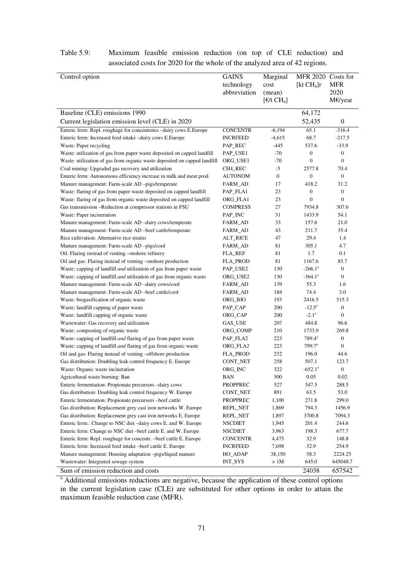| Control option                                                              | <b>GAINS</b>    | Marginal         | MFR 2020 Costs for |                  |
|-----------------------------------------------------------------------------|-----------------|------------------|--------------------|------------------|
|                                                                             | technology      | cost             | [ $kt CH4]r$       | <b>MFR</b>       |
|                                                                             | abbreviation    | (mean)           |                    | 2020             |
|                                                                             |                 | $[E/t \, CH_4]$  |                    | M€/year          |
| Baseline (CLE) emissions 1990                                               |                 |                  | 64,172             |                  |
| Current legislation emission level (CLE) in 2020                            |                 |                  | 52,435             | $\boldsymbol{0}$ |
|                                                                             |                 |                  |                    |                  |
| Enteric ferm: Repl. roughage for concentrates -dairy cows E.Europe          | <b>CONCENTR</b> | $-6,194$         | 65.1               | $-316.4$         |
| Enteric ferm: Increased feed intake -dairy cows E.Europe                    | <b>INCRFEED</b> | $-4,615$         | 68.7               | $-217.5$         |
| Waste: Paper recycling                                                      | PAP_REC         | -445             | 537.6              | $-33.9$          |
| Waste: utilization of gas from paper waste deposited on capped landfill     | PAP_USE1        | -70              | $\boldsymbol{0}$   | $\boldsymbol{0}$ |
| Waste: utilization of gas from organic waste deposited on capped landfill   | ORG_USE1        | -70              | $\boldsymbol{0}$   | $\boldsymbol{0}$ |
| Coal mining: Upgraded gas recovery and utilization                          | CH4_REC         | $-5$             | 2577.8             | 70.4             |
| Enteric ferm: Autonomous efficiency increase in milk and meat prod.         | AUTONOM         | $\boldsymbol{0}$ | $\boldsymbol{0}$   | $\boldsymbol{0}$ |
| Manure management: Farm-scale AD -pigs/temperate                            | FARM_AD         | 17               | 418.2              | 31.2             |
| Waste: flaring of gas from paper waste deposited on capped landfill         | PAP_FLA1        | 23               | $\boldsymbol{0}$   | $\boldsymbol{0}$ |
| Waste: flaring of gas from organic waste deposited on capped landfill       | ORG_FLA1        | 23               | $\boldsymbol{0}$   | $\overline{0}$   |
| Gas transmission --Reduction at compressor stations in FSU                  | <b>COMPRESS</b> | 27               | 7934.8             | 307.6            |
| Waste: Paper incineration                                                   | PAP_INC         | 31               | 1433.9             | 54.1             |
| Manure management: Farm-scale AD -dairy cows/temperate                      | FARM_AD         | 33               | 157.6              | 21.0             |
| Manure management: Farm-scale AD -beef cattle/temperate                     | FARM_AD         | 43               | 211.7              | 35.4             |
| Rice cultivation: Alternative rice strains                                  | ALT_RICE        | 47               | 29.4               | 1.4              |
| Manure management: Farm-scale AD -pigs/cool                                 | FARM_AD         | 81               | 305.1              | 4.7              |
| Oil: Flaring instead of venting -onshore refinery                           | FLA_REF         | 81               | 1.7                | 0.1              |
| Oil and gas: Flaring instead of venting -onshore production                 | <b>FLA_PROD</b> | 81               | 1167.6             | 85.7             |
| Waste: capping of landfill and utilization of gas from paper waste          | PAP_USE2        | 130              | $-266.1^a$         | $\boldsymbol{0}$ |
| Waste: capping of landfill <i>and</i> utilization of gas from organic waste | ORG_USE2        | 130              | $-364.1a$          | $\boldsymbol{0}$ |
| Manure management: Farm-scale AD -dairy cows/cool                           | FARM_AD         | 139              | 55.3               | 1.6              |
| Manure management: Farm-scale AD -beef cattle/cool                          | FARM_AD         | 184              | 74.4               | 3.0              |
| Waste: biogasification of organic waste                                     | ORG_BIO         | 193              | 2416.5             | 515.3            |
| Waste: landfill capping of paper waste                                      | PAP_CAP         | 200              | $-12.5^{\circ}$    | $\boldsymbol{0}$ |
| Waste: landfill capping of organic waste                                    | ORG_CAP         | 200              | $-2.1^{\circ}$     | $\boldsymbol{0}$ |
| Wastewater: Gas recovery and utilization                                    | GAS_USE         | 207              | 484.8              | 96.6             |
| Waste: composting of organic waste                                          | ORG_COMP        | 210              | 1733.9             | 269.8            |
| Waste: capping of landfill <i>and</i> flaring of gas from paper waste       | PAP_FLA2        | 223              | $789.4^a$          | $\boldsymbol{0}$ |
| Waste: capping of landfill and flaring of gas from organic waste            | ORG_FLA2        | 223              | 799.7 <sup>a</sup> | $\boldsymbol{0}$ |
| Oil and gas: Flaring instead of venting -offshore production                | <b>FLA_PROD</b> | 232              | 196.0              | 44.6             |
| Gas distribution: Doubling leak control frequency E. Europe                 | CONT_NET        | 258              | 507.1              | 123.7            |
| Waste: Organic waste incineration                                           | ORG_INC         | 322              | $-652.1^{\circ}$   | $\boldsymbol{0}$ |
| Agricultural waste burning: Ban                                             | <b>BAN</b>      | 500              | 0.05               | 0.02             |
| Enteric fermentation: Propionate precursors -dairy cows                     | <b>PROPPREC</b> | 527              | 547.5              | 288.5            |
| Gas distribution: Doubling leak control frequency W. Europe                 | CONT_NET        | 891              | 63.5               | 53.0             |
| Enteric fermentation: Propionate precursors -beef cattle                    | <b>PROPPREC</b> | 1,100            | 271.8              | 299.0            |
| Gas distribution: Replacement grey cast iron networks W. Europe             | REPL_NET        | 1,869            | 794.3              | 1456.9           |
| Gas distribution: Replacement grey cast iron networks E. Europe             | REPL_NET        | 1,897            | 3700.8             | 7094.3           |
| Enteric ferm.: Change to NSC diet -dairy cows E. and W. Europe              | <b>NSCDIET</b>  | 1,945            | 201.4              | 244.6            |
| Enteric ferm: Change to NSC diet-beef cattle E. and W. Europe               | <b>NSCDIET</b>  | 3,963            | 198.3              | 677.7            |
| Enteric ferm: Repl. roughage for concentr. -beef cattle E. Europe           | <b>CONCENTR</b> | 4,475            | 32.9               | 148.8            |
| Enteric ferm: Increased feed intake -beef cattle E. Europe                  | <b>INCRFEED</b> | 7,698            | 32.9               | 254.9            |
| Manure management: Housing adaptation -pigs/liquid manure                   | HO_ADAP         | 38,150           | 58.3               | 2224.25          |
| Wastewater: Integrated sewage system                                        | <b>INT_SYS</b>  | >1M              | 645.0              | 645048.7         |
| Sum of emission reduction and costs                                         |                 |                  | 24038              | 657542           |

#### Table 5.9: Maximum feasible emission reduction (on top of CLE reduction) and associated costs for 2020 for the whole of the analyzed area of 42 regions.

<sup>a</sup> Additional emissions reductions are negative, because the application of these control options in the current legislation case (CLE) are substituted for other options in order to attain the maximum feasible reduction case (MFR).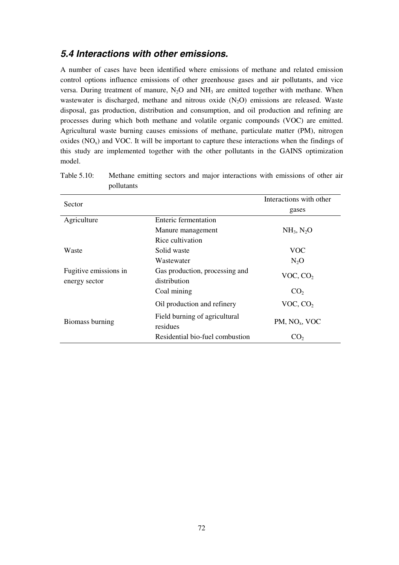## **5.4 Interactions with other emissions.**

A number of cases have been identified where emissions of methane and related emission control options influence emissions of other greenhouse gases and air pollutants, and vice versa. During treatment of manure,  $N_2O$  and  $NH_3$  are emitted together with methane. When wastewater is discharged, methane and nitrous oxide  $(N_2O)$  emissions are released. Waste disposal, gas production, distribution and consumption, and oil production and refining are processes during which both methane and volatile organic compounds (VOC) are emitted. Agricultural waste burning causes emissions of methane, particulate matter (PM), nitrogen oxides  $(NO<sub>x</sub>)$  and VOC. It will be important to capture these interactions when the findings of this study are implemented together with the other pollutants in the GAINS optimization model.

| Sector                | Interactions with other                   |                                    |
|-----------------------|-------------------------------------------|------------------------------------|
|                       | gases                                     |                                    |
| Agriculture           | <b>Enteric fermentation</b>               |                                    |
|                       | Manure management                         | NH <sub>3</sub> , N <sub>2</sub> O |
|                       | Rice cultivation                          |                                    |
| Waste                 | Solid waste                               | <b>VOC</b>                         |
|                       | Wastewater                                | $N_2O$                             |
| Fugitive emissions in | Gas production, processing and            |                                    |
| energy sector         | distribution                              | VOC, CO <sub>2</sub>               |
|                       | Coal mining                               | CO <sub>2</sub>                    |
|                       | Oil production and refinery               | VOC, CO <sub>2</sub>               |
| Biomass burning       | Field burning of agricultural<br>residues | $PM$ , NO <sub>x</sub> , VOC       |
|                       | Residential bio-fuel combustion           | CO2                                |

Table 5.10: Methane emitting sectors and major interactions with emissions of other air pollutants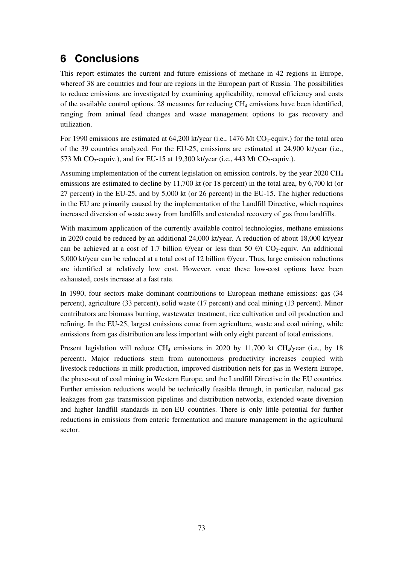# **6 Conclusions**

This report estimates the current and future emissions of methane in 42 regions in Europe, whereof 38 are countries and four are regions in the European part of Russia. The possibilities to reduce emissions are investigated by examining applicability, removal efficiency and costs of the available control options. 28 measures for reducing  $CH_4$  emissions have been identified, ranging from animal feed changes and waste management options to gas recovery and utilization.

For 1990 emissions are estimated at 64,200 kt/year (i.e., 1476 Mt CO<sub>2</sub>-equiv.) for the total area of the 39 countries analyzed. For the EU-25, emissions are estimated at 24,900 kt/year (i.e., 573 Mt CO<sub>2</sub>-equiv.), and for EU-15 at 19,300 kt/year (i.e., 443 Mt CO<sub>2</sub>-equiv.).

Assuming implementation of the current legislation on emission controls, by the year 2020 CH<sub>4</sub> emissions are estimated to decline by 11,700 kt (or 18 percent) in the total area, by 6,700 kt (or 27 percent) in the EU-25, and by 5,000 kt (or 26 percent) in the EU-15. The higher reductions in the EU are primarily caused by the implementation of the Landfill Directive, which requires increased diversion of waste away from landfills and extended recovery of gas from landfills.

With maximum application of the currently available control technologies, methane emissions in 2020 could be reduced by an additional 24,000 kt/year. A reduction of about 18,000 kt/year can be achieved at a cost of 1.7 billion  $\epsilon$ /year or less than 50  $\epsilon$ /t CO<sub>2</sub>-equiv. An additional 5,000 kt/year can be reduced at a total cost of 12 billion  $\epsilon$ /year. Thus, large emission reductions are identified at relatively low cost. However, once these low-cost options have been exhausted, costs increase at a fast rate.

In 1990, four sectors make dominant contributions to European methane emissions: gas (34 percent), agriculture (33 percent), solid waste (17 percent) and coal mining (13 percent). Minor contributors are biomass burning, wastewater treatment, rice cultivation and oil production and refining. In the EU-25, largest emissions come from agriculture, waste and coal mining, while emissions from gas distribution are less important with only eight percent of total emissions.

Present legislation will reduce  $CH_4$  emissions in 2020 by 11,700 kt  $CH_4$ /year (i.e., by 18 percent). Major reductions stem from autonomous productivity increases coupled with livestock reductions in milk production, improved distribution nets for gas in Western Europe, the phase-out of coal mining in Western Europe, and the Landfill Directive in the EU countries. Further emission reductions would be technically feasible through, in particular, reduced gas leakages from gas transmission pipelines and distribution networks, extended waste diversion and higher landfill standards in non-EU countries. There is only little potential for further reductions in emissions from enteric fermentation and manure management in the agricultural sector.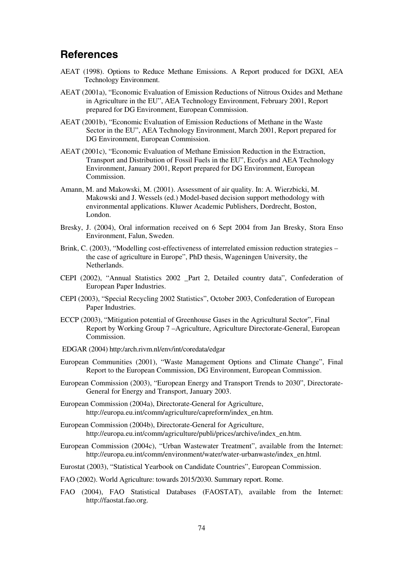# **References**

- AEAT (1998). Options to Reduce Methane Emissions. A Report produced for DGXI, AEA Technology Environment.
- AEAT (2001a), "Economic Evaluation of Emission Reductions of Nitrous Oxides and Methane in Agriculture in the EU", AEA Technology Environment, February 2001, Report prepared for DG Environment, European Commission.
- AEAT (2001b), "Economic Evaluation of Emission Reductions of Methane in the Waste Sector in the EU", AEA Technology Environment, March 2001, Report prepared for DG Environment, European Commission.
- AEAT (2001c), "Economic Evaluation of Methane Emission Reduction in the Extraction, Transport and Distribution of Fossil Fuels in the EU", Ecofys and AEA Technology Environment, January 2001, Report prepared for DG Environment, European Commission.
- Amann, M. and Makowski, M. (2001). Assessment of air quality. In: A. Wierzbicki, M. Makowski and J. Wessels (ed.) Model-based decision support methodology with environmental applications. Kluwer Academic Publishers, Dordrecht, Boston, London.
- Bresky, J. (2004), Oral information received on 6 Sept 2004 from Jan Bresky, Stora Enso Environment, Falun, Sweden.
- Brink, C. (2003), "Modelling cost-effectiveness of interrelated emission reduction strategies the case of agriculture in Europe", PhD thesis, Wageningen University, the Netherlands.
- CEPI (2002), "Annual Statistics 2002 \_Part 2, Detailed country data", Confederation of European Paper Industries.
- CEPI (2003), "Special Recycling 2002 Statistics", October 2003, Confederation of European Paper Industries.
- ECCP (2003), "Mitigation potential of Greenhouse Gases in the Agricultural Sector", Final Report by Working Group 7 –Agriculture, Agriculture Directorate-General, European Commission.
- EDGAR (2004) http:/arch.rivm.nl/env/int/coredata/edgar
- European Communities (2001), "Waste Management Options and Climate Change", Final Report to the European Commission, DG Environment, European Commission.
- European Commission (2003), "European Energy and Transport Trends to 2030", Directorate-General for Energy and Transport, January 2003.
- European Commission (2004a), Directorate-General for Agriculture, http://europa.eu.int/comm/agriculture/capreform/index\_en.htm.
- European Commission (2004b), Directorate-General for Agriculture, http://europa.eu.int/comm/agriculture/publi/prices/archive/index\_en.htm.
- European Commission (2004c), "Urban Wastewater Treatment", available from the Internet: http://europa.eu.int/comm/environment/water/water-urbanwaste/index\_en.html.
- Eurostat (2003), "Statistical Yearbook on Candidate Countries", European Commission.
- FAO (2002). World Agriculture: towards 2015/2030. Summary report. Rome.
- FAO (2004), FAO Statistical Databases (FAOSTAT), available from the Internet: http://faostat.fao.org.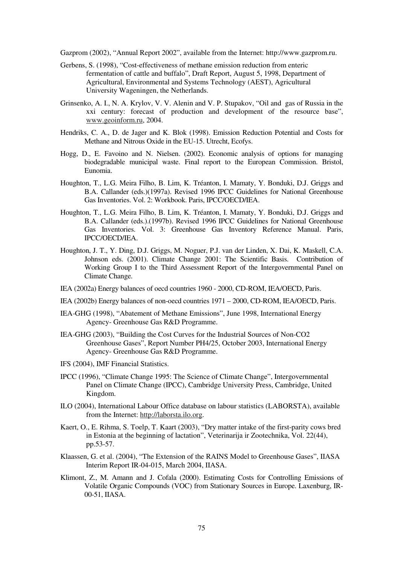Gazprom (2002), "Annual Report 2002", available from the Internet: http://www.gazprom.ru.

- Gerbens, S. (1998), "Cost-effectiveness of methane emission reduction from enteric fermentation of cattle and buffalo", Draft Report, August 5, 1998, Department of Agricultural, Environmental and Systems Technology (AEST), Agricultural University Wageningen, the Netherlands.
- Grinsenko, A. I., N. A. Krylov, V. V. Alenin and V. P. Stupakov, "Oil and gas of Russia in the xxi century: forecast of production and development of the resource base", www.geoinform.ru, 2004.
- Hendriks, C. A., D. de Jager and K. Blok (1998). Emission Reduction Potential and Costs for Methane and Nitrous Oxide in the EU-15. Utrecht, Ecofys.
- Hogg, D., E. Favoino and N. Nielsen. (2002). Economic analysis of options for managing biodegradable municipal waste. Final report to the European Commission. Bristol, Eunomia.
- Houghton, T., L.G. Meira Filho, B. Lim, K. Tréanton, I. Mamaty, Y. Bonduki, D.J. Griggs and B.A. Callander (eds.)(1997a). Revised 1996 IPCC Guidelines for National Greenhouse Gas Inventories. Vol. 2: Workbook. Paris, IPCC/OECD/IEA.
- Houghton, T., L.G. Meira Filho, B. Lim, K. Tréanton, I. Mamaty, Y. Bonduki, D.J. Griggs and B.A. Callander (eds.).(1997b). Revised 1996 IPCC Guidelines for National Greenhouse Gas Inventories. Vol. 3: Greenhouse Gas Inventory Reference Manual. Paris, IPCC/OECD/IEA.
- Houghton, J. T., Y. Ding, D.J. Griggs, M. Noguer, P.J. van der Linden, X. Dai, K. Maskell, C.A. Johnson eds. (2001). Climate Change 2001: The Scientific Basis. Contribution of Working Group I to the Third Assessment Report of the Intergovernmental Panel on Climate Change.
- IEA (2002a) Energy balances of oecd countries 1960 2000, CD-ROM, IEA/OECD, Paris.
- IEA (2002b) Energy balances of non-oecd countries 1971 2000, CD-ROM, IEA/OECD, Paris.
- IEA-GHG (1998), "Abatement of Methane Emissions", June 1998, International Energy Agency- Greenhouse Gas R&D Programme.
- IEA-GHG (2003), "Building the Cost Curves for the Industrial Sources of Non-CO2 Greenhouse Gases", Report Number PH4/25, October 2003, International Energy Agency- Greenhouse Gas R&D Programme.
- IFS (2004), IMF Financial Statistics.
- IPCC (1996), "Climate Change 1995: The Science of Climate Change", Intergovernmental Panel on Climate Change (IPCC), Cambridge University Press, Cambridge, United Kingdom.
- ILO (2004), International Labour Office database on labour statistics (LABORSTA), available from the Internet: http://laborsta.ilo.org.
- Kaert, O., E. Rihma, S. Toelp, T. Kaart (2003), "Dry matter intake of the first-parity cows bred in Estonia at the beginning of lactation", Veterinarija ir Zootechnika, Vol. 22(44), pp.53-57.
- Klaassen, G. et al. (2004), "The Extension of the RAINS Model to Greenhouse Gases", IIASA Interim Report IR-04-015, March 2004, IIASA.
- Klimont, Z., M. Amann and J. Cofala (2000). Estimating Costs for Controlling Emissions of Volatile Organic Compounds (VOC) from Stationary Sources in Europe. Laxenburg, IR-00-51, IIASA.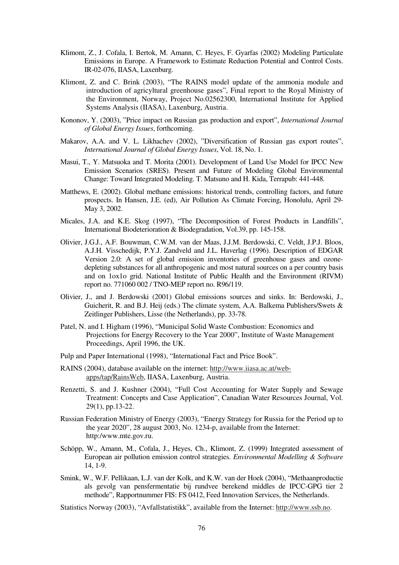- Klimont, Z., J. Cofala, I. Bertok, M. Amann, C. Heyes, F. Gyarfas (2002) Modeling Particulate Emissions in Europe. A Framework to Estimate Reduction Potential and Control Costs. IR-02-076, IIASA, Laxenburg.
- Klimont, Z. and C. Brink (2003), "The RAINS model update of the ammonia module and introduction of agricyltural greenhouse gases", Final report to the Royal Ministry of the Environment, Norway, Project No.02562300, International Institute for Applied Systems Analysis (IIASA), Laxenburg, Austria.
- Kononov, Y. (2003), "Price impact on Russian gas production and export", *International Journal of Global Energy Issues*, forthcoming.
- Makarov, A.A. and V. L. Likhachev (2002), "Diversification of Russian gas export routes", *International Journal of Global Energy Issues*, Vol. 18, No. 1.
- Masui, T., Y. Matsuoka and T. Morita (2001). Development of Land Use Model for IPCC New Emission Scenarios (SRES). Present and Future of Modeling Global Environmental Change: Toward Integrated Modeling. T. Matsuno and H. Kida, Terrapub: 441-448.
- Matthews, E. (2002). Global methane emissions: historical trends, controlling factors, and future prospects. In Hansen, J.E. (ed), Air Pollution As Climate Forcing, Honolulu, April 29- May 3, 2002.
- Micales, J.A. and K.E. Skog (1997), "The Decomposition of Forest Products in Landfills", International Biodeterioration & Biodegradation, Vol.39, pp. 145-158.
- Olivier, J.G.J., A.F. Bouwman, C.W.M. van der Maas, J.J.M. Berdowski, C. Veldt, J.P.J. Bloos, A.J.H. Visschedijk, P.Y.J. Zandveld and J.L. Haverlag (1996). Description of EDGAR Version 2.0: A set of global emission inventories of greenhouse gases and ozonedepleting substances for all anthropogenic and most natural sources on a per country basis and on 1ox1o grid. National Institute of Public Health and the Environment (RIVM) report no. 771060 002 / TNO-MEP report no. R96/119.
- Olivier, J., and J. Berdowski (2001) Global emissions sources and sinks. In: Berdowski, J., Guicherit, R. and B.J. Heij (eds.) The climate system, A.A. Balkema Publishers/Swets & Zeitlinger Publishers, Lisse (the Netherlands), pp. 33-78.
- Patel, N. and I. Higham (1996), "Municipal Solid Waste Combustion: Economics and Projections for Energy Recovery to the Year 2000", Institute of Waste Management Proceedings, April 1996, the UK.
- Pulp and Paper International (1998), "International Fact and Price Book".
- RAINS (2004), database available on the internet: http://www.iiasa.ac.at/webapps/tap/RainsWeb, IIASA, Laxenburg, Austria.
- Renzetti, S. and J. Kushner (2004), "Full Cost Accounting for Water Supply and Sewage Treatment: Concepts and Case Application", Canadian Water Resources Journal, Vol. 29(1), pp.13-22.
- Russian Federation Ministry of Energy (2003), "Energy Strategy for Russia for the Period up to the year 2020", 28 august 2003, No. 1234-p, available from the Internet: http:/www.mte.gov.ru.
- Schöpp, W., Amann, M., Cofala, J., Heyes, Ch., Klimont, Z. (1999) Integrated assessment of European air pollution emission control strategies. *Environmental Modelling & Software* 14, 1-9.
- Smink, W., W.F. Pellikaan, L.J. van der Kolk, and K.W. van der Hoek (2004), "Methaanproductie als gevolg van pensfermentatie bij rundvee berekend middles de IPCC-GPG tier 2 methode", Rapportnummer FIS: FS 0412, Feed Innovation Services, the Netherlands.
- Statistics Norway (2003), "Avfallstatistikk", available from the Internet: http://www.ssb.no.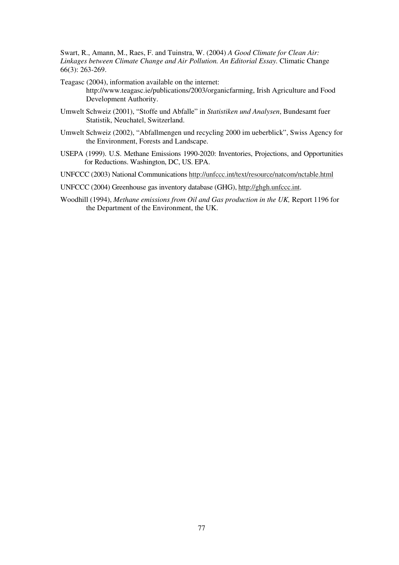Swart, R., Amann, M., Raes, F. and Tuinstra, W. (2004) *A Good Climate for Clean Air: Linkages between Climate Change and Air Pollution. An Editorial Essay.* Climatic Change 66(3): 263-269.

Teagasc (2004), information available on the internet: http://www.teagasc.ie/publications/2003/organicfarming, Irish Agriculture and Food Development Authority.

- Umwelt Schweiz (2001), "Stoffe und Abfalle" in *Statistiken und Analysen*, Bundesamt fuer Statistik, Neuchatel, Switzerland.
- Umwelt Schweiz (2002), "Abfallmengen und recycling 2000 im ueberblick", Swiss Agency for the Environment, Forests and Landscape.
- USEPA (1999). U.S. Methane Emissions 1990-2020: Inventories, Projections, and Opportunities for Reductions. Washington, DC, US. EPA.
- UNFCCC (2003) National Communications http://unfccc.int/text/resource/natcom/nctable.html
- UNFCCC (2004) Greenhouse gas inventory database (GHG), http://ghgh.unfccc.int.
- Woodhill (1994), *Methane emissions from Oil and Gas production in the UK,* Report 1196 for the Department of the Environment, the UK.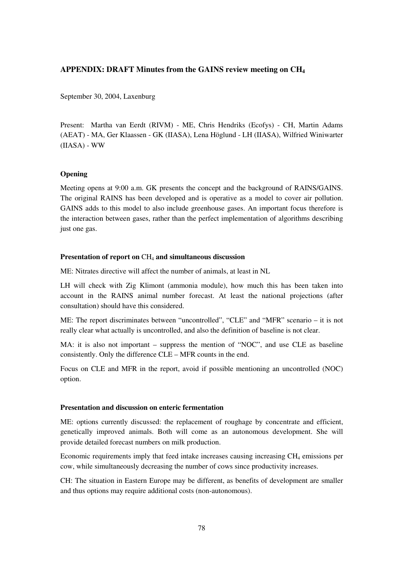#### **APPENDIX: DRAFT Minutes from the GAINS review meeting on CH4**

September 30, 2004, Laxenburg

Present: Martha van Eerdt (RIVM) - ME, Chris Hendriks (Ecofys) - CH, Martin Adams (AEAT) - MA, Ger Klaassen - GK (IIASA), Lena Höglund - LH (IIASA), Wilfried Winiwarter (IIASA) - WW

#### **Opening**

Meeting opens at 9:00 a.m. GK presents the concept and the background of RAINS/GAINS. The original RAINS has been developed and is operative as a model to cover air pollution. GAINS adds to this model to also include greenhouse gases. An important focus therefore is the interaction between gases, rather than the perfect implementation of algorithms describing just one gas.

#### **Presentation of report on** CH4 **and simultaneous discussion**

ME: Nitrates directive will affect the number of animals, at least in NL

LH will check with Zig Klimont (ammonia module), how much this has been taken into account in the RAINS animal number forecast. At least the national projections (after consultation) should have this considered.

ME: The report discriminates between "uncontrolled", "CLE" and "MFR" scenario – it is not really clear what actually is uncontrolled, and also the definition of baseline is not clear.

MA: it is also not important – suppress the mention of "NOC", and use CLE as baseline consistently. Only the difference CLE – MFR counts in the end.

Focus on CLE and MFR in the report, avoid if possible mentioning an uncontrolled (NOC) option.

#### **Presentation and discussion on enteric fermentation**

ME: options currently discussed: the replacement of roughage by concentrate and efficient, genetically improved animals. Both will come as an autonomous development. She will provide detailed forecast numbers on milk production.

Economic requirements imply that feed intake increases causing increasing CH4 emissions per cow, while simultaneously decreasing the number of cows since productivity increases.

CH: The situation in Eastern Europe may be different, as benefits of development are smaller and thus options may require additional costs (non-autonomous).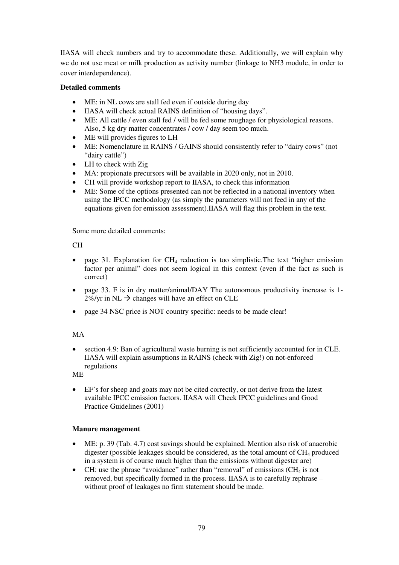IIASA will check numbers and try to accommodate these. Additionally, we will explain why we do not use meat or milk production as activity number (linkage to NH3 module, in order to cover interdependence).

#### **Detailed comments**

- ME: in NL cows are stall fed even if outside during day
- IIASA will check actual RAINS definition of "housing days".
- ME: All cattle / even stall fed / will be fed some roughage for physiological reasons. Also, 5 kg dry matter concentrates / cow / day seem too much.
- ME will provides figures to LH
- ME: Nomenclature in RAINS / GAINS should consistently refer to "dairy cows" (not "dairy cattle")
- LH to check with Zig
- MA: propionate precursors will be available in 2020 only, not in 2010.
- CH will provide workshop report to IIASA, to check this information
- ME: Some of the options presented can not be reflected in a national inventory when using the IPCC methodology (as simply the parameters will not feed in any of the equations given for emission assessment).IIASA will flag this problem in the text.

Some more detailed comments:

# CH

- page 31. Explanation for CH4 reduction is too simplistic.The text "higher emission factor per animal" does not seem logical in this context (even if the fact as such is correct)
- page 33. F is in dry matter/animal/DAY The autonomous productivity increase is 1- $2\%$ /yr in NL  $\rightarrow$  changes will have an effect on CLE
- page 34 NSC price is NOT country specific: needs to be made clear!

# MA

• section 4.9: Ban of agricultural waste burning is not sufficiently accounted for in CLE. IIASA will explain assumptions in RAINS (check with Zig!) on not-enforced regulations

ME

• EF's for sheep and goats may not be cited correctly, or not derive from the latest available IPCC emission factors. IIASA will Check IPCC guidelines and Good Practice Guidelines (2001)

#### **Manure management**

- ME: p. 39 (Tab. 4.7) cost savings should be explained. Mention also risk of anaerobic digester (possible leakages should be considered, as the total amount of  $CH<sub>4</sub>$  produced in a system is of course much higher than the emissions without digester are)
- CH: use the phrase "avoidance" rather than "removal" of emissions  $(CH_4$  is not removed, but specifically formed in the process. IIASA is to carefully rephrase – without proof of leakages no firm statement should be made.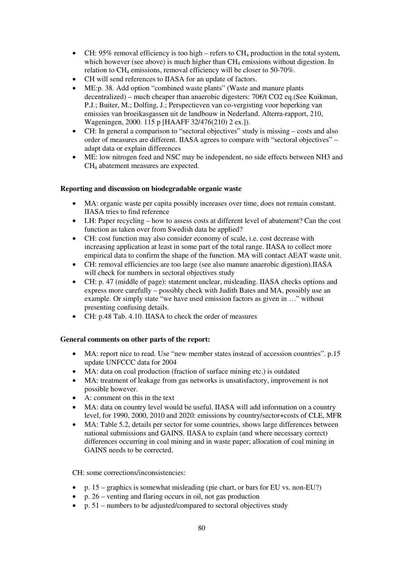- CH: 95% removal efficiency is too high refers to  $CH_4$  production in the total system, which however (see above) is much higher than  $CH_4$  emissions without digestion. In relation to  $CH_4$  emissions, removal efficiency will be closer to 50-70%.
- CH will send references to IIASA for an update of factors.
- ME:p. 38. Add option "combined waste plants" (Waste and manure plants decentralized) – much cheaper than anaerobic digesters: 70€/t CO2 eq.(See Kuikman, P.J.; Buiter, M.; Dolfing, J.; Perspectieven van co-vergisting voor beperking van emissies van broeikasgassen uit de landbouw in Nederland. Alterra-rapport, 210, Wageningen, 2000. 115 p [HAAFF 32/476(210) 2 ex.]).
- CH: In general a comparison to "sectoral objectives" study is missing costs and also order of measures are different. IIASA agrees to compare with "sectoral objectives" – adapt data or explain differences
- ME: low nitrogen feed and NSC may be independent, no side effects between NH3 and CH4 abatement measures are expected.

# **Reporting and discussion on biodegradable organic waste**

- MA: organic waste per capita possibly increases over time, does not remain constant. IIASA tries to find reference
- LH: Paper recycling how to assess costs at different level of abatement? Can the cost function as taken over from Swedish data be applied?
- CH: cost function may also consider economy of scale, i.e. cost decrease with increasing application at least in some part of the total range. IIASA to collect more empirical data to confirm the shape of the function. MA will contact AEAT waste unit.
- CH: removal efficiencies are too large (see also manure anaerobic digestion).IIASA will check for numbers in sectoral objectives study
- CH: p. 47 (middle of page): statement unclear, misleading. IIASA checks options and express more carefully – possibly check with Judith Bates and MA, possibly use an example. Or simply state "we have used emission factors as given in …" without presenting confusing details.
- CH: p.48 Tab. 4.10. IIASA to check the order of measures

# **General comments on other parts of the report:**

- MA: report nice to read. Use "new member states instead of accession countries". p.15 update UNFCCC data for 2004
- MA: data on coal production (fraction of surface mining etc.) is outdated
- MA: treatment of leakage from gas networks is unsatisfactory, improvement is not possible however.
- A: comment on this in the text
- MA: data on country level would be useful. IIASA will add information on a country level, for 1990, 2000, 2010 and 2020: emissions by country/sector+costs of CLE, MFR
- MA: Table 5.2, details per sector for some countries, shows large differences between national submissions and GAINS. IIASA to explain (and where necessary correct) differences occurring in coal mining and in waste paper; allocation of coal mining in GAINS needs to be corrected.

CH: some corrections/inconsistencies:

- p. 15 graphics is somewhat misleading (pie chart, or bars for EU vs. non-EU?)
- p. 26 venting and flaring occurs in oil, not gas production
- p. 51 numbers to be adjusted/compared to sectoral objectives study